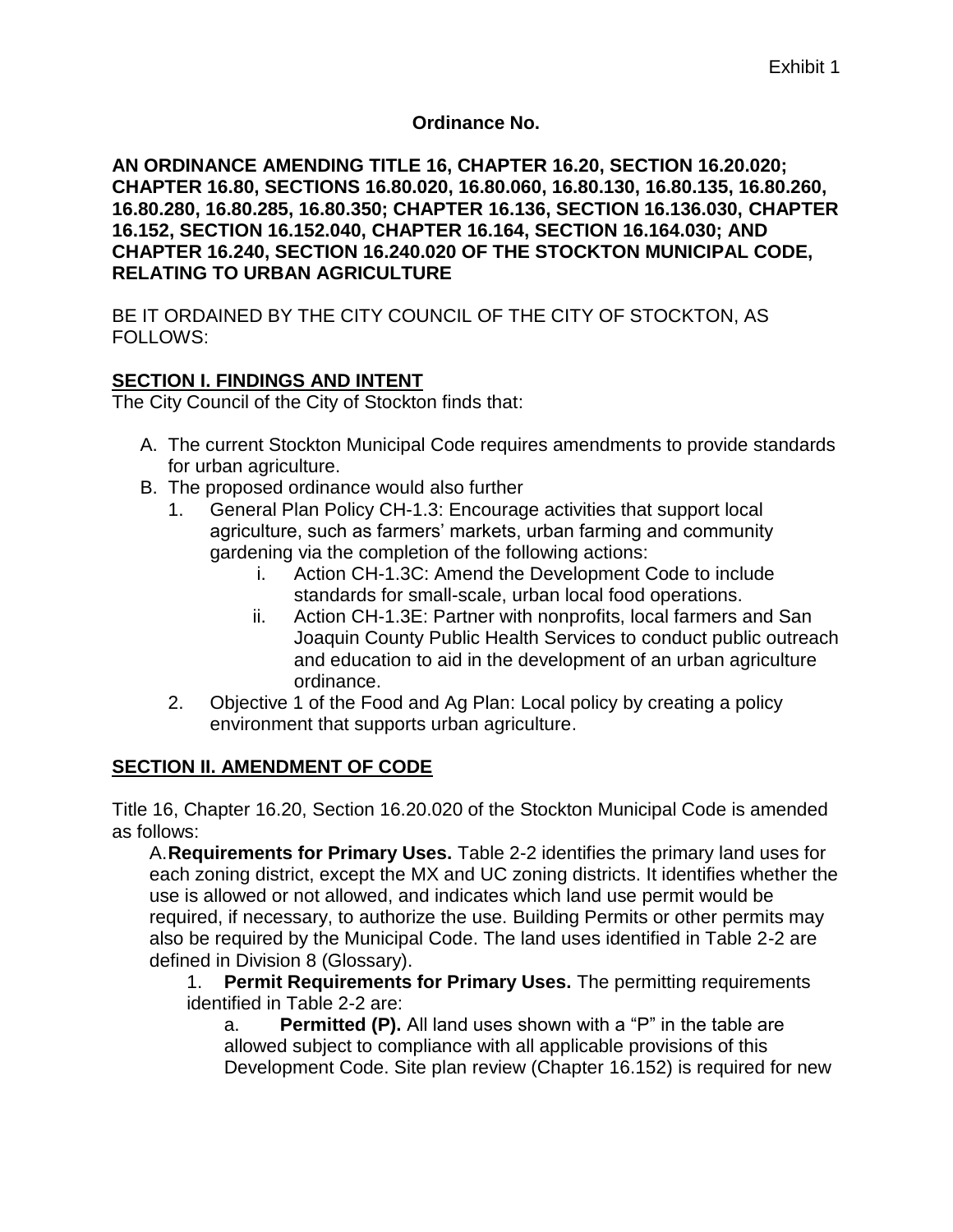#### **Ordinance No.**

**AN ORDINANCE AMENDING TITLE 16, CHAPTER 16.20, SECTION 16.20.020; CHAPTER 16.80, SECTIONS 16.80.020, 16.80.060, 16.80.130, 16.80.135, 16.80.260, 16.80.280, 16.80.285, 16.80.350; CHAPTER 16.136, SECTION 16.136.030, CHAPTER 16.152, SECTION 16.152.040, CHAPTER 16.164, SECTION 16.164.030; AND CHAPTER 16.240, SECTION 16.240.020 OF THE STOCKTON MUNICIPAL CODE, RELATING TO URBAN AGRICULTURE**

BE IT ORDAINED BY THE CITY COUNCIL OF THE CITY OF STOCKTON, AS FOLLOWS:

#### **SECTION I. FINDINGS AND INTENT**

The City Council of the City of Stockton finds that:

- A. The current Stockton Municipal Code requires amendments to provide standards for urban agriculture.
- B. The proposed ordinance would also further
	- 1. General Plan Policy CH-1.3: Encourage activities that support local agriculture, such as farmers' markets, urban farming and community gardening via the completion of the following actions:
		- i. Action CH-1.3C: Amend the Development Code to include standards for small-scale, urban local food operations.
		- ii. Action CH-1.3E: Partner with nonprofits, local farmers and San Joaquin County Public Health Services to conduct public outreach and education to aid in the development of an urban agriculture ordinance.
	- 2. Objective 1 of the Food and Ag Plan: Local policy by creating a policy environment that supports urban agriculture.

#### **SECTION II. AMENDMENT OF CODE**

Title 16, Chapter 16.20, Section 16.20.020 of the Stockton Municipal Code is amended as follows:

A.**Requirements for Primary Uses.** Table 2-2 identifies the primary land uses for each zoning district, except the MX and UC zoning districts. It identifies whether the use is allowed or not allowed, and indicates which land use permit would be required, if necessary, to authorize the use. Building Permits or other permits may also be required by the Municipal Code. The land uses identified in Table 2-2 are defined in Division 8 (Glossary).

1. **Permit Requirements for Primary Uses.** The permitting requirements identified in Table 2-2 are:

a. **Permitted (P).** All land uses shown with a "P" in the table are allowed subject to compliance with all applicable provisions of this Development Code. Site plan review (Chapter 16.152) is required for new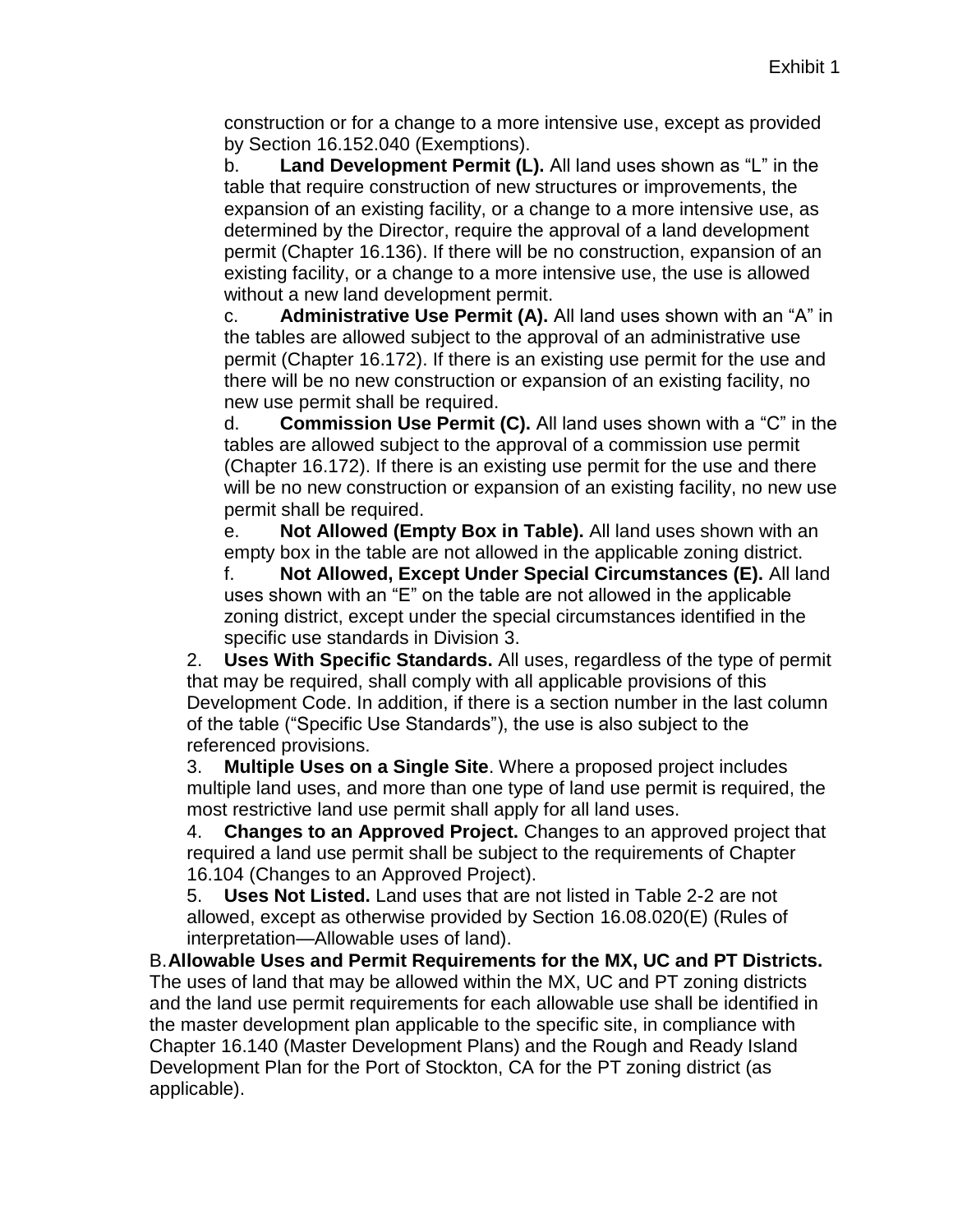construction or for a change to a more intensive use, except as provided by Section 16.152.040 (Exemptions).

b. **Land Development Permit (L).** All land uses shown as "L" in the table that require construction of new structures or improvements, the expansion of an existing facility, or a change to a more intensive use, as determined by the Director, require the approval of a land development permit (Chapter 16.136). If there will be no construction, expansion of an existing facility, or a change to a more intensive use, the use is allowed without a new land development permit.

c. **Administrative Use Permit (A).** All land uses shown with an "A" in the tables are allowed subject to the approval of an administrative use permit (Chapter 16.172). If there is an existing use permit for the use and there will be no new construction or expansion of an existing facility, no new use permit shall be required.

d. **Commission Use Permit (C).** All land uses shown with a "C" in the tables are allowed subject to the approval of a commission use permit (Chapter 16.172). If there is an existing use permit for the use and there will be no new construction or expansion of an existing facility, no new use permit shall be required.

e. **Not Allowed (Empty Box in Table).** All land uses shown with an empty box in the table are not allowed in the applicable zoning district.

f. **Not Allowed, Except Under Special Circumstances (E).** All land uses shown with an "E" on the table are not allowed in the applicable zoning district, except under the special circumstances identified in the specific use standards in Division 3.

2. **Uses With Specific Standards.** All uses, regardless of the type of permit that may be required, shall comply with all applicable provisions of this Development Code. In addition, if there is a section number in the last column of the table ("Specific Use Standards"), the use is also subject to the referenced provisions.

3. **Multiple Uses on a Single Site**. Where a proposed project includes multiple land uses, and more than one type of land use permit is required, the most restrictive land use permit shall apply for all land uses.

4. **Changes to an Approved Project.** Changes to an approved project that required a land use permit shall be subject to the requirements of Chapter 16.104 (Changes to an Approved Project).

5. **Uses Not Listed.** Land uses that are not listed in Table 2-2 are not allowed, except as otherwise provided by Section 16.08.020(E) (Rules of interpretation—Allowable uses of land).

B.**Allowable Uses and Permit Requirements for the MX, UC and PT Districts.** The uses of land that may be allowed within the MX, UC and PT zoning districts and the land use permit requirements for each allowable use shall be identified in the master development plan applicable to the specific site, in compliance with Chapter 16.140 (Master Development Plans) and the Rough and Ready Island Development Plan for the Port of Stockton, CA for the PT zoning district (as applicable).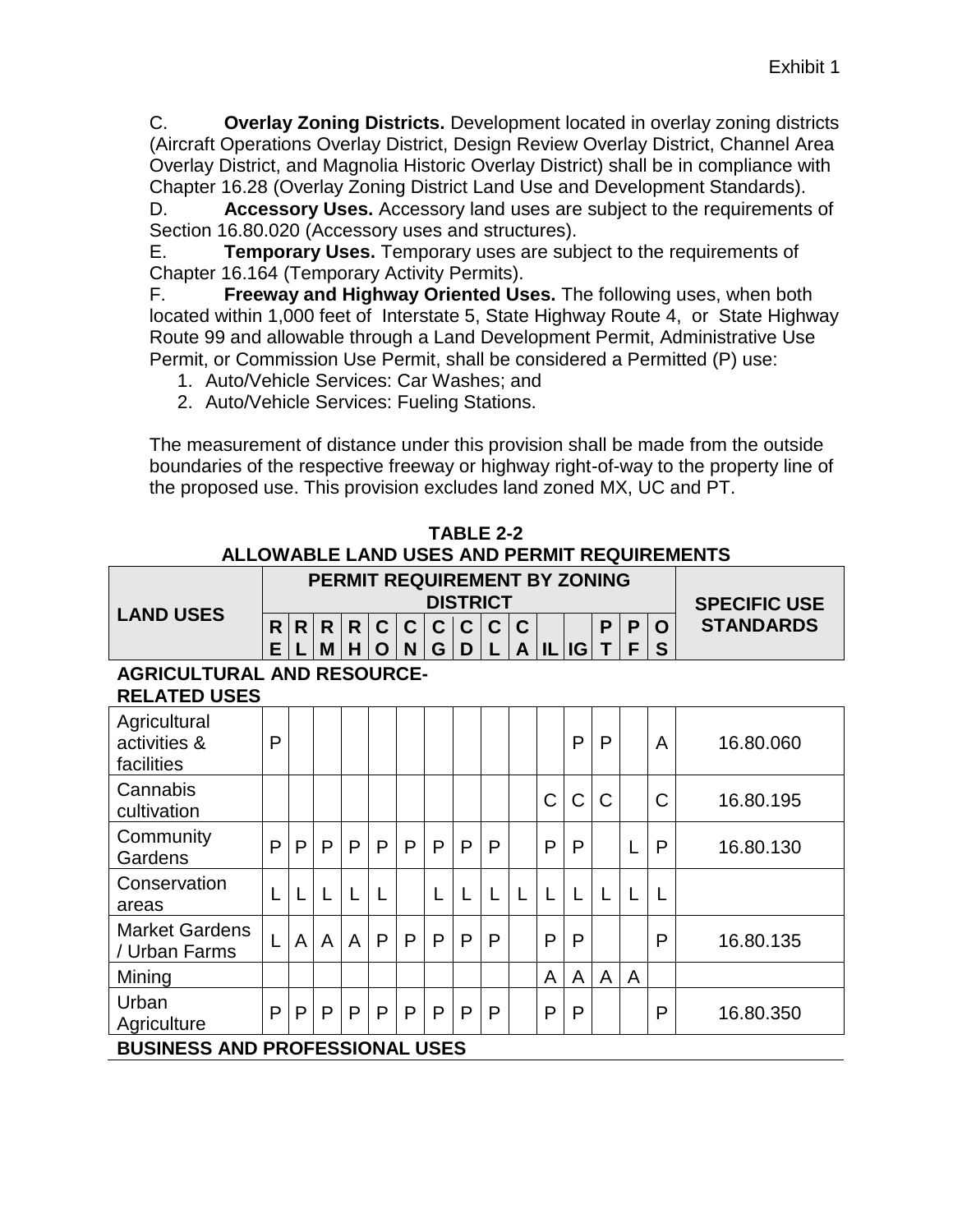C. **Overlay Zoning Districts.** Development located in overlay zoning districts (Aircraft Operations Overlay District, Design Review Overlay District, Channel Area Overlay District, and Magnolia Historic Overlay District) shall be in compliance with Chapter 16.28 (Overlay Zoning District Land Use and Development Standards).

D. **Accessory Uses.** Accessory land uses are subject to the requirements of Section 16.80.020 (Accessory uses and structures).

E. **Temporary Uses.** Temporary uses are subject to the requirements of Chapter 16.164 (Temporary Activity Permits).

F. **Freeway and Highway Oriented Uses.** The following uses, when both located within 1,000 feet of Interstate 5, State Highway Route 4, or State Highway Route 99 and allowable through a Land Development Permit, Administrative Use Permit, or Commission Use Permit, shall be considered a Permitted (P) use:

- 1. Auto/Vehicle Services: Car Washes; and
- 2. Auto/Vehicle Services: Fueling Stations.

The measurement of distance under this provision shall be made from the outside boundaries of the respective freeway or highway right-of-way to the property line of the proposed use. This provision excludes land zoned MX, UC and PT.

|                                                          |        |                |              |                   |                            | PERMIT REQUIREMENT BY ZONING |                  |                   | <b>DISTRICT</b> |                  |              |           |   |        |        | <b>SPECIFIC USE</b> |
|----------------------------------------------------------|--------|----------------|--------------|-------------------|----------------------------|------------------------------|------------------|-------------------|-----------------|------------------|--------------|-----------|---|--------|--------|---------------------|
| <b>LAND USES</b>                                         | R<br>E | R              | R<br>M       | $\mathsf{R}$<br>H | $\mathbf C$<br>$\mathbf O$ | $\mathbf C$<br>N             | $\mathbf C$<br>G | $\mathbf{C}$<br>D | $\mathbf C$     | $\mathbf C$<br>A |              | I L   I G | P | P<br>F | O<br>S | <b>STANDARDS</b>    |
| <b>AGRICULTURAL AND RESOURCE-</b><br><b>RELATED USES</b> |        |                |              |                   |                            |                              |                  |                   |                 |                  |              |           |   |        |        |                     |
| Agricultural<br>activities &<br>facilities               | P      |                |              |                   |                            |                              |                  |                   |                 |                  |              | P         | P |        | A      | 16.80.060           |
| Cannabis<br>cultivation                                  |        |                |              |                   |                            |                              |                  |                   |                 |                  | C            | Ć         | C |        | С      | 16.80.195           |
| Community<br>Gardens                                     | P      | P              | $\mathsf{P}$ | $\mathsf{P}$      | P                          | P                            | P                | P                 | P               |                  | P            | P         |   |        | P      | 16.80.130           |
| Conservation<br>areas                                    |        | L              | L            |                   | L                          |                              |                  | L                 |                 | L                | $\mathsf{L}$ | L         | L | L      |        |                     |
| <b>Market Gardens</b><br>/ Urban Farms                   |        | $\overline{A}$ | A            | A                 | P                          | P                            | $\mathsf{P}$     | P                 | P               |                  | P            | P         |   |        | P      | 16.80.135           |
| Mining                                                   |        |                |              |                   |                            |                              |                  |                   |                 |                  | A            | A         | A | A      |        |                     |
| Urban<br>Agriculture                                     | P      | $\mathsf{P}$   | P            | P                 | P                          | P                            | P                | P                 | P               |                  | P            | P         |   |        | P      | 16.80.350           |
| <b>BUSINESS AND PROFESSIONAL USES</b>                    |        |                |              |                   |                            |                              |                  |                   |                 |                  |              |           |   |        |        |                     |

**TABLE 2-2 ALLOWABLE LAND USES AND PERMIT REQUIREMENTS**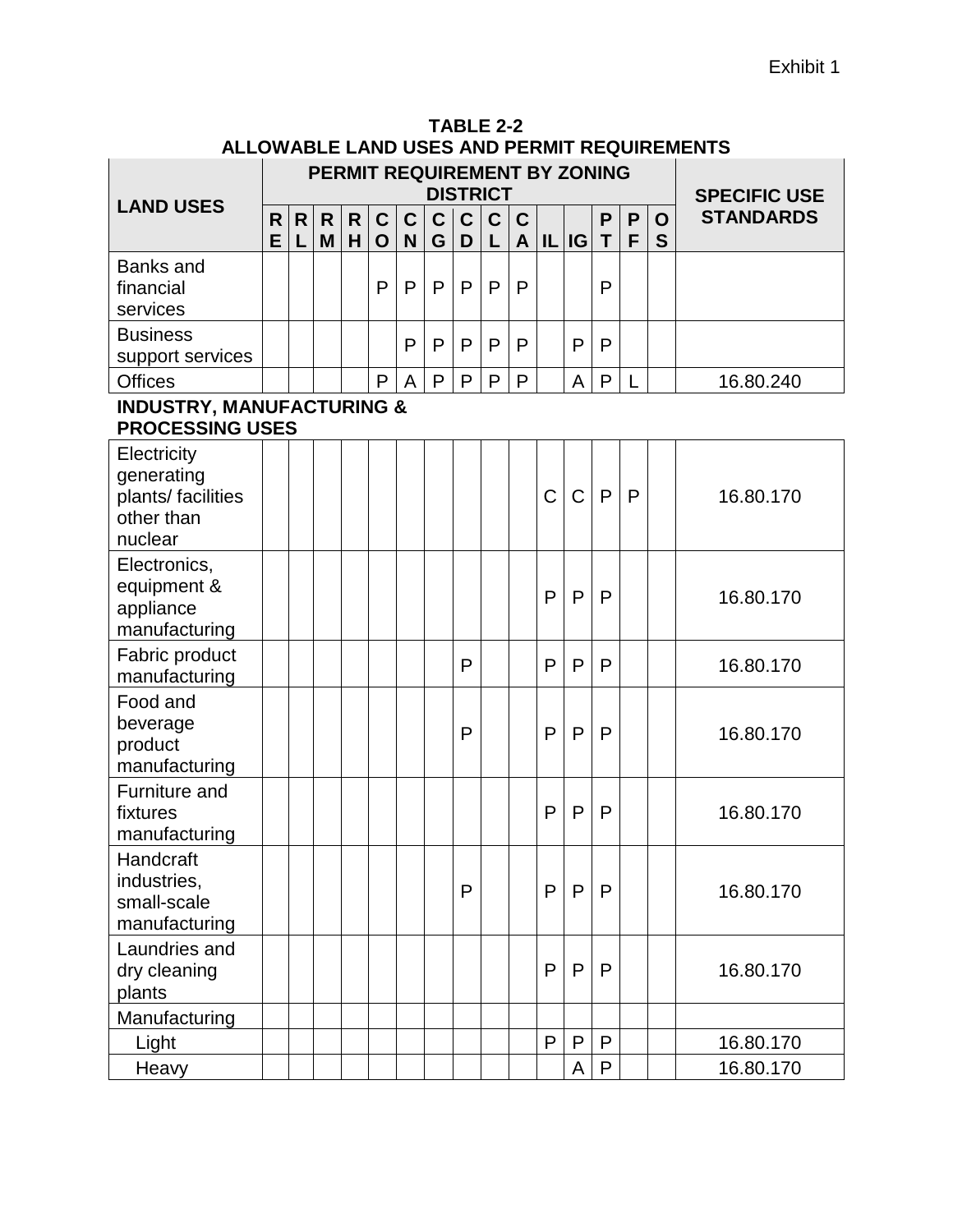| TABLE 2-2                                   |
|---------------------------------------------|
| ALLOWABLE LAND USES AND PERMIT REQUIREMENTS |

|                                                                          |        |                   |         |         |                            |                           |                  |                  | <b>DISTRICT</b>  |                   |              | PERMIT REQUIREMENT BY ZONING |              |              |        | <b>SPECIFIC USE</b> |
|--------------------------------------------------------------------------|--------|-------------------|---------|---------|----------------------------|---------------------------|------------------|------------------|------------------|-------------------|--------------|------------------------------|--------------|--------------|--------|---------------------|
| <b>LAND USES</b>                                                         | R<br>E | $\mathsf{R}$<br>L | R.<br>M | R.<br>H | $\mathbf C$<br>$\mathbf O$ | $\mathbf C$<br>N          | $\mathbf C$<br>G | $\mathbf C$<br>D | $\mathbf C$<br>L | C<br>$\mathsf{A}$ |              | IL IG                        | P<br>T       | P<br>F       | O<br>S | <b>STANDARDS</b>    |
| <b>Banks and</b><br>financial<br>services                                |        |                   |         |         | P                          | P                         | P                | $\mathsf{P}$     | $\mathsf{P}$     | P                 |              |                              | P            |              |        |                     |
| <b>Business</b><br>support services                                      |        |                   |         |         |                            | P                         | P                | $\mathsf{P}$     | $\mathsf{P}$     | P                 |              | P                            | $\mathsf{P}$ |              |        |                     |
| <b>Offices</b>                                                           |        |                   |         |         | P                          | $\boldsymbol{\mathsf{A}}$ | P                | P                | P                | P                 |              | A                            | $\mathsf{P}$ |              |        | 16.80.240           |
| <b>INDUSTRY, MANUFACTURING &amp;</b><br><b>PROCESSING USES</b>           |        |                   |         |         |                            |                           |                  |                  |                  |                   |              |                              |              |              |        |                     |
| Electricity<br>generating<br>plants/ facilities<br>other than<br>nuclear |        |                   |         |         |                            |                           |                  |                  |                  |                   | C            | $\overline{C}$               | P            | $\mathsf{P}$ |        | 16.80.170           |
| Electronics,<br>equipment &<br>appliance<br>manufacturing                |        |                   |         |         |                            |                           |                  |                  |                  |                   | P            | $\mathsf{P}$                 | $\mathsf{P}$ |              |        | 16.80.170           |
| Fabric product<br>manufacturing                                          |        |                   |         |         |                            |                           |                  | P                |                  |                   | P            | P                            | P            |              |        | 16.80.170           |
| Food and<br>beverage<br>product<br>manufacturing                         |        |                   |         |         |                            |                           |                  | P                |                  |                   | P            | $\mathsf{P}$                 | $\mathsf{P}$ |              |        | 16.80.170           |
| Furniture and<br>fixtures<br>manufacturing                               |        |                   |         |         |                            |                           |                  |                  |                  |                   | P            | P                            | P            |              |        | 16.80.170           |
| Handcraft<br>industries,<br>small-scale<br>manufacturing                 |        |                   |         |         |                            |                           |                  | P                |                  |                   | P            | P                            | P            |              |        | 16.80.170           |
| Laundries and<br>dry cleaning<br>plants                                  |        |                   |         |         |                            |                           |                  |                  |                  |                   | P            | P                            | P            |              |        | 16.80.170           |
| Manufacturing                                                            |        |                   |         |         |                            |                           |                  |                  |                  |                   |              |                              |              |              |        |                     |
| Light                                                                    |        |                   |         |         |                            |                           |                  |                  |                  |                   | $\mathsf{P}$ | P                            | $\mathsf{P}$ |              |        | 16.80.170           |
| Heavy                                                                    |        |                   |         |         |                            |                           |                  |                  |                  |                   |              | A                            | P            |              |        | 16.80.170           |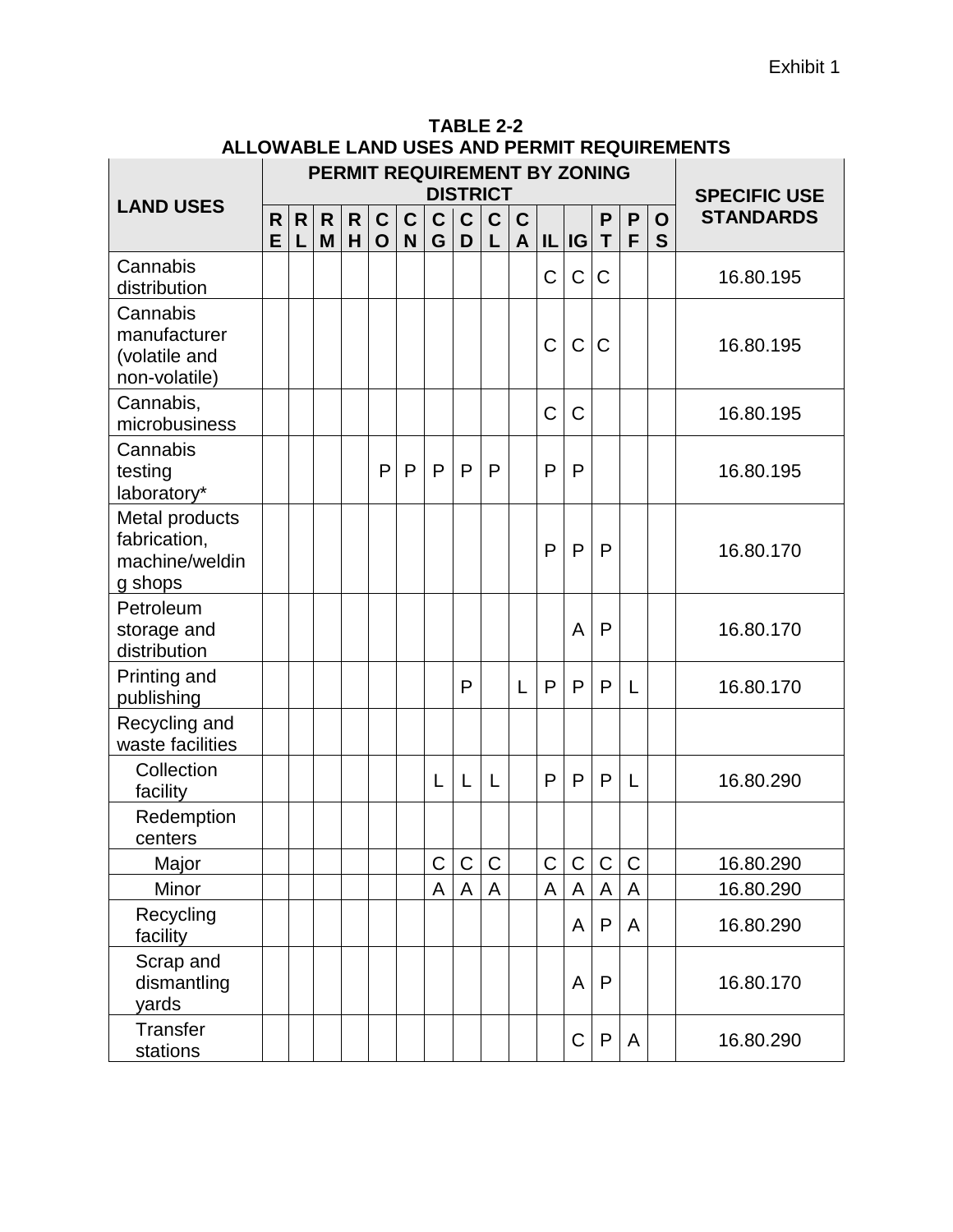|                                                             |        |        |        |        | PERMIT REQUIREMENT BY ZONING |                             |                  | <b>DISTRICT</b>   |                  |                             |   |             |                  |                   |        | <b>SPECIFIC USE</b> |
|-------------------------------------------------------------|--------|--------|--------|--------|------------------------------|-----------------------------|------------------|-------------------|------------------|-----------------------------|---|-------------|------------------|-------------------|--------|---------------------|
| <b>LAND USES</b>                                            | R<br>E | R<br>L | R<br>M | R<br>H | $\mathbf{C}$<br>$\mathbf O$  | $\mathbf C$<br>$\mathsf{N}$ | $\mathbf C$<br>G | $\mathbf{C}$<br>D | $\mathbf C$<br>L | $\mathbf C$<br>$\mathbf{A}$ |   | IL IG       | P<br>$\mathsf T$ | $\mathsf{P}$<br>F | O<br>S | <b>STANDARDS</b>    |
| Cannabis<br>distribution                                    |        |        |        |        |                              |                             |                  |                   |                  |                             | C | C           | $\mathsf C$      |                   |        | 16.80.195           |
| Cannabis<br>manufacturer<br>(volatile and<br>non-volatile)  |        |        |        |        |                              |                             |                  |                   |                  |                             | C | $\mathsf C$ | C                |                   |        | 16.80.195           |
| Cannabis,<br>microbusiness                                  |        |        |        |        |                              |                             |                  |                   |                  |                             | C | C           |                  |                   |        | 16.80.195           |
| Cannabis<br>testing<br>laboratory*                          |        |        |        |        | P                            | P                           | P                | P                 | P                |                             | P | P           |                  |                   |        | 16.80.195           |
| Metal products<br>fabrication,<br>machine/weldin<br>g shops |        |        |        |        |                              |                             |                  |                   |                  |                             | P | P           | $\mathsf{P}$     |                   |        | 16.80.170           |
| Petroleum<br>storage and<br>distribution                    |        |        |        |        |                              |                             |                  |                   |                  |                             |   | A           | $\mathsf{P}$     |                   |        | 16.80.170           |
| Printing and<br>publishing                                  |        |        |        |        |                              |                             |                  | P                 |                  | L                           | P | P           | P                | L                 |        | 16.80.170           |
| Recycling and<br>waste facilities                           |        |        |        |        |                              |                             |                  |                   |                  |                             |   |             |                  |                   |        |                     |
| Collection<br>facility                                      |        |        |        |        |                              |                             | L                | L                 | L                |                             | P | P           | P                | L                 |        | 16.80.290           |
| Redemption<br>centers                                       |        |        |        |        |                              |                             |                  |                   |                  |                             |   |             |                  |                   |        |                     |
| Major                                                       |        |        |        |        |                              |                             | С                | $\mathsf{C}$      | C                |                             | C | C           | C                | C                 |        | 16.80.290           |
| Minor                                                       |        |        |        |        |                              |                             | A                | A                 | A                |                             | A | A           | A                | A                 |        | 16.80.290           |
| Recycling<br>facility                                       |        |        |        |        |                              |                             |                  |                   |                  |                             |   | A           | P                | A                 |        | 16.80.290           |
| Scrap and<br>dismantling<br>yards                           |        |        |        |        |                              |                             |                  |                   |                  |                             |   | A           | $\mathsf{P}$     |                   |        | 16.80.170           |
| Transfer<br>stations                                        |        |        |        |        |                              |                             |                  |                   |                  |                             |   | $\mathsf C$ | $\mathsf{P}$     | A                 |        | 16.80.290           |

**TABLE 2-2 ALLOWABLE LAND USES AND PERMIT REQUIREMENTS**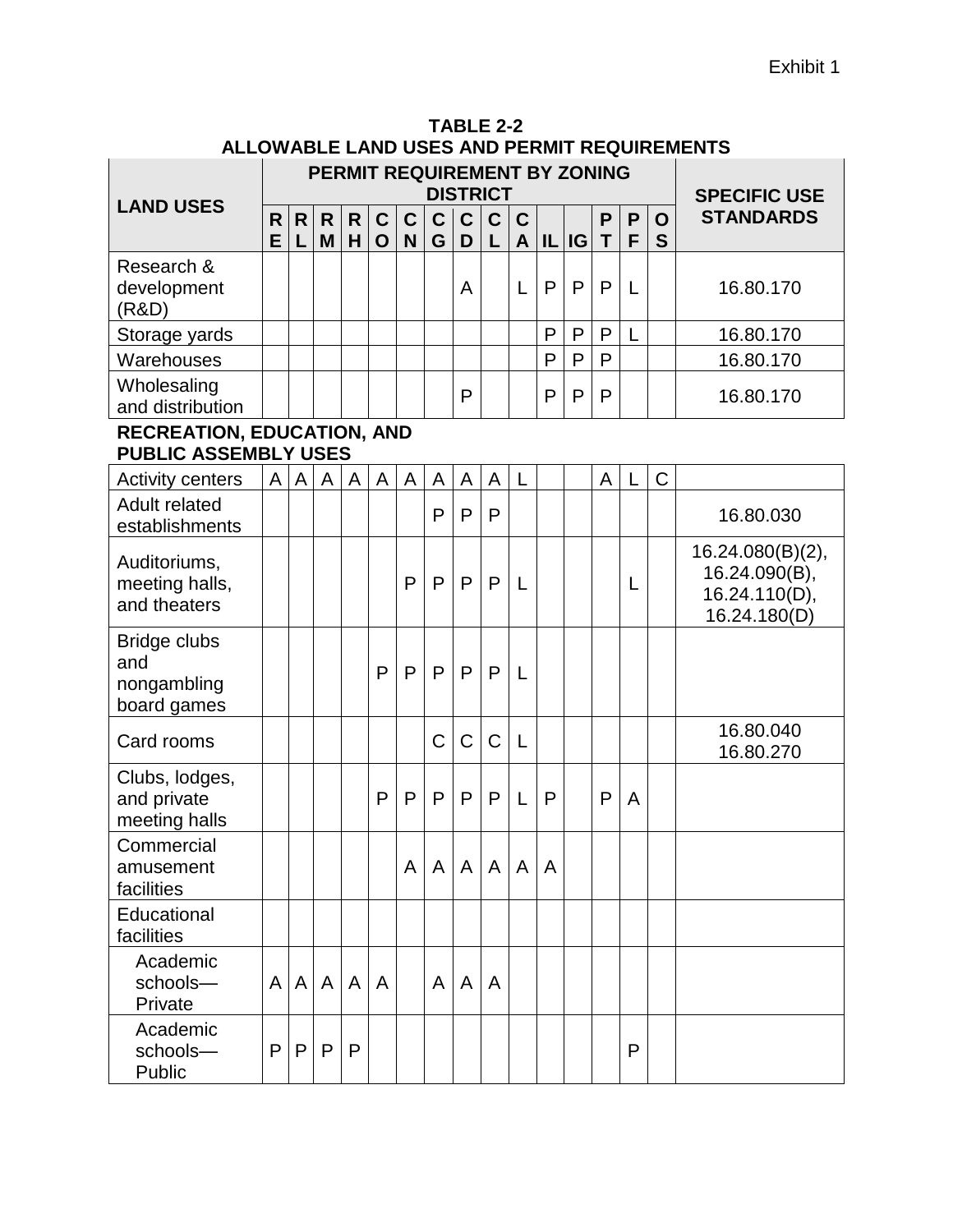|                                                                  |        |        |                   |                   |                            |                  | PERMIT REQUIREMENT BY ZONING | <b>DISTRICT</b>  |                  |                  |   |       |              |        |                  | <b>SPECIFIC USE</b>                                                |
|------------------------------------------------------------------|--------|--------|-------------------|-------------------|----------------------------|------------------|------------------------------|------------------|------------------|------------------|---|-------|--------------|--------|------------------|--------------------------------------------------------------------|
| <b>LAND USES</b>                                                 | R<br>E | R<br>L | $\mathsf{R}$<br>M | $\mathsf{R}$<br>H | $\mathbf C$<br>$\mathbf O$ | $\mathbf C$<br>N | $\mathbf C$<br>G             | $\mathbf C$<br>D | $\mathbf C$<br>L | $\mathbf C$<br>A |   | IL IG | P<br>T       | P<br>F | $\mathbf O$<br>S | <b>STANDARDS</b>                                                   |
| Research &<br>development<br>(R&D)                               |        |        |                   |                   |                            |                  |                              | A                |                  | L                | P | P     | P            | L      |                  | 16.80.170                                                          |
| Storage yards                                                    |        |        |                   |                   |                            |                  |                              |                  |                  |                  | P | P     | P            | L      |                  | 16.80.170                                                          |
| Warehouses                                                       |        |        |                   |                   |                            |                  |                              |                  |                  |                  | P | P     | P            |        |                  | 16.80.170                                                          |
| Wholesaling<br>and distribution                                  |        |        |                   |                   |                            |                  |                              | P                |                  |                  | P | P     | $\mathsf{P}$ |        |                  | 16.80.170                                                          |
| <b>RECREATION, EDUCATION, AND</b><br><b>PUBLIC ASSEMBLY USES</b> |        |        |                   |                   |                            |                  |                              |                  |                  |                  |   |       |              |        |                  |                                                                    |
| <b>Activity centers</b>                                          | A      | A      | A                 | A                 | A                          | A                | A                            | A                | A                | L                |   |       | A            | L      | $\mathsf C$      |                                                                    |
| <b>Adult related</b><br>establishments                           |        |        |                   |                   |                            |                  | $\mathsf{P}$                 | $\mathsf{P}$     | $\mathsf{P}$     |                  |   |       |              |        |                  | 16.80.030                                                          |
| Auditoriums,<br>meeting halls,<br>and theaters                   |        |        |                   |                   |                            | P                | P                            | P                | P                | L                |   |       |              | L      |                  | 16.24.080(B)(2),<br>16.24.090(B),<br>16.24.110(D),<br>16.24.180(D) |
| <b>Bridge clubs</b><br>and<br>nongambling<br>board games         |        |        |                   |                   | $\mathsf{P}$               | P                | P                            | P                | P                | L                |   |       |              |        |                  |                                                                    |
| Card rooms                                                       |        |        |                   |                   |                            |                  | C                            | $\mathsf C$      | $\mathsf C$      | L                |   |       |              |        |                  | 16.80.040<br>16.80.270                                             |
| Clubs, lodges,<br>and private<br>meeting halls                   |        |        |                   |                   | P                          | P                | P                            | $\mathsf{P}$     | P                | L                | P |       | P            | A      |                  |                                                                    |
| Commercial<br>amusement<br>facilities                            |        |        |                   |                   |                            | A                | A                            | $\mathsf{A}$     | A                | A                | A |       |              |        |                  |                                                                    |
| Educational<br>facilities                                        |        |        |                   |                   |                            |                  |                              |                  |                  |                  |   |       |              |        |                  |                                                                    |
| Academic<br>schools-<br>Private                                  | A      | A      | A                 | A                 | A                          |                  | A                            | A                | A                |                  |   |       |              |        |                  |                                                                    |
| Academic<br>schools-<br>Public                                   | P      | P      | P                 | P                 |                            |                  |                              |                  |                  |                  |   |       |              | P      |                  |                                                                    |

**TABLE 2-2 ALLOWABLE LAND USES AND PERMIT REQUIREMENTS**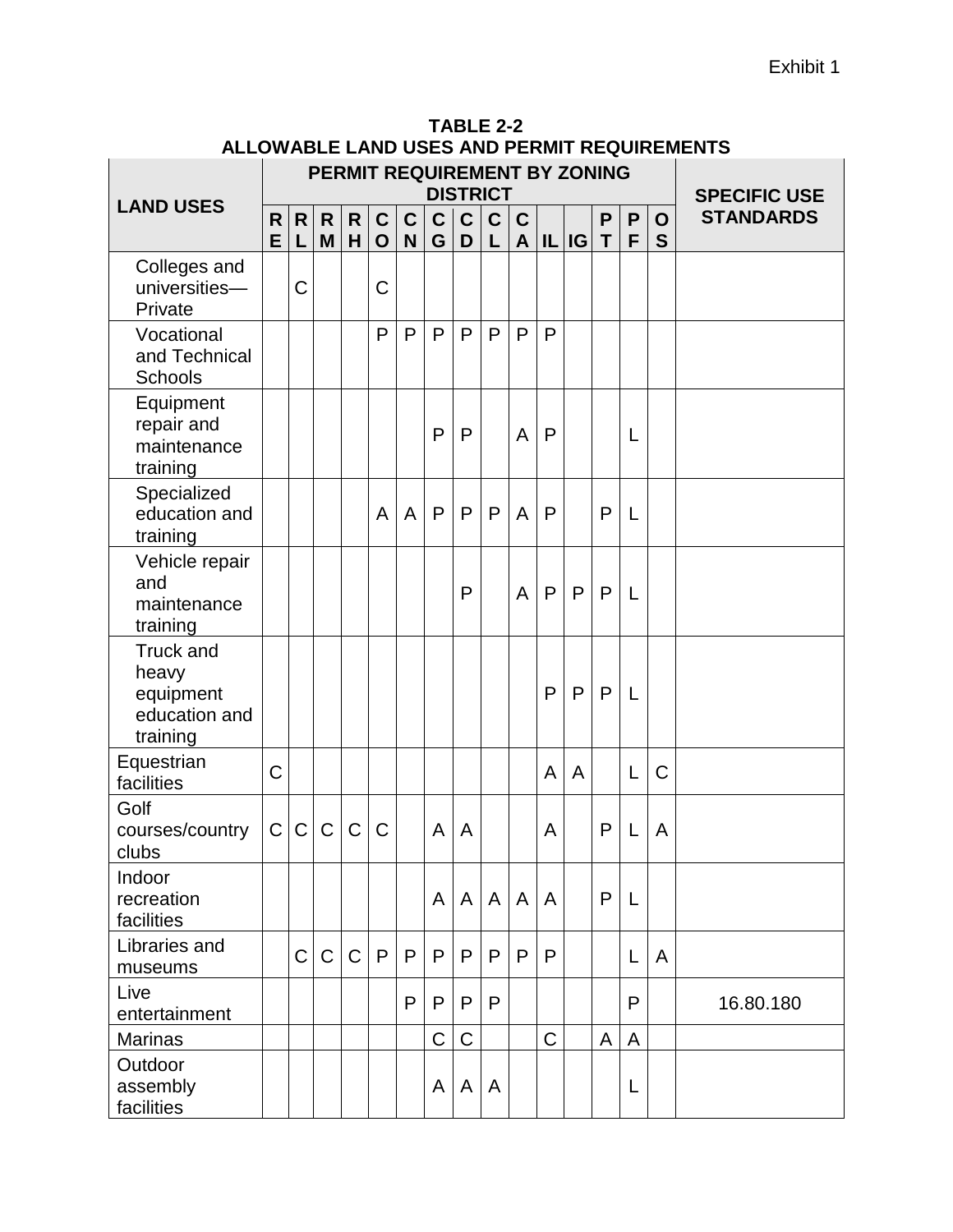|                                                                     |         |             |                   |                   |                             | PERMIT REQUIREMENT BY ZONING |                   | <b>DISTRICT</b>   |                   |             |                   |              |                             |                   |        | <b>SPECIFIC USE</b> |
|---------------------------------------------------------------------|---------|-------------|-------------------|-------------------|-----------------------------|------------------------------|-------------------|-------------------|-------------------|-------------|-------------------|--------------|-----------------------------|-------------------|--------|---------------------|
| <b>LAND USES</b>                                                    | R.<br>E | R<br>L      | $\mathsf{R}$<br>M | $\mathsf{R}$<br>H | $\mathbf{C}$<br>$\mathbf O$ | $\mathbf{C}$<br>N            | $\mathsf{C}$<br>G | $\mathsf{C}$<br>D | $\mathbf{C}$<br>L | $\mathbf C$ | $A$ $ I L $ $ G $ |              | $\mathsf{P}$<br>$\mathsf T$ | $\mathsf{P}$<br>F | O<br>S | <b>STANDARDS</b>    |
| Colleges and<br>universities-<br>Private                            |         | C           |                   |                   | $\mathsf C$                 |                              |                   |                   |                   |             |                   |              |                             |                   |        |                     |
| Vocational<br>and Technical<br>Schools                              |         |             |                   |                   | P                           | P                            | P                 | P                 | P                 | P           | P                 |              |                             |                   |        |                     |
| Equipment<br>repair and<br>maintenance<br>training                  |         |             |                   |                   |                             |                              | P                 | P                 |                   | A           | P                 |              |                             | L                 |        |                     |
| Specialized<br>education and<br>training                            |         |             |                   |                   | A                           | A                            | P                 | $\mathsf{P}$      | P                 | A           | P                 |              | $\mathsf{P}$                | L                 |        |                     |
| Vehicle repair<br>and<br>maintenance<br>training                    |         |             |                   |                   |                             |                              |                   | P                 |                   | A           | P                 | $\mathsf{P}$ | $\mathsf{P}$                | L                 |        |                     |
| <b>Truck and</b><br>heavy<br>equipment<br>education and<br>training |         |             |                   |                   |                             |                              |                   |                   |                   |             | P                 | $\mathsf{P}$ | $\mathsf{P}$                | L                 |        |                     |
| Equestrian<br>facilities                                            | C       |             |                   |                   |                             |                              |                   |                   |                   |             | A                 | A            |                             | L                 | C      |                     |
| Golf<br>courses/country<br>clubs                                    | C       | $\mathsf C$ | $\mathsf C$       | $\mathsf C$       | $\mathsf{C}$                |                              | A                 | A                 |                   |             | A                 |              | P                           | L                 | A      |                     |
| Indoor<br>recreation<br>facilities                                  |         |             |                   |                   |                             |                              | A                 | A                 | $\mathsf{A}$      | A           | A                 |              | P                           | L                 |        |                     |
| Libraries and<br>museums                                            |         | $\mathsf C$ | $\mathbf C$       | $\mathsf{C}$      | P                           | P                            | P                 | P                 | P                 | P           | P                 |              |                             | L                 | A      |                     |
| Live<br>entertainment                                               |         |             |                   |                   |                             | P                            | P                 | P                 | P                 |             |                   |              |                             | P                 |        | 16.80.180           |
| <b>Marinas</b>                                                      |         |             |                   |                   |                             |                              | C                 | $\mathsf C$       |                   |             | $\mathsf C$       |              | A                           | A                 |        |                     |
| Outdoor<br>assembly<br>facilities                                   |         |             |                   |                   |                             |                              | A                 | A                 | A                 |             |                   |              |                             | L                 |        |                     |

| TABLE 2-2                                   |
|---------------------------------------------|
| ALLOWABLE LAND USES AND PERMIT REQUIREMENTS |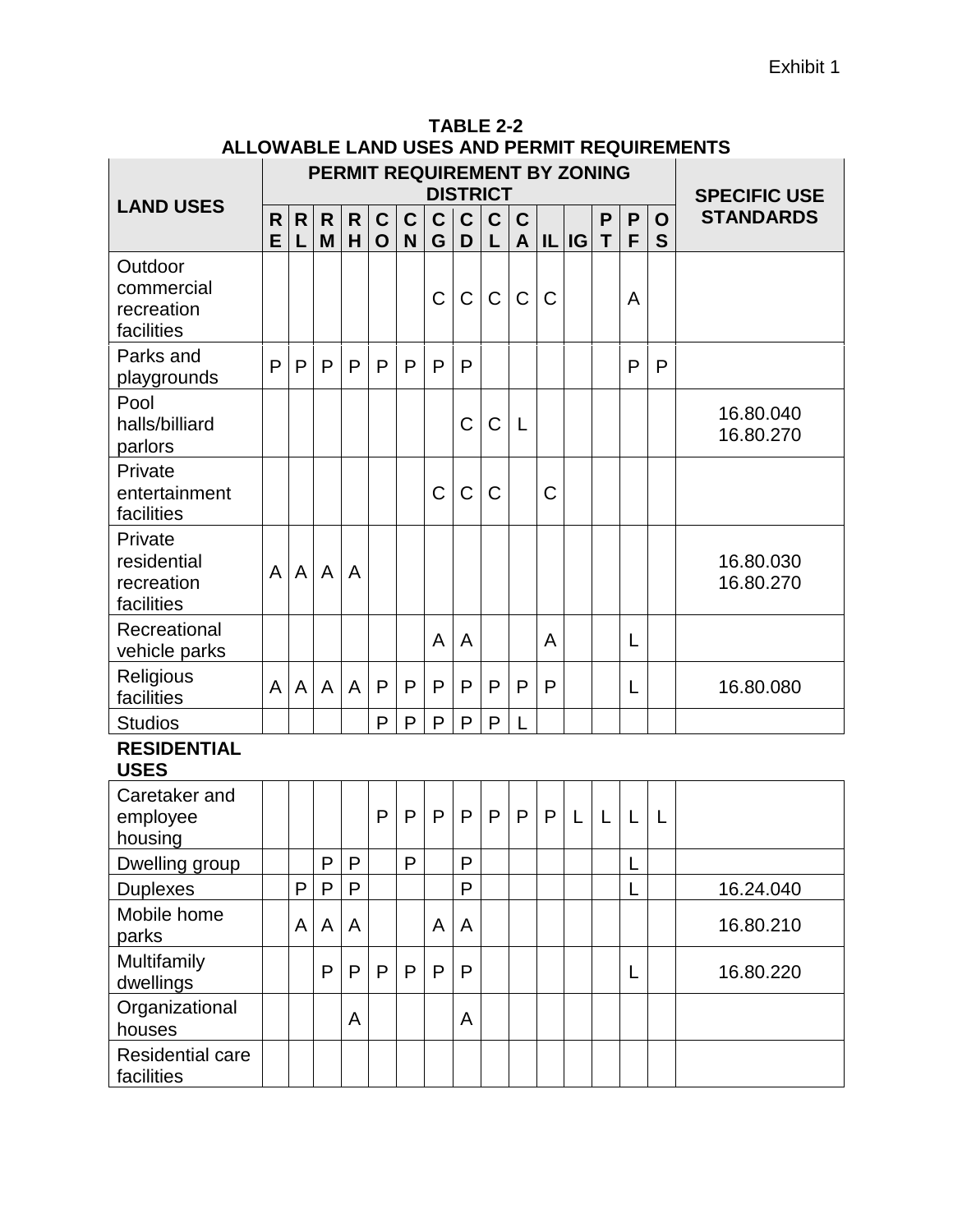|                                                    |        |        |                   |                   |                            |                            |                  |                  | <b>DISTRICT</b>  |             |             | PERMIT REQUIREMENT BY ZONING |        |        |        | <b>SPECIFIC USE</b>    |
|----------------------------------------------------|--------|--------|-------------------|-------------------|----------------------------|----------------------------|------------------|------------------|------------------|-------------|-------------|------------------------------|--------|--------|--------|------------------------|
| <b>LAND USES</b>                                   | R<br>E | R<br>L | $\mathsf{R}$<br>M | $\mathsf{R}$<br>H | $\mathbf C$<br>$\mathbf O$ | $\mathbf C$<br>$\mathbf N$ | $\mathbf C$<br>G | $\mathbf C$<br>D | $\mathbf C$<br>L | C<br>A      |             | IL IG                        | P<br>T | P<br>F | O<br>S | <b>STANDARDS</b>       |
| Outdoor<br>commercial<br>recreation<br>facilities  |        |        |                   |                   |                            |                            | $\mathsf C$      | $\mathsf C$      | C                | $\mathsf C$ | $\mathsf C$ |                              |        | A      |        |                        |
| Parks and<br>playgrounds                           | P      | P      | P                 | P                 | P                          | P                          | P                | P                |                  |             |             |                              |        | P      | P      |                        |
| Pool<br>halls/billiard<br>parlors                  |        |        |                   |                   |                            |                            |                  | $\mathsf C$      | C                | L           |             |                              |        |        |        | 16.80.040<br>16.80.270 |
| Private<br>entertainment<br>facilities             |        |        |                   |                   |                            |                            | C                | $\mathsf C$      | C                |             | C           |                              |        |        |        |                        |
| Private<br>residential<br>recreation<br>facilities | A      | A      | A                 | A                 |                            |                            |                  |                  |                  |             |             |                              |        |        |        | 16.80.030<br>16.80.270 |
| Recreational<br>vehicle parks                      |        |        |                   |                   |                            |                            | A                | A                |                  |             | A           |                              |        | L      |        |                        |
| Religious<br>facilities                            | A      | A      | A                 | A                 | P                          | P                          | P                | P                | P                | P           | P           |                              |        | L      |        | 16.80.080              |
| <b>Studios</b>                                     |        |        |                   |                   | P                          | P                          | P                | P                | P                |             |             |                              |        |        |        |                        |
| <b>RESIDENTIAL</b><br><b>USES</b>                  |        |        |                   |                   |                            |                            |                  |                  |                  |             |             |                              |        |        |        |                        |
| Caretaker and<br>employee<br>housing               |        |        |                   |                   | P                          | P                          | P                | P                | P                | P           | P           | L                            | L      | L      | L      |                        |
| Dwelling group                                     |        |        | P                 | P                 |                            | P                          |                  | P                |                  |             |             |                              |        |        |        |                        |
| <b>Duplexes</b>                                    |        | P      | P                 | P                 |                            |                            |                  | $\mathsf{P}$     |                  |             |             |                              |        | L      |        | 16.24.040              |
| Mobile home<br>parks                               |        | A      | A                 | A                 |                            |                            | A                | A                |                  |             |             |                              |        |        |        | 16.80.210              |
| Multifamily<br>dwellings                           |        |        | P                 | P                 | P                          | P                          | P                | P                |                  |             |             |                              |        | L      |        | 16.80.220              |
| Organizational<br>houses                           |        |        |                   | A                 |                            |                            |                  | A                |                  |             |             |                              |        |        |        |                        |
| Residential care                                   |        |        |                   |                   |                            |                            |                  |                  |                  |             |             |                              |        |        |        |                        |

facilities

| TABLE 2-2                                   |  |
|---------------------------------------------|--|
| ALLOWABLE LAND USES AND PERMIT REQUIREMENTS |  |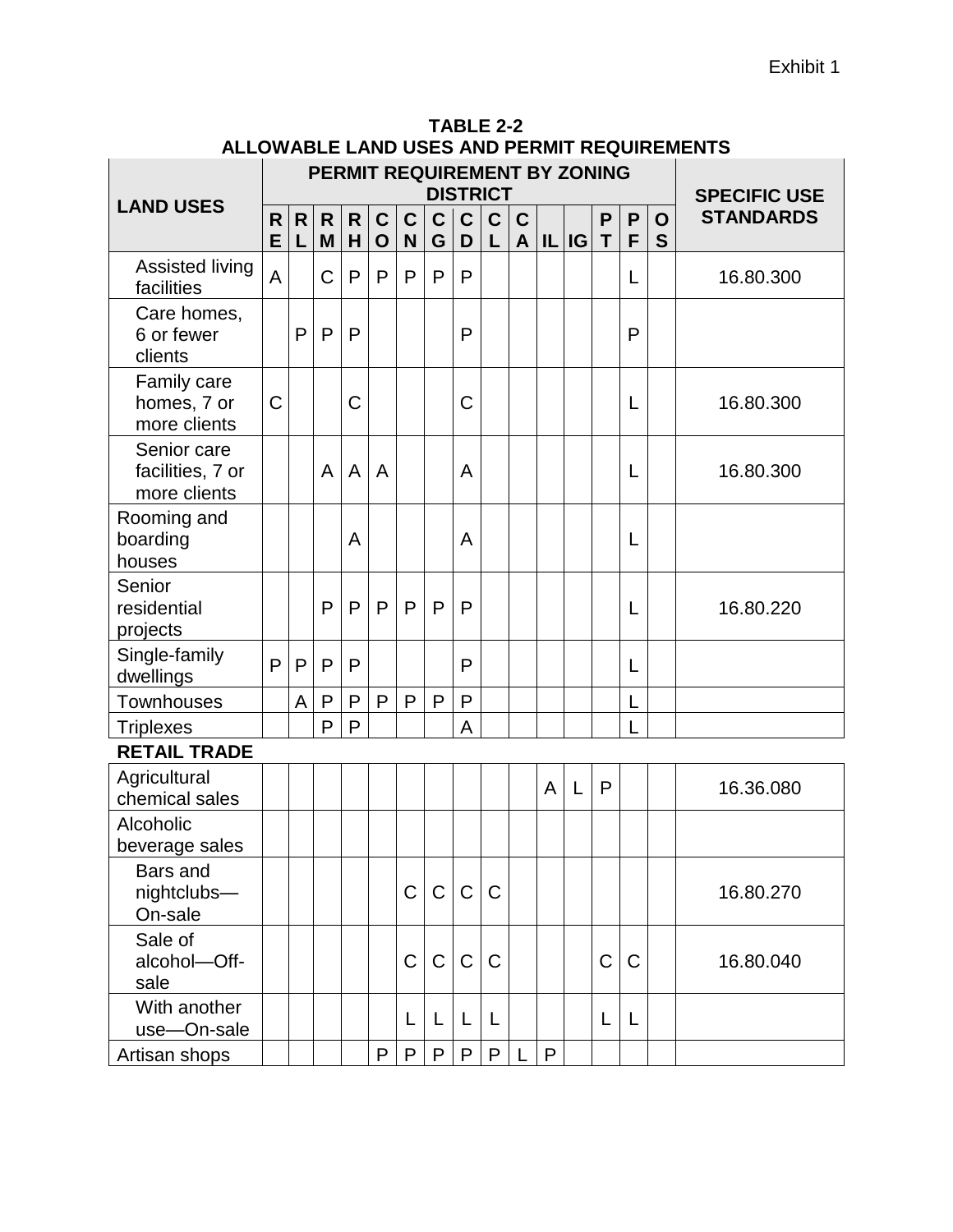|                                                 |             |        |              |                   |                            |                  |                  |                   | <b>DISTRICT</b>  |                             |                | PERMIT REQUIREMENT BY ZONING |              |              |                  | <b>SPECIFIC USE</b> |
|-------------------------------------------------|-------------|--------|--------------|-------------------|----------------------------|------------------|------------------|-------------------|------------------|-----------------------------|----------------|------------------------------|--------------|--------------|------------------|---------------------|
| <b>LAND USES</b>                                | R<br>E      | R<br>L | R.<br>M      | $\mathsf{R}$<br>H | $\mathbf C$<br>$\mathbf 0$ | $\mathbf C$<br>N | $\mathbf C$<br>G | $\mathbf{C}$<br>D | $\mathbf C$<br>L | $\mathbf C$<br>$\mathbf{A}$ | IL             | <b>IG</b>                    | P<br>T       | P<br>F       | $\mathbf O$<br>S | <b>STANDARDS</b>    |
| <b>Assisted living</b><br>facilities            | A           |        | C            | $\mathsf{P}$      | P                          | P                | P                | P                 |                  |                             |                |                              |              | L            |                  | 16.80.300           |
| Care homes,<br>6 or fewer<br>clients            |             | P      | P            | P                 |                            |                  |                  | P                 |                  |                             |                |                              |              | P            |                  |                     |
| Family care<br>homes, 7 or<br>more clients      | $\mathsf C$ |        |              | Ċ                 |                            |                  |                  | C                 |                  |                             |                |                              |              | L            |                  | 16.80.300           |
| Senior care<br>facilities, 7 or<br>more clients |             |        | A            | A                 | A                          |                  |                  | A                 |                  |                             |                |                              |              | L            |                  | 16.80.300           |
| Rooming and<br>boarding<br>houses               |             |        |              | A                 |                            |                  |                  | A                 |                  |                             |                |                              |              | L            |                  |                     |
| Senior<br>residential<br>projects               |             |        | P            | $\mathsf{P}$      | P                          | P                | $\mathsf{P}$     | $\mathsf{P}$      |                  |                             |                |                              |              | L            |                  | 16.80.220           |
| Single-family<br>dwellings                      | P           | P      | P            | P                 |                            |                  |                  | P                 |                  |                             |                |                              |              | L            |                  |                     |
| <b>Townhouses</b>                               |             | A      | $\mathsf{P}$ | $\mathsf{P}$      | $\mathsf{P}$               | $\mathsf{P}$     | $\mathsf{P}$     | $\mathsf{P}$      |                  |                             |                |                              |              | L            |                  |                     |
| <b>Triplexes</b>                                |             |        | P            | P                 |                            |                  |                  | A                 |                  |                             |                |                              |              |              |                  |                     |
| <b>RETAIL TRADE</b>                             |             |        |              |                   |                            |                  |                  |                   |                  |                             |                |                              |              |              |                  |                     |
| Agricultural<br>chemical sales                  |             |        |              |                   |                            |                  |                  |                   |                  |                             | $\overline{A}$ | L                            | $\mathsf{P}$ |              |                  | 16.36.080           |
| Alcoholic<br>beverage sales                     |             |        |              |                   |                            |                  |                  |                   |                  |                             |                |                              |              |              |                  |                     |
| Bars and<br>nightclubs-<br>On-sale              |             |        |              |                   |                            | C                | C                | $\mathsf C$       | $\mathsf{C}$     |                             |                |                              |              |              |                  | 16.80.270           |
| Sale of<br>alcohol-Off-<br>sale                 |             |        |              |                   |                            | C                | C                | $\mathsf C$       | $\mathsf C$      |                             |                |                              | C            | $\mathsf{C}$ |                  | 16.80.040           |
| With another<br>use-On-sale                     |             |        |              |                   |                            | L                | L                | L                 | L                |                             |                |                              | L            | L            |                  |                     |
| Artisan shops                                   |             |        |              |                   | P                          | $\mathsf{P}$     | P                | P                 | ${\sf P}$        |                             | P              |                              |              |              |                  |                     |

**TABLE 2-2 ALLOWABLE LAND USES AND PERMIT REQUIREMENTS**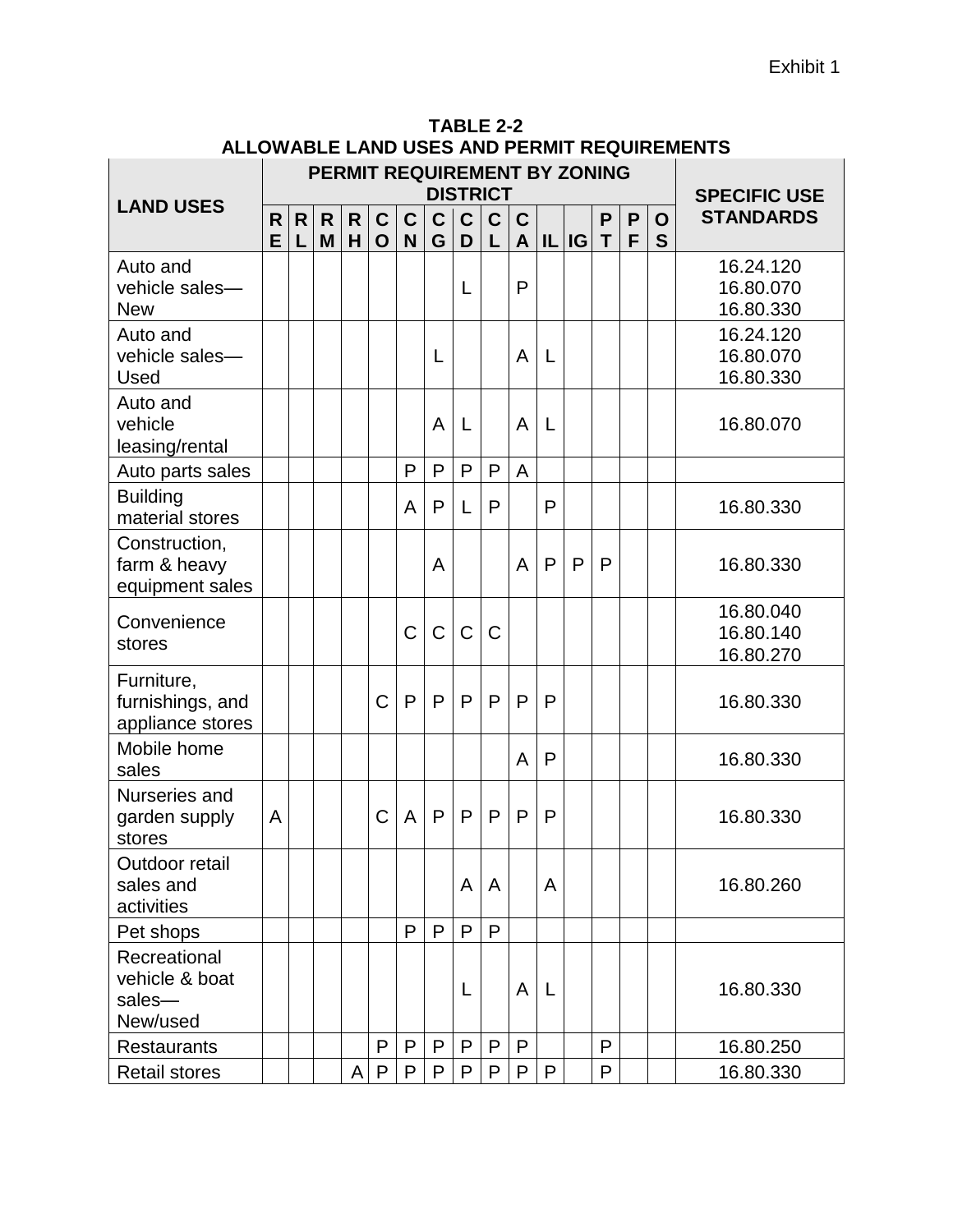|                                                      |        |        |                   |         |                            |                            |                  | <b>DISTRICT</b>   |                  |        |       | <b>PERMIT REQUIREMENT BY ZONING</b> |        |        |        | <b>SPECIFIC USE</b>                 |
|------------------------------------------------------|--------|--------|-------------------|---------|----------------------------|----------------------------|------------------|-------------------|------------------|--------|-------|-------------------------------------|--------|--------|--------|-------------------------------------|
| <b>LAND USES</b>                                     | R<br>E | R<br>L | $\mathsf{R}$<br>M | R.<br>H | $\mathbf C$<br>$\mathbf O$ | $\mathbf C$<br>$\mathbf N$ | $\mathbf C$<br>G | $\mathsf{C}$<br>D | $\mathbf C$<br>L | C<br>A | IL IG |                                     | P<br>T | P<br>F | O<br>S | <b>STANDARDS</b>                    |
| Auto and<br>vehicle sales-<br><b>New</b>             |        |        |                   |         |                            |                            |                  | L                 |                  | P      |       |                                     |        |        |        | 16.24.120<br>16.80.070<br>16.80.330 |
| Auto and<br>vehicle sales-<br><b>Used</b>            |        |        |                   |         |                            |                            | L                |                   |                  | A      | L     |                                     |        |        |        | 16.24.120<br>16.80.070<br>16.80.330 |
| Auto and<br>vehicle<br>leasing/rental                |        |        |                   |         |                            |                            | A                | L                 |                  | A      | L     |                                     |        |        |        | 16.80.070                           |
| Auto parts sales                                     |        |        |                   |         |                            | P                          | P                | P                 | P                | A      |       |                                     |        |        |        |                                     |
| <b>Building</b><br>material stores                   |        |        |                   |         |                            | A                          | P                | L                 | P                |        | P     |                                     |        |        |        | 16.80.330                           |
| Construction,<br>farm & heavy<br>equipment sales     |        |        |                   |         |                            |                            | A                |                   |                  | A      | P     | P                                   | P      |        |        | 16.80.330                           |
| Convenience<br>stores                                |        |        |                   |         |                            | C                          | C                | $\mathsf C$       | C                |        |       |                                     |        |        |        | 16.80.040<br>16.80.140<br>16.80.270 |
| Furniture,<br>furnishings, and<br>appliance stores   |        |        |                   |         | C                          | $\mathsf{P}$               | P                | P                 | $\mathsf{P}$     | P      | P     |                                     |        |        |        | 16.80.330                           |
| Mobile home<br>sales                                 |        |        |                   |         |                            |                            |                  |                   |                  | A      | P     |                                     |        |        |        | 16.80.330                           |
| Nurseries and<br>garden supply<br>stores             | A      |        |                   |         | C                          | A                          | P                | P                 | P                | P      | P     |                                     |        |        |        | 16.80.330                           |
| Outdoor retail<br>sales and<br>activities            |        |        |                   |         |                            |                            |                  | A                 | A                |        | A     |                                     |        |        |        | 16.80.260                           |
| Pet shops                                            |        |        |                   |         |                            | P                          | P                | P                 | P                |        |       |                                     |        |        |        |                                     |
| Recreational<br>vehicle & boat<br>sales-<br>New/used |        |        |                   |         |                            |                            |                  | L                 |                  | A      | L     |                                     |        |        |        | 16.80.330                           |
| <b>Restaurants</b>                                   |        |        |                   |         | P                          | P                          | P                | P                 | P                | P      |       |                                     | P      |        |        | 16.80.250                           |
| <b>Retail stores</b>                                 |        |        |                   | A       | P                          | P                          | P                | P                 | P                | P      | P     |                                     | P      |        |        | 16.80.330                           |

**TABLE 2-2 ALLOWABLE LAND USES AND PERMIT REQUIREMENTS**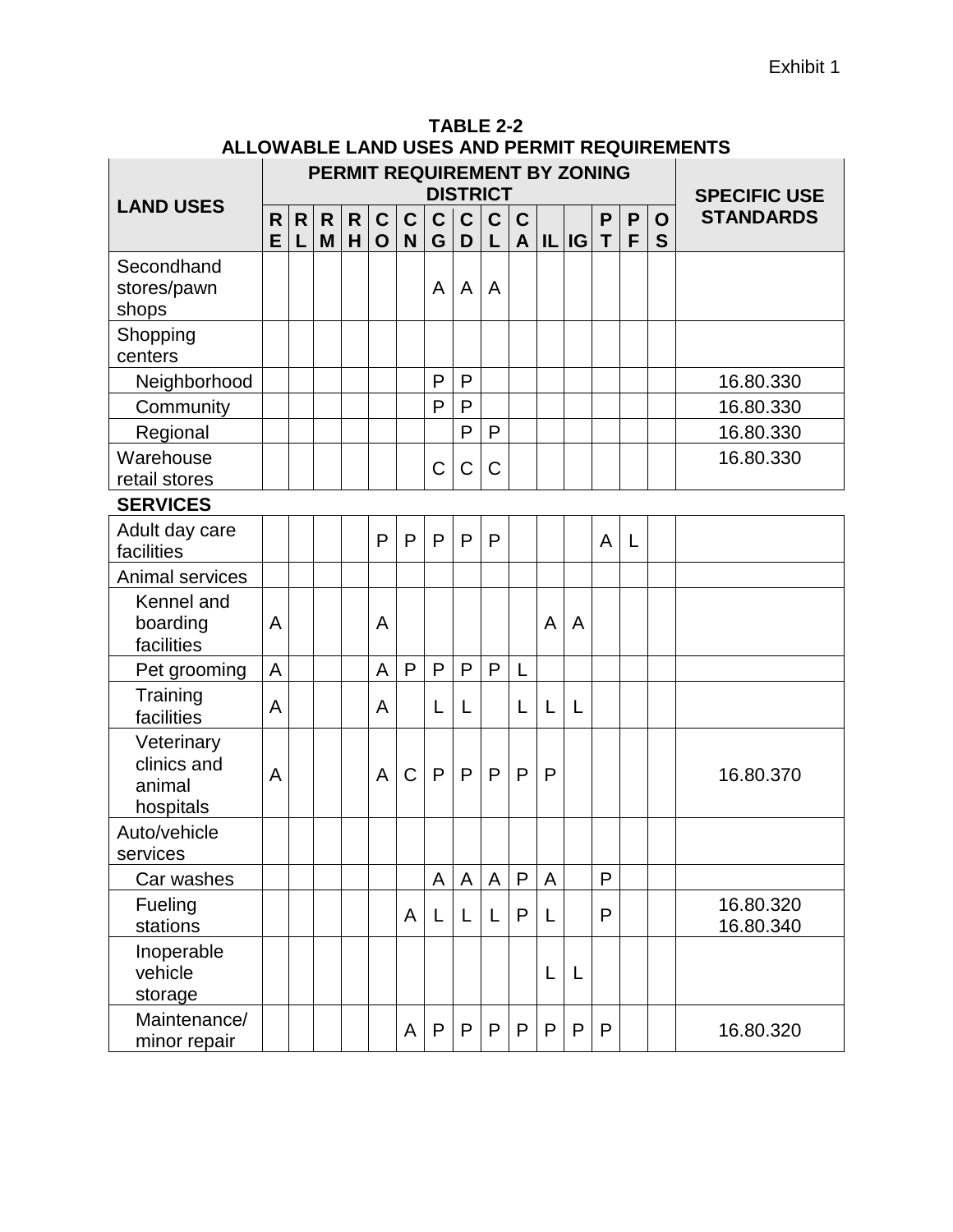|                                                  |        |        |                   |                   |                             |                            |                   |                   | <b>DISTRICT</b>  |                             |              | PERMIT REQUIREMENT BY ZONING |        |              |                  | <b>SPECIFIC USE</b>    |
|--------------------------------------------------|--------|--------|-------------------|-------------------|-----------------------------|----------------------------|-------------------|-------------------|------------------|-----------------------------|--------------|------------------------------|--------|--------------|------------------|------------------------|
| <b>LAND USES</b>                                 | R<br>E | R<br>L | $\mathsf{R}$<br>M | $\mathsf{R}$<br>H | $\mathbf{C}$<br>$\mathbf O$ | $\mathbf C$<br>$\mathbf N$ | $\mathbf{C}$<br>G | $\mathsf{C}$<br>D | $\mathbf C$<br>L | $\mathbf C$<br>$\mathsf{A}$ |              | IL IG                        | P<br>T | P<br>F       | $\mathbf O$<br>S | <b>STANDARDS</b>       |
| Secondhand<br>stores/pawn<br>shops               |        |        |                   |                   |                             |                            | A                 | A                 | A                |                             |              |                              |        |              |                  |                        |
| Shopping<br>centers                              |        |        |                   |                   |                             |                            |                   |                   |                  |                             |              |                              |        |              |                  |                        |
| Neighborhood                                     |        |        |                   |                   |                             |                            | P                 | P                 |                  |                             |              |                              |        |              |                  | 16.80.330              |
| Community                                        |        |        |                   |                   |                             |                            | P                 | P                 |                  |                             |              |                              |        |              |                  | 16.80.330              |
| Regional                                         |        |        |                   |                   |                             |                            |                   | P                 | P                |                             |              |                              |        |              |                  | 16.80.330              |
| Warehouse<br>retail stores                       |        |        |                   |                   |                             |                            | C                 | $\mathsf C$       | $\mathsf C$      |                             |              |                              |        |              |                  | 16.80.330              |
| <b>SERVICES</b>                                  |        |        |                   |                   |                             |                            |                   |                   |                  |                             |              |                              |        |              |                  |                        |
| Adult day care<br>facilities                     |        |        |                   |                   | P                           | P                          | $\mathsf{P}$      | P                 | P                |                             |              |                              | A      | $\mathsf{L}$ |                  |                        |
| Animal services                                  |        |        |                   |                   |                             |                            |                   |                   |                  |                             |              |                              |        |              |                  |                        |
| Kennel and<br>boarding<br>facilities             | A      |        |                   |                   | A                           |                            |                   |                   |                  |                             | A            | A                            |        |              |                  |                        |
| Pet grooming                                     | A      |        |                   |                   | A                           | $\mathsf{P}$               | $\mathsf{P}$      | P                 | P                | L                           |              |                              |        |              |                  |                        |
| Training<br>facilities                           | A      |        |                   |                   | A                           |                            | L                 | L                 |                  | L                           | L            | L                            |        |              |                  |                        |
| Veterinary<br>clinics and<br>animal<br>hospitals | A      |        |                   |                   | A                           | $\mathsf C$                | $\mathsf{P}$      | P                 | $\mathsf{P}$     | P                           | P            |                              |        |              |                  | 16.80.370              |
| Auto/vehicle<br>services                         |        |        |                   |                   |                             |                            |                   |                   |                  |                             |              |                              |        |              |                  |                        |
| Car washes                                       |        |        |                   |                   |                             |                            | A                 | A                 | A                | P                           | A            |                              | P      |              |                  |                        |
| Fueling<br>stations                              |        |        |                   |                   |                             | A                          | L                 | L                 | L                | P                           | L            |                              | P      |              |                  | 16.80.320<br>16.80.340 |
| Inoperable<br>vehicle<br>storage                 |        |        |                   |                   |                             |                            |                   |                   |                  |                             | L            | L                            |        |              |                  |                        |
| Maintenance/<br>minor repair                     |        |        |                   |                   |                             | A                          | $\mathsf{P}$      | $\mathsf{P}$      | P                | $\mathsf{P}$                | $\mathsf{P}$ | P                            | P      |              |                  | 16.80.320              |

| TABLE 2-2                                          |  |  |  |  |  |  |  |  |  |  |  |
|----------------------------------------------------|--|--|--|--|--|--|--|--|--|--|--|
| <b>ALLOWABLE LAND USES AND PERMIT REQUIREMENTS</b> |  |  |  |  |  |  |  |  |  |  |  |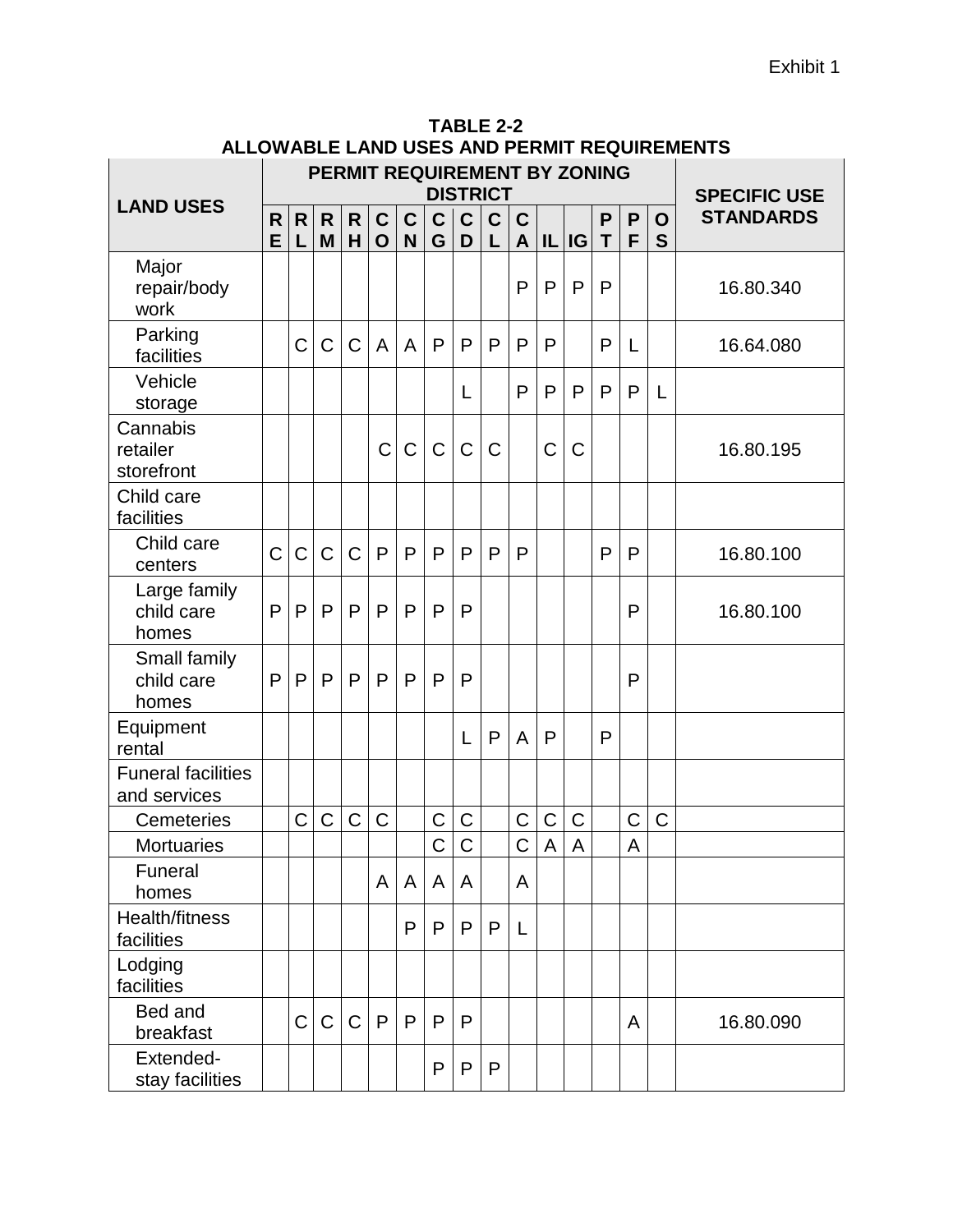|                                           | PERMIT REQUIREMENT BY ZONING<br><b>DISTRICT</b> |         |              |              |                            |                  |                  |                  |                  |                                 |   |              | <b>SPECIFIC USE</b> |             |                  |                  |  |
|-------------------------------------------|-------------------------------------------------|---------|--------------|--------------|----------------------------|------------------|------------------|------------------|------------------|---------------------------------|---|--------------|---------------------|-------------|------------------|------------------|--|
| <b>LAND USES</b>                          | R<br>E                                          | R.<br>L | R.<br>M      | R.<br>H      | $\mathbf C$<br>$\mathbf O$ | $\mathbf C$<br>N | $\mathbf C$<br>G | $\mathbf C$<br>D | $\mathbf C$<br>L | $\mathbf C$<br>$\boldsymbol{A}$ |   | IL IG        | P<br>T              | P<br>F      | $\mathbf O$<br>S | <b>STANDARDS</b> |  |
| Major<br>repair/body<br>work              |                                                 |         |              |              |                            |                  |                  |                  |                  | P                               | P | $\mathsf{P}$ | P                   |             |                  | 16.80.340        |  |
| Parking<br>facilities                     |                                                 | C       | C            | $\mathsf C$  | $\overline{A}$             | $\overline{A}$   | P                | P                | P                | P                               | P |              | P                   | L           |                  | 16.64.080        |  |
| Vehicle<br>storage                        |                                                 |         |              |              |                            |                  |                  | L                |                  | P                               | P | P            | P                   | P           | L                |                  |  |
| Cannabis<br>retailer<br>storefront        |                                                 |         |              |              | C                          | $\mathsf C$      | $\mathsf C$      | $\mathsf C$      | $\mathsf{C}$     |                                 | C | $\mathsf C$  |                     |             |                  | 16.80.195        |  |
| Child care<br>facilities                  |                                                 |         |              |              |                            |                  |                  |                  |                  |                                 |   |              |                     |             |                  |                  |  |
| Child care<br>centers                     | $\mathsf C$                                     | C       | $\mathsf C$  | $\mathsf C$  | P                          | $\mathsf{P}$     | P                | P                | P                | P                               |   |              | P                   | P           |                  | 16.80.100        |  |
| Large family<br>child care<br>homes       | $\mathsf{P}$                                    | P       | $\mathsf{P}$ | $\mathsf{P}$ | $\mathsf{P}$               | P                | P                | P                |                  |                                 |   |              |                     | P           |                  | 16.80.100        |  |
| Small family<br>child care<br>homes       | P                                               | P       | $\mathsf{P}$ | P            | $\mathsf{P}$               | $\mathsf{P}$     | P                | P                |                  |                                 |   |              |                     | P           |                  |                  |  |
| Equipment<br>rental                       |                                                 |         |              |              |                            |                  |                  | L                | P                | A                               | P |              | P                   |             |                  |                  |  |
| <b>Funeral facilities</b><br>and services |                                                 |         |              |              |                            |                  |                  |                  |                  |                                 |   |              |                     |             |                  |                  |  |
| Cemeteries                                |                                                 | C       | C            | $\mathsf C$  | $\mathsf C$                |                  | С                | C                |                  | С                               | C | C            |                     | $\mathsf C$ | C                |                  |  |
| <b>Mortuaries</b>                         |                                                 |         |              |              |                            |                  | Ċ                | $\overline{C}$   |                  | $\overline{\text{c}}$           | A | A            |                     | A           |                  |                  |  |
| Funeral<br>homes                          |                                                 |         |              |              | A                          | A                | A                | A                |                  | A                               |   |              |                     |             |                  |                  |  |
| Health/fitness<br>facilities              |                                                 |         |              |              |                            | P                | P                | P                | P                | L                               |   |              |                     |             |                  |                  |  |
| Lodging<br>facilities                     |                                                 |         |              |              |                            |                  |                  |                  |                  |                                 |   |              |                     |             |                  |                  |  |
| Bed and<br>breakfast                      |                                                 | C       | C            | $\mathsf C$  | P                          | P                | P                | P                |                  |                                 |   |              |                     | A           |                  | 16.80.090        |  |
| Extended-<br>stay facilities              |                                                 |         |              |              |                            |                  | P                | P                | P                |                                 |   |              |                     |             |                  |                  |  |

**TABLE 2-2 ALLOWABLE LAND USES AND PERMIT REQUIREMENTS**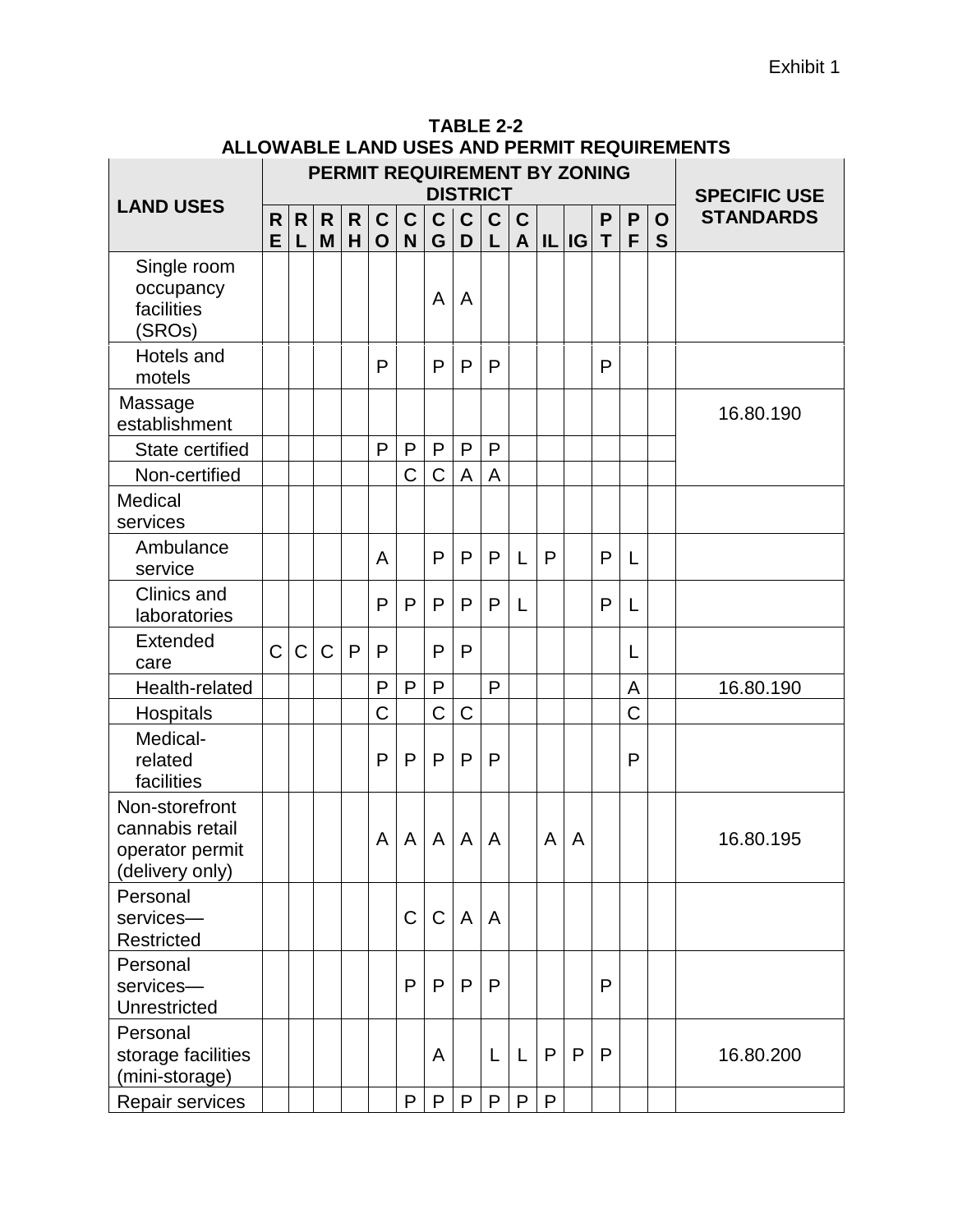|                                                                         |                |                   |             |         |                            |                  |                  | <b>DISTRICT</b>  |                  |                             |              | PERMIT REQUIREMENT BY ZONING |        |              |                  | <b>SPECIFIC USE</b> |
|-------------------------------------------------------------------------|----------------|-------------------|-------------|---------|----------------------------|------------------|------------------|------------------|------------------|-----------------------------|--------------|------------------------------|--------|--------------|------------------|---------------------|
| <b>LAND USES</b>                                                        | R<br>E         | $\mathsf{R}$<br>L | R<br>M      | R.<br>H | $\mathbf C$<br>$\mathbf O$ | $\mathbf c$<br>N | $\mathbf C$<br>G | $\mathbf C$<br>D | $\mathbf C$<br>L | $\mathbf C$<br>$\mathsf{A}$ |              | $ I $ $ G $                  | P<br>T | P<br>F       | $\mathbf O$<br>S | <b>STANDARDS</b>    |
| Single room<br>occupancy<br>facilities<br>(SROs)                        |                |                   |             |         |                            |                  | A                | $\overline{A}$   |                  |                             |              |                              |        |              |                  |                     |
| Hotels and<br>motels                                                    |                |                   |             |         | P                          |                  | $\mathsf{P}$     | $\mathsf{P}$     | P                |                             |              |                              | P      |              |                  |                     |
| Massage<br>establishment                                                |                |                   |             |         |                            |                  |                  |                  |                  |                             |              |                              |        |              |                  | 16.80.190           |
| State certified                                                         |                |                   |             |         | P                          | P                | $\mathsf{P}$     | $\mathsf{P}$     | P                |                             |              |                              |        |              |                  |                     |
| Non-certified                                                           |                |                   |             |         |                            | С                | C                | A                | A                |                             |              |                              |        |              |                  |                     |
| Medical<br>services                                                     |                |                   |             |         |                            |                  |                  |                  |                  |                             |              |                              |        |              |                  |                     |
| Ambulance<br>service                                                    |                |                   |             |         | A                          |                  | P                | P                | P                | L                           | P            |                              | P      | L            |                  |                     |
| Clinics and<br>laboratories                                             |                |                   |             |         | $\mathsf{P}$               | P                | $\mathsf{P}$     | $\mathsf{P}$     | P                | L                           |              |                              | P      | L            |                  |                     |
| <b>Extended</b><br>care                                                 | $\overline{C}$ | C                 | $\mathsf C$ | P       | P                          |                  | $\mathsf{P}$     | P                |                  |                             |              |                              |        | L            |                  |                     |
| Health-related                                                          |                |                   |             |         | P                          | P                | $\mathsf{P}$     |                  | P                |                             |              |                              |        | A            |                  | 16.80.190           |
| Hospitals                                                               |                |                   |             |         | $\mathsf C$                |                  | C                | $\mathsf C$      |                  |                             |              |                              |        | C            |                  |                     |
| Medical-<br>related<br>facilities                                       |                |                   |             |         | P                          | $\mathsf{P}$     | P                | P                | P                |                             |              |                              |        | $\mathsf{P}$ |                  |                     |
| Non-storefront<br>cannabis retail<br>operator permit<br>(delivery only) |                |                   |             |         | A                          | A                | A                | $\overline{A}$   | A                |                             | A            | A                            |        |              |                  | 16.80.195           |
| Personal<br>services-<br>Restricted                                     |                |                   |             |         |                            | C                | $\mathsf C$      | $\overline{A}$   | A                |                             |              |                              |        |              |                  |                     |
| Personal<br>services-<br><b>Unrestricted</b>                            |                |                   |             |         |                            | P                | P                | $\mathsf{P}$     | P                |                             |              |                              | P      |              |                  |                     |
| Personal<br>storage facilities<br>(mini-storage)                        |                |                   |             |         |                            |                  | A                |                  | L                | L                           | P            | P                            | P      |              |                  | 16.80.200           |
| Repair services                                                         |                |                   |             |         |                            | P                | $\mathsf{P}$     | P                | P                | $\mathsf{P}$                | $\mathsf{P}$ |                              |        |              |                  |                     |

**TABLE 2-2 ALLOWABLE LAND USES AND PERMIT REQUIREMENTS**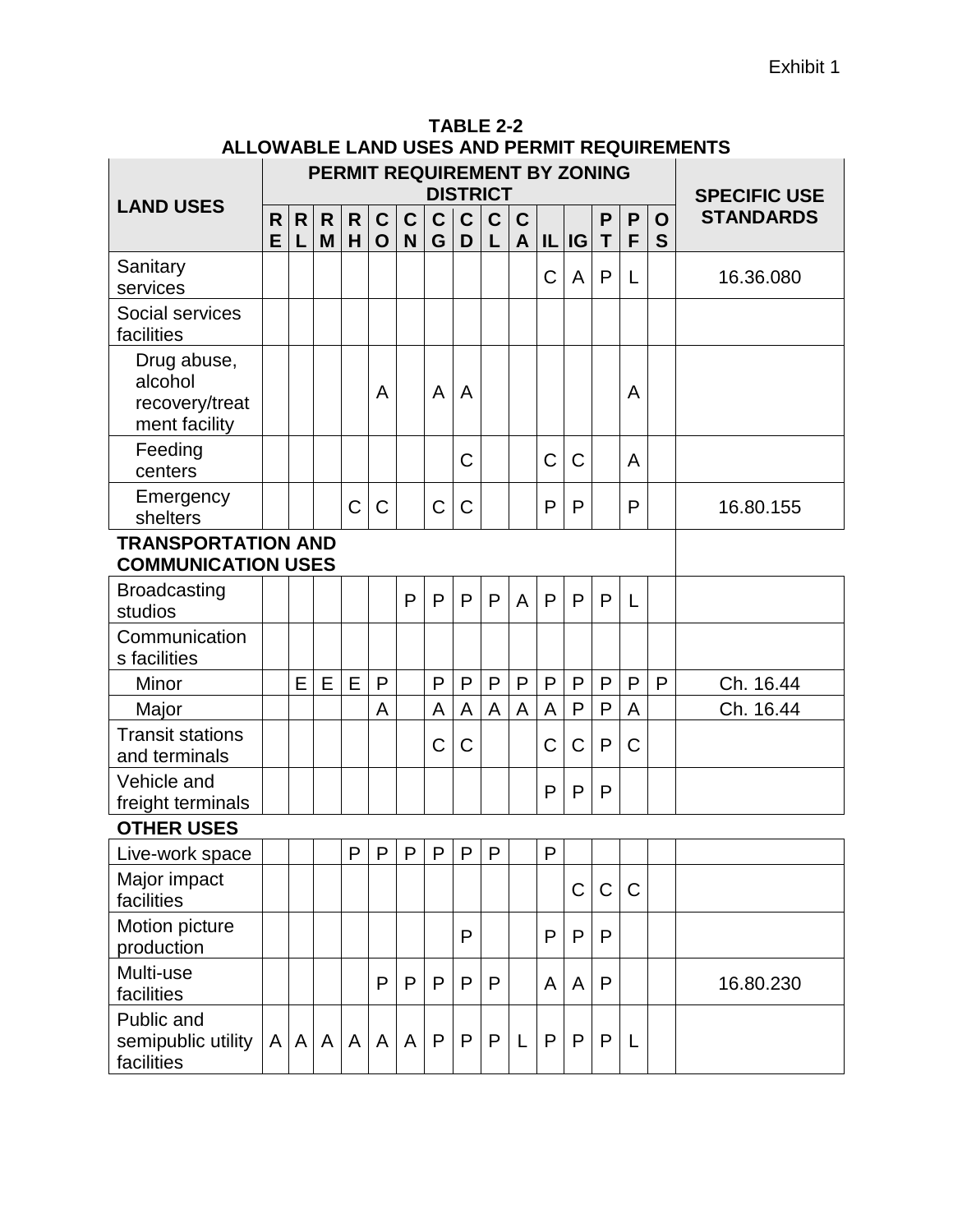|                                                           |         |   |                   |        |                             |                  |                   |                   | <b>DISTRICT</b>  |                  |           | PERMIT REQUIREMENT BY ZONING |                |        |                  | <b>SPECIFIC USE</b> |
|-----------------------------------------------------------|---------|---|-------------------|--------|-----------------------------|------------------|-------------------|-------------------|------------------|------------------|-----------|------------------------------|----------------|--------|------------------|---------------------|
| <b>LAND USES</b>                                          | R.<br>E | R | $\mathsf{R}$<br>M | R<br>H | $\mathbf{C}$<br>$\mathbf O$ | $\mathbf C$<br>N | $\mathsf{C}$<br>G | $\mathsf{C}$<br>D | $\mathbf C$<br>L | $\mathbf C$<br>A |           | IL IG                        | P<br>T         | P<br>F | $\mathbf O$<br>S | <b>STANDARDS</b>    |
| Sanitary<br>services                                      |         |   |                   |        |                             |                  |                   |                   |                  |                  | C         | A                            | P              | L      |                  | 16.36.080           |
| Social services<br>facilities                             |         |   |                   |        |                             |                  |                   |                   |                  |                  |           |                              |                |        |                  |                     |
| Drug abuse,<br>alcohol<br>recovery/treat<br>ment facility |         |   |                   |        | A                           |                  | A                 | A                 |                  |                  |           |                              |                | A      |                  |                     |
| Feeding<br>centers                                        |         |   |                   |        |                             |                  |                   | C                 |                  |                  | C         | C                            |                | A      |                  |                     |
| Emergency<br>shelters                                     |         |   |                   | C      | $\mathsf C$                 |                  | C                 | C                 |                  |                  | P         | P                            |                | P      |                  | 16.80.155           |
| <b>TRANSPORTATION AND</b><br><b>COMMUNICATION USES</b>    |         |   |                   |        |                             |                  |                   |                   |                  |                  |           |                              |                |        |                  |                     |
| <b>Broadcasting</b><br>studios                            |         |   |                   |        |                             | P                | P                 | P                 | P                | A                | P         | P                            | $\mathsf{P}$   | L      |                  |                     |
| Communication<br>s facilities                             |         |   |                   |        |                             |                  |                   |                   |                  |                  |           |                              |                |        |                  |                     |
| Minor                                                     |         | E | E                 | E      | P                           |                  | P                 | P                 | $\mathsf{P}$     | P                | P         | $\mathsf{P}$                 | $\mathsf{P}$   | P      | P                | Ch. 16.44           |
| Major                                                     |         |   |                   |        | A                           |                  | A                 | A                 | A                | A                | A         | P                            | $\overline{P}$ | A      |                  | Ch. 16.44           |
| <b>Transit stations</b><br>and terminals                  |         |   |                   |        |                             |                  | C                 | C                 |                  |                  | C         | $\mathsf C$                  | P              | С      |                  |                     |
| Vehicle and<br>freight terminals                          |         |   |                   |        |                             |                  |                   |                   |                  |                  | P         | P                            | P              |        |                  |                     |
| <b>OTHER USES</b>                                         |         |   |                   |        |                             |                  |                   |                   |                  |                  |           |                              |                |        |                  |                     |
| Live-work space                                           |         |   |                   | P      |                             | P   P            | ${\sf P}$         | ${\sf P}$         | $\sf P$          |                  | ${\sf P}$ |                              |                |        |                  |                     |
| Major impact<br>facilities                                |         |   |                   |        |                             |                  |                   |                   |                  |                  |           | C                            | $\mathbf C$    | C      |                  |                     |
| Motion picture<br>production                              |         |   |                   |        |                             |                  |                   | P                 |                  |                  | P         | P                            | P              |        |                  |                     |
| Multi-use<br>facilities                                   |         |   |                   |        | P                           | P                | P                 | P                 | P                |                  | A         | A                            | $\mathsf{P}$   |        |                  | 16.80.230           |
| Public and<br>semipublic utility<br>facilities            | A       | A | A                 | A      | A                           | $\mathsf{A}$     | P                 | $\mathsf{P}$      | P                | L                | P         | P                            | P              | L      |                  |                     |

#### **TABLE 2-2 ALLOWABLE LAND USES AND PERMIT REQUIREMENTS**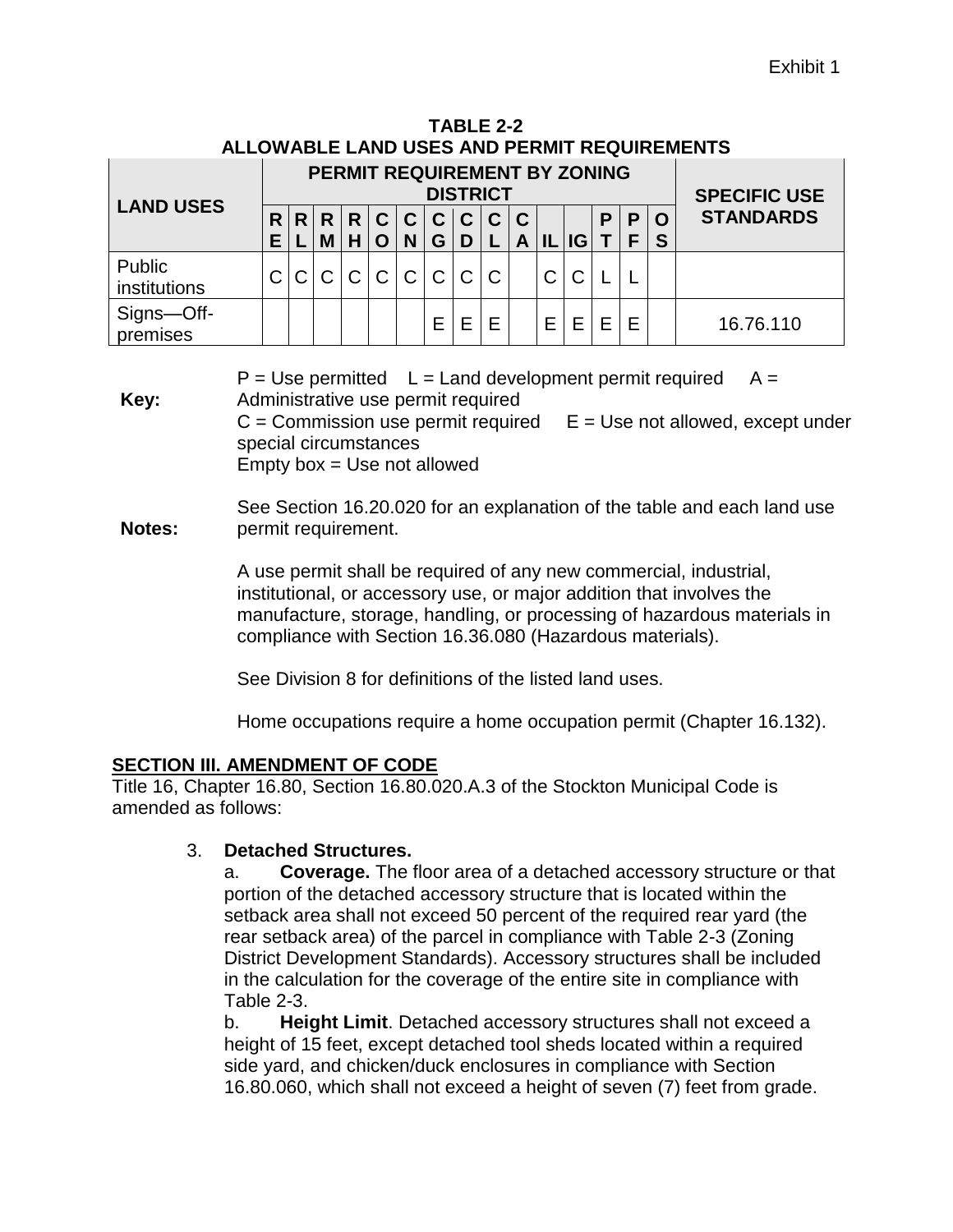| TABLE 2-2                                   |
|---------------------------------------------|
| ALLOWABLE LAND USES AND PERMIT REQUIREMENTS |

|                        |        | <b>PERMIT REQUIREMENT BY ZONING</b><br><b>DISTRICT</b> |        |                     |                |                        |              |               |   |                             |     |           |   |        |                     | <b>SPECIFIC USE</b> |  |  |
|------------------------|--------|--------------------------------------------------------|--------|---------------------|----------------|------------------------|--------------|---------------|---|-----------------------------|-----|-----------|---|--------|---------------------|---------------------|--|--|
| <b>LAND USES</b>       | R<br>Е | R <sub>1</sub>                                         | R<br>M | R <sub>1</sub><br>н |                | C C <br>N <sub>1</sub> | $'$ G        | C C<br>D L    | C | $\mathbf C$<br>$\mathsf{A}$ | IL. | <b>IG</b> | P | P<br>F | $\overline{O}$<br>S | <b>STANDARDS</b>    |  |  |
| Public<br>institutions |        |                                                        |        | $\mathsf{C}$        | $\overline{C}$ | $\mathsf{C}$           | $\mathsf{C}$ | $\mathcal{C}$ | C |                             |     |           |   |        |                     |                     |  |  |
| Signs-Off-<br>premises |        |                                                        |        |                     |                |                        | F            | F             |   |                             | E   | F         | F |        |                     | 16.76.110           |  |  |

**Key:**  $P = Use$  permitted  $L =$  Land development permit required  $A =$ Administrative use permit required  $C =$  Commission use permit required  $E =$  Use not allowed, except under special circumstances Empty box  $=$  Use not allowed

**Notes:** See Section 16.20.020 for an explanation of the table and each land use permit requirement.

> A use permit shall be required of any new commercial, industrial, institutional, or accessory use, or major addition that involves the manufacture, storage, handling, or processing of hazardous materials in compliance with Section 16.36.080 (Hazardous materials).

See Division 8 for definitions of the listed land uses.

Home occupations require a home occupation permit (Chapter 16.132).

#### **SECTION III. AMENDMENT OF CODE**

Title 16, Chapter 16.80, Section 16.80.020.A.3 of the Stockton Municipal Code is amended as follows:

#### 3. **Detached Structures.**

a. **Coverage.** The floor area of a detached accessory structure or that portion of the detached accessory structure that is located within the setback area shall not exceed 50 percent of the required rear yard (the rear setback area) of the parcel in compliance with Table 2-3 (Zoning District Development Standards). Accessory structures shall be included in the calculation for the coverage of the entire site in compliance with Table 2-3.

b. **Height Limit**. Detached accessory structures shall not exceed a height of 15 feet, except detached tool sheds located within a required side yard, and chicken/duck enclosures in compliance with Section 16.80.060, which shall not exceed a height of seven (7) feet from grade.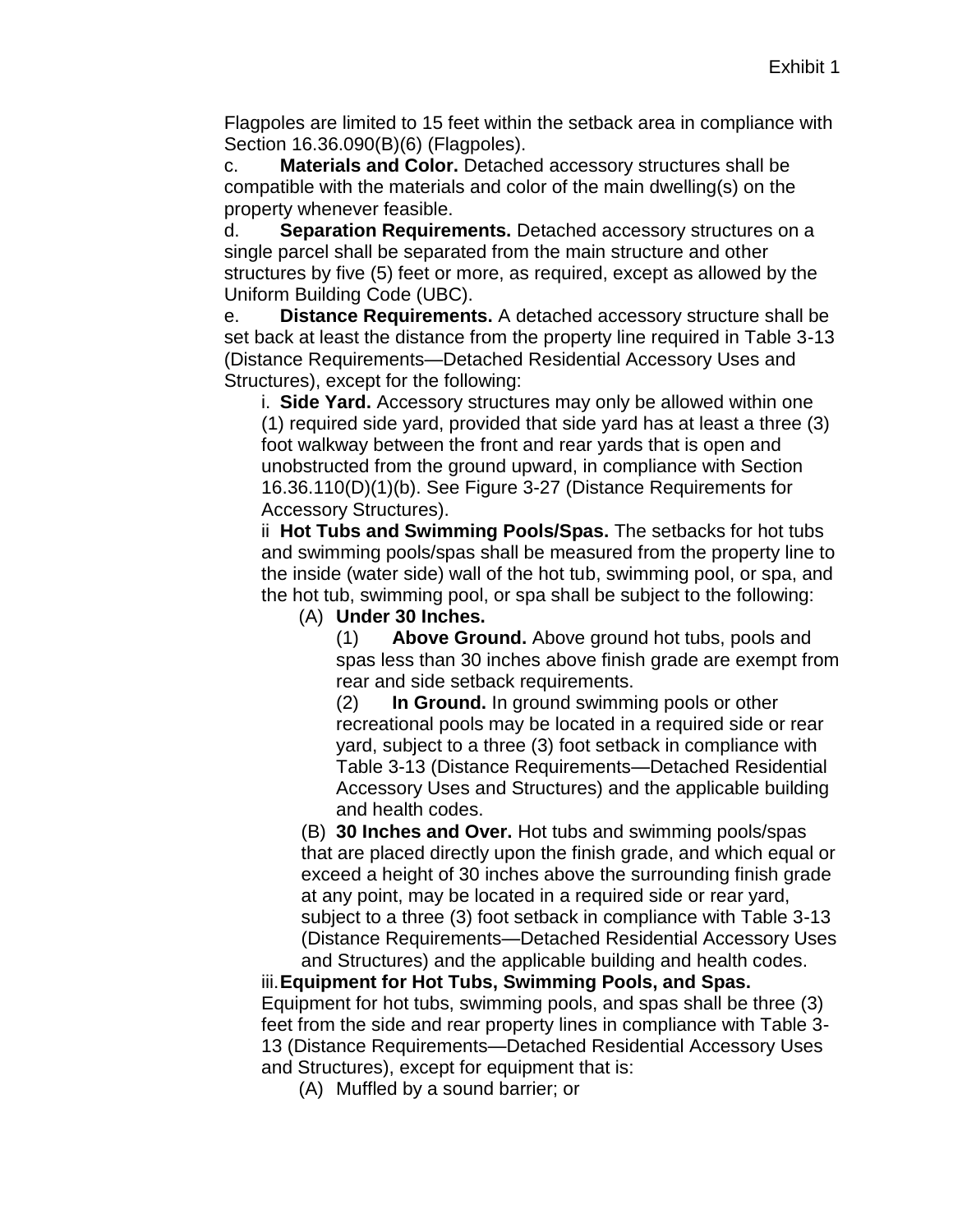Flagpoles are limited to 15 feet within the setback area in compliance with Section 16.36.090(B)(6) (Flagpoles).

c. **Materials and Color.** Detached accessory structures shall be compatible with the materials and color of the main dwelling(s) on the property whenever feasible.

d. **Separation Requirements.** Detached accessory structures on a single parcel shall be separated from the main structure and other structures by five (5) feet or more, as required, except as allowed by the Uniform Building Code (UBC).

e. **Distance Requirements.** A detached accessory structure shall be set back at least the distance from the property line required in Table 3-13 (Distance Requirements—Detached Residential Accessory Uses and Structures), except for the following:

i. **Side Yard.** Accessory structures may only be allowed within one (1) required side yard, provided that side yard has at least a three (3) foot walkway between the front and rear yards that is open and unobstructed from the ground upward, in compliance with Section 16.36.110(D)(1)(b). See Figure 3-27 (Distance Requirements for Accessory Structures).

ii **Hot Tubs and Swimming Pools/Spas.** The setbacks for hot tubs and swimming pools/spas shall be measured from the property line to the inside (water side) wall of the hot tub, swimming pool, or spa, and the hot tub, swimming pool, or spa shall be subject to the following:

(A) **Under 30 Inches.**

(1) **Above Ground.** Above ground hot tubs, pools and spas less than 30 inches above finish grade are exempt from rear and side setback requirements.

(2) **In Ground.** In ground swimming pools or other recreational pools may be located in a required side or rear yard, subject to a three (3) foot setback in compliance with Table 3-13 (Distance Requirements—Detached Residential Accessory Uses and Structures) and the applicable building and health codes.

(B) **30 Inches and Over.** Hot tubs and swimming pools/spas that are placed directly upon the finish grade, and which equal or exceed a height of 30 inches above the surrounding finish grade at any point, may be located in a required side or rear yard, subject to a three (3) foot setback in compliance with Table 3-13 (Distance Requirements—Detached Residential Accessory Uses and Structures) and the applicable building and health codes.

iii.**Equipment for Hot Tubs, Swimming Pools, and Spas.** Equipment for hot tubs, swimming pools, and spas shall be three (3) feet from the side and rear property lines in compliance with Table 3- 13 (Distance Requirements—Detached Residential Accessory Uses and Structures), except for equipment that is:

(A) Muffled by a sound barrier; or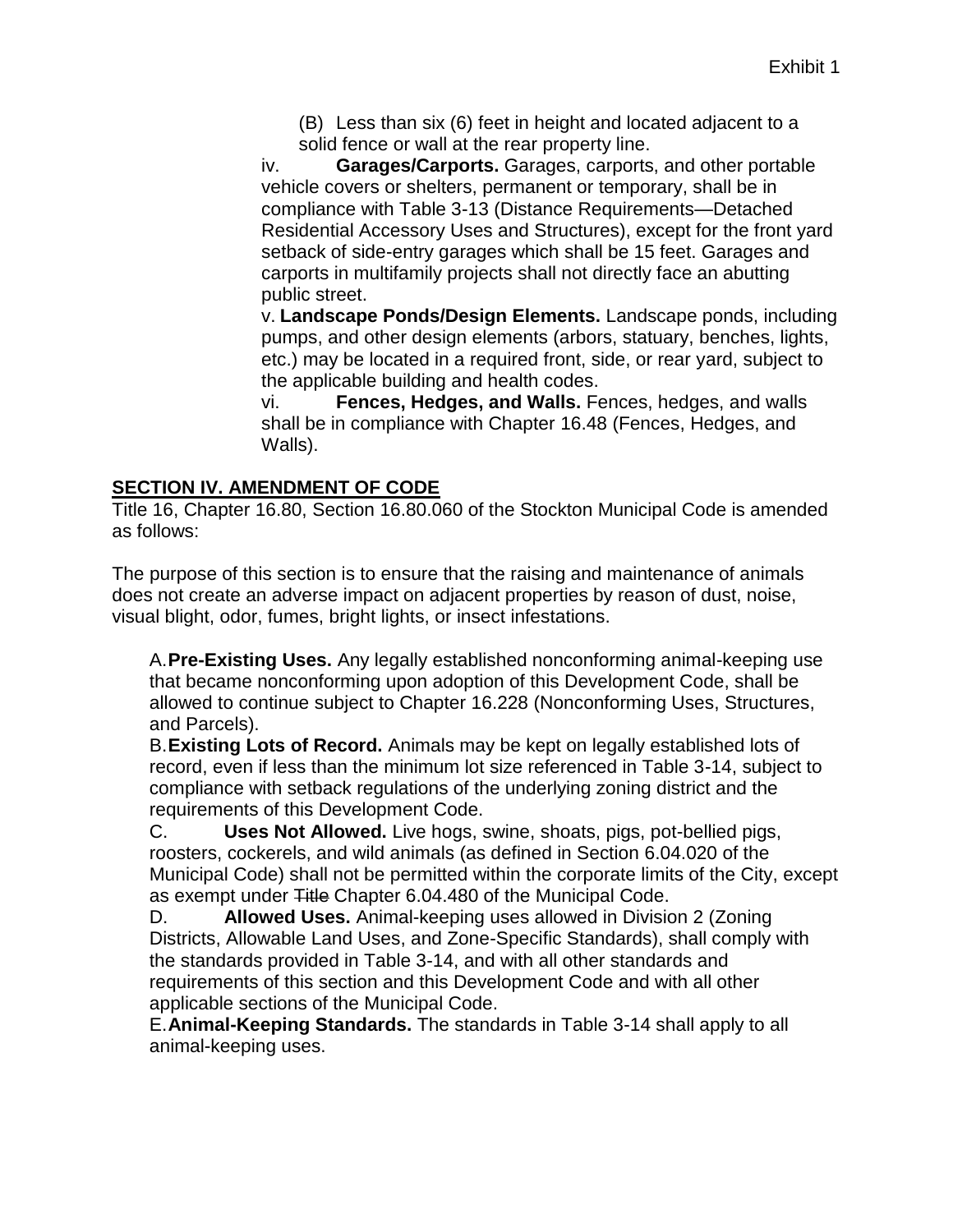(B) Less than six (6) feet in height and located adjacent to a solid fence or wall at the rear property line.

iv. **Garages/Carports.** Garages, carports, and other portable vehicle covers or shelters, permanent or temporary, shall be in compliance with Table 3-13 (Distance Requirements—Detached Residential Accessory Uses and Structures), except for the front yard setback of side-entry garages which shall be 15 feet. Garages and carports in multifamily projects shall not directly face an abutting public street.

v. **Landscape Ponds/Design Elements.** Landscape ponds, including pumps, and other design elements (arbors, statuary, benches, lights, etc.) may be located in a required front, side, or rear yard, subject to the applicable building and health codes.

vi. **Fences, Hedges, and Walls.** Fences, hedges, and walls shall be in compliance with Chapter 16.48 (Fences, Hedges, and Walls).

#### **SECTION IV. AMENDMENT OF CODE**

Title 16, Chapter 16.80, Section 16.80.060 of the Stockton Municipal Code is amended as follows:

The purpose of this section is to ensure that the raising and maintenance of animals does not create an adverse impact on adjacent properties by reason of dust, noise, visual blight, odor, fumes, bright lights, or insect infestations.

A.**Pre-Existing Uses.** Any legally established nonconforming animal-keeping use that became nonconforming upon adoption of this Development Code, shall be allowed to continue subject to Chapter 16.228 (Nonconforming Uses, Structures, and Parcels).

B.**Existing Lots of Record.** Animals may be kept on legally established lots of record, even if less than the minimum lot size referenced in Table 3-14, subject to compliance with setback regulations of the underlying zoning district and the requirements of this Development Code.

C. **Uses Not Allowed.** Live hogs, swine, shoats, pigs, pot-bellied pigs, roosters, cockerels, and wild animals (as defined in Section 6.04.020 of the Municipal Code) shall not be permitted within the corporate limits of the City, except as exempt under Title Chapter 6.04.480 of the Municipal Code.

D. **Allowed Uses.** Animal-keeping uses allowed in Division 2 (Zoning Districts, Allowable Land Uses, and Zone-Specific Standards), shall comply with the standards provided in Table 3-14, and with all other standards and requirements of this section and this Development Code and with all other applicable sections of the Municipal Code.

E.**Animal-Keeping Standards.** The standards in Table 3-14 shall apply to all animal-keeping uses.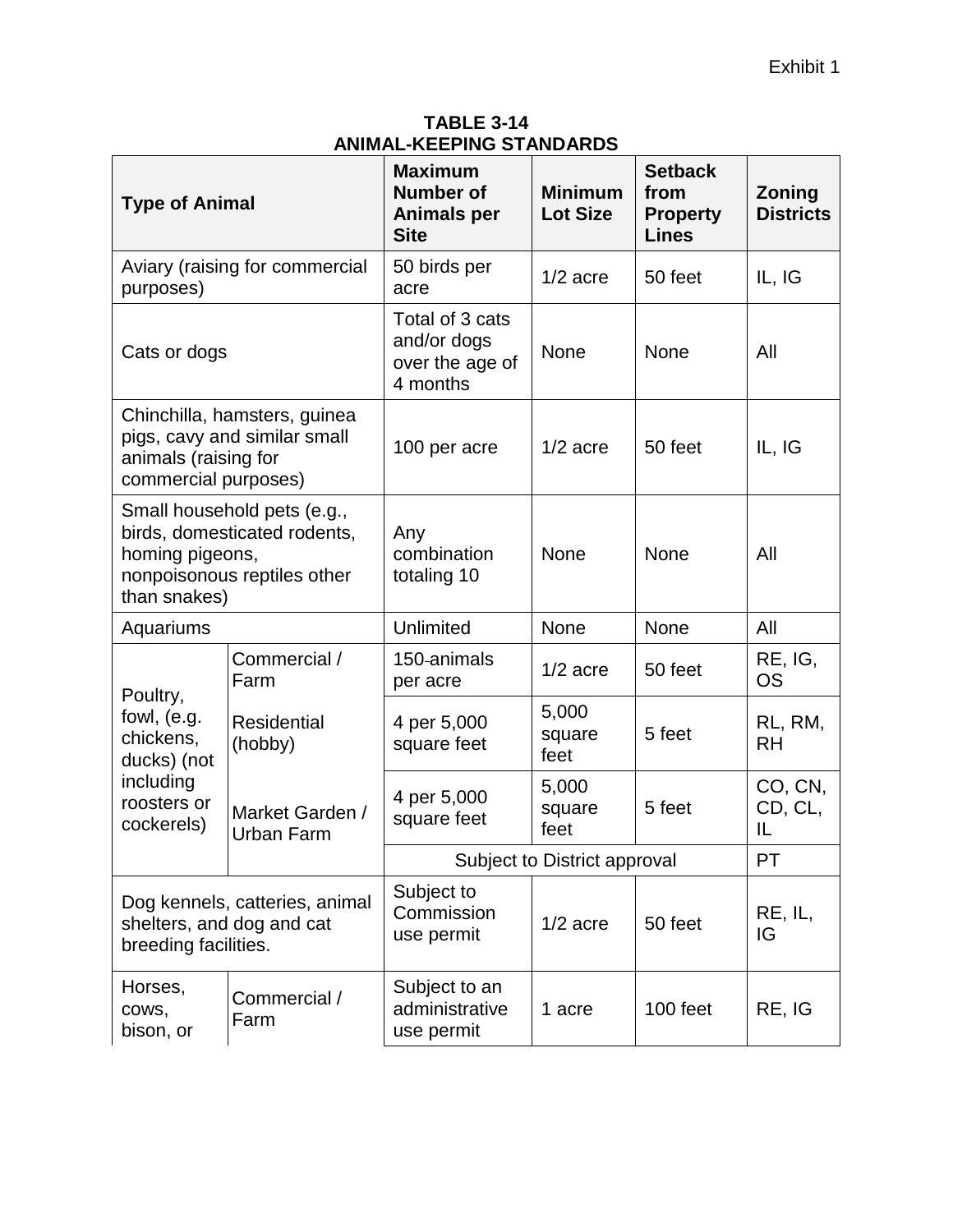**TABLE 3-14 ANIMAL-KEEPING STANDARDS**

| <b>Type of Animal</b>                        |                                                                                            | <b>Maximum</b><br><b>Number of</b><br><b>Animals per</b><br><b>Site</b> | <b>Minimum</b><br><b>Lot Size</b> | <b>Setback</b><br>from<br><b>Property</b><br><b>Lines</b> | <b>Zoning</b><br><b>Districts</b> |
|----------------------------------------------|--------------------------------------------------------------------------------------------|-------------------------------------------------------------------------|-----------------------------------|-----------------------------------------------------------|-----------------------------------|
| purposes)                                    | Aviary (raising for commercial                                                             | 50 birds per<br>acre                                                    | $1/2$ acre                        | 50 feet                                                   | IL, IG                            |
| Cats or dogs                                 |                                                                                            | Total of 3 cats<br>and/or dogs<br>over the age of<br>4 months           | None                              | None                                                      | All                               |
| animals (raising for<br>commercial purposes) | Chinchilla, hamsters, guinea<br>pigs, cavy and similar small                               | 100 per acre                                                            | $1/2$ acre                        | 50 feet                                                   | IL, IG                            |
| homing pigeons,<br>than snakes)              | Small household pets (e.g.,<br>birds, domesticated rodents,<br>nonpoisonous reptiles other | Any<br>combination<br>totaling 10                                       | <b>None</b>                       | <b>None</b>                                               | All                               |
| Aquariums                                    |                                                                                            | <b>Unlimited</b>                                                        | <b>None</b>                       | <b>None</b>                                               | All                               |
| Poultry,                                     | Commercial /<br>Farm                                                                       | 150-animals<br>per acre                                                 | $1/2$ acre                        | 50 feet                                                   | RE, IG,<br><b>OS</b>              |
| fowl, (e.g.<br>chickens,<br>ducks) (not      | <b>Residential</b><br>(hobby)                                                              | 4 per 5,000<br>square feet                                              | 5,000<br>square<br>feet           | 5 feet                                                    | RL, RM,<br><b>RH</b>              |
| including<br>roosters or<br>cockerels)       | Market Garden /<br><b>Urban Farm</b>                                                       | 4 per 5,000<br>square feet                                              | 5,000<br>square<br>feet           | 5 feet                                                    | CO, CN,<br>CD, CL,<br>IL          |
|                                              |                                                                                            |                                                                         | Subject to District approval      |                                                           | РT                                |
| breeding facilities.                         | Dog kennels, catteries, animal<br>shelters, and dog and cat                                | Subject to<br>Commission<br>use permit                                  | $1/2$ acre                        | 50 feet                                                   | RE, IL,<br>IG                     |
| Horses,<br>COWS,<br>bison, or                | Commercial /<br>Farm                                                                       | Subject to an<br>administrative<br>use permit                           | 1 acre                            | 100 feet                                                  | RE, IG                            |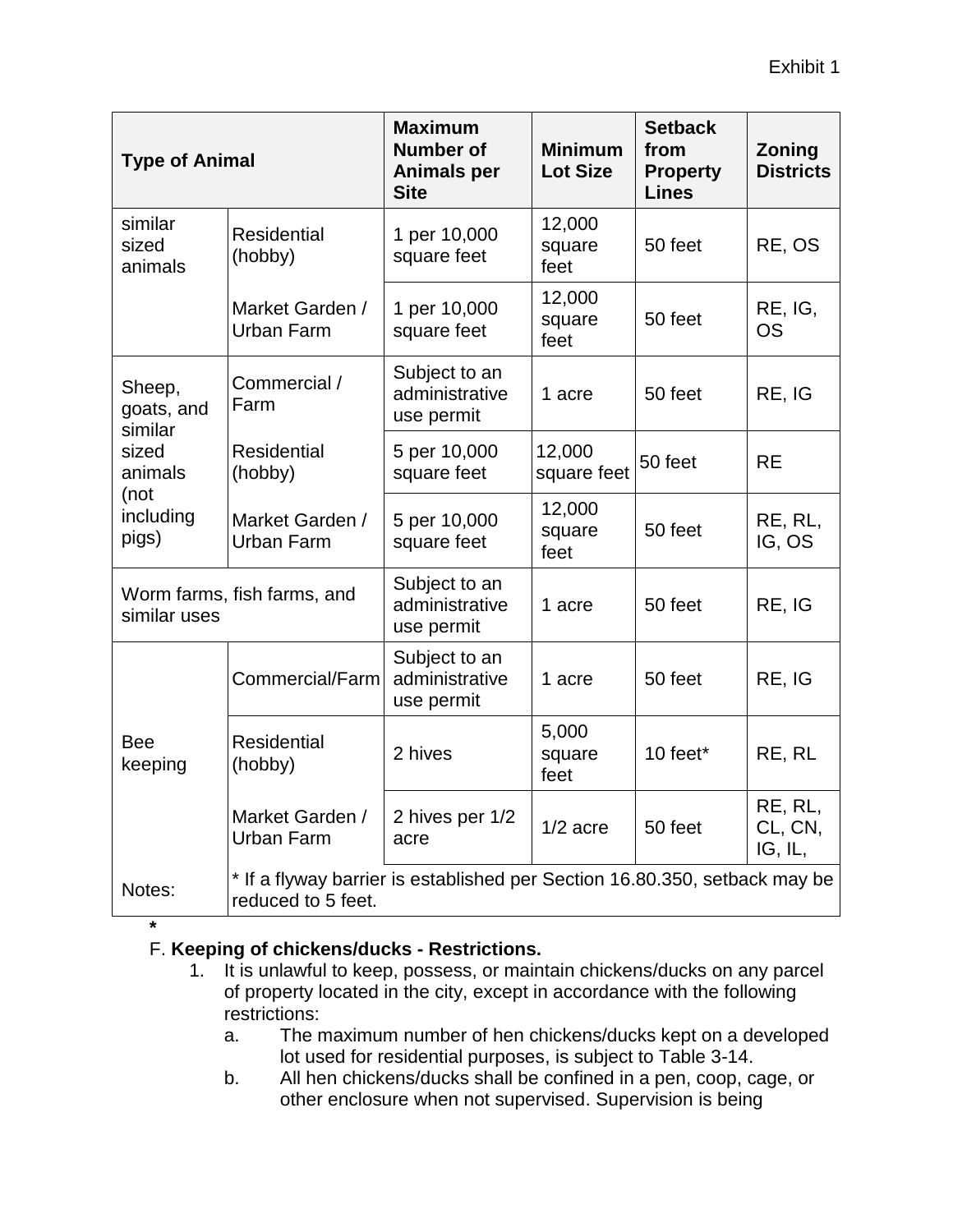| <b>Type of Animal</b>           |                                                                                                  | <b>Maximum</b><br><b>Number of</b><br><b>Animals per</b><br><b>Site</b> | <b>Minimum</b><br><b>Lot Size</b> | <b>Setback</b><br>from<br><b>Property</b><br><b>Lines</b> | Zoning<br><b>Districts</b>    |
|---------------------------------|--------------------------------------------------------------------------------------------------|-------------------------------------------------------------------------|-----------------------------------|-----------------------------------------------------------|-------------------------------|
| similar<br>sized<br>animals     | <b>Residential</b><br>(hobby)                                                                    | 1 per 10,000<br>square feet                                             | 12,000<br>square<br>feet          | 50 feet                                                   | RE, OS                        |
|                                 | Market Garden /<br><b>Urban Farm</b>                                                             | 1 per 10,000<br>square feet                                             | 12,000<br>square<br>feet          | 50 feet                                                   | RE, IG,<br><b>OS</b>          |
| Sheep,<br>goats, and<br>similar | Commercial /<br>Farm                                                                             | Subject to an<br>administrative<br>use permit                           | 1 acre                            | 50 feet                                                   | RE, IG                        |
| sized<br>animals                | <b>Residential</b><br>(hobby)                                                                    | 5 per 10,000<br>square feet                                             | 12,000<br>square feet             | 50 feet                                                   | <b>RE</b>                     |
| (not<br>including<br>pigs)      | Market Garden /<br><b>Urban Farm</b>                                                             | 5 per 10,000<br>square feet                                             | 12,000<br>square<br>feet          | 50 feet                                                   | RE, RL,<br>IG, OS             |
| similar uses                    | Worm farms, fish farms, and                                                                      | Subject to an<br>administrative<br>use permit                           | 1 acre                            | 50 feet                                                   | RE, IG                        |
|                                 | Commercial/Farm                                                                                  | Subject to an<br>administrative<br>use permit                           | 1 acre                            | 50 feet                                                   | RE, IG                        |
| <b>Bee</b><br>keeping           | <b>Residential</b><br>(hobby)                                                                    | 2 hives                                                                 | 5,000<br>square<br>feet           | 10 feet*                                                  | RE, RL                        |
|                                 | Market Garden /<br>Urban Farm                                                                    | 2 hives per 1/2<br>acre                                                 | $1/2$ acre                        | 50 feet                                                   | RE, RL,<br>CL, CN,<br>IG, IL, |
| Notes:                          | * If a flyway barrier is established per Section 16.80.350, setback may be<br>reduced to 5 feet. |                                                                         |                                   |                                                           |                               |

**\***

# F. **Keeping of chickens/ducks - Restrictions.**

- 1. It is unlawful to keep, possess, or maintain chickens/ducks on any parcel of property located in the city, except in accordance with the following restrictions:
	- a. The maximum number of hen chickens/ducks kept on a developed lot used for residential purposes, is subject to Table 3-14.
	- b. All hen chickens/ducks shall be confined in a pen, coop, cage, or other enclosure when not supervised. Supervision is being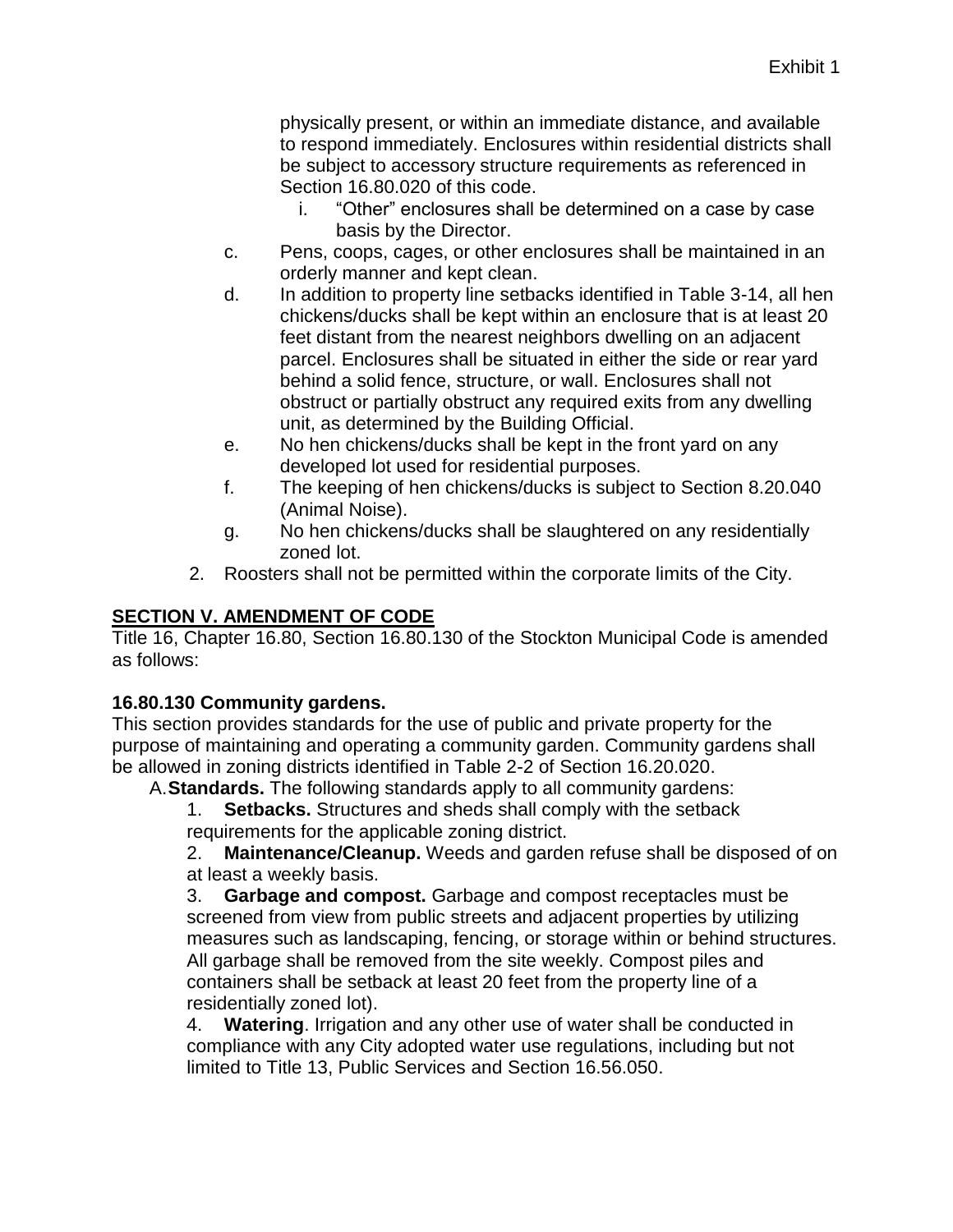physically present, or within an immediate distance, and available to respond immediately. Enclosures within residential districts shall be subject to accessory structure requirements as referenced in Section 16.80.020 of this code.

- i. "Other" enclosures shall be determined on a case by case basis by the Director.
- c. Pens, coops, cages, or other enclosures shall be maintained in an orderly manner and kept clean.
- d. In addition to property line setbacks identified in Table 3-14, all hen chickens/ducks shall be kept within an enclosure that is at least 20 feet distant from the nearest neighbors dwelling on an adjacent parcel. Enclosures shall be situated in either the side or rear yard behind a solid fence, structure, or wall. Enclosures shall not obstruct or partially obstruct any required exits from any dwelling unit, as determined by the Building Official.
- e. No hen chickens/ducks shall be kept in the front yard on any developed lot used for residential purposes.
- f. The keeping of hen chickens/ducks is subject to Section 8.20.040 (Animal Noise).
- g. No hen chickens/ducks shall be slaughtered on any residentially zoned lot.
- 2. Roosters shall not be permitted within the corporate limits of the City.

# **SECTION V. AMENDMENT OF CODE**

Title 16, Chapter 16.80, Section 16.80.130 of the Stockton Municipal Code is amended as follows:

# **16.80.130 Community gardens.**

This section provides standards for the use of public and private property for the purpose of maintaining and operating a community garden. Community gardens shall be allowed in zoning districts identified in Table 2-2 of Section 16.20.020.

A.**Standards.** The following standards apply to all community gardens:

1. **Setbacks.** Structures and sheds shall comply with the setback requirements for the applicable zoning district.

2. **Maintenance/Cleanup.** Weeds and garden refuse shall be disposed of on at least a weekly basis.

3. **Garbage and compost.** Garbage and compost receptacles must be screened from view from public streets and adjacent properties by utilizing measures such as landscaping, fencing, or storage within or behind structures. All garbage shall be removed from the site weekly. Compost piles and containers shall be setback at least 20 feet from the property line of a residentially zoned lot).

4. **Watering**. Irrigation and any other use of water shall be conducted in compliance with any City adopted water use regulations, including but not limited to Title 13, Public Services and Section 16.56.050.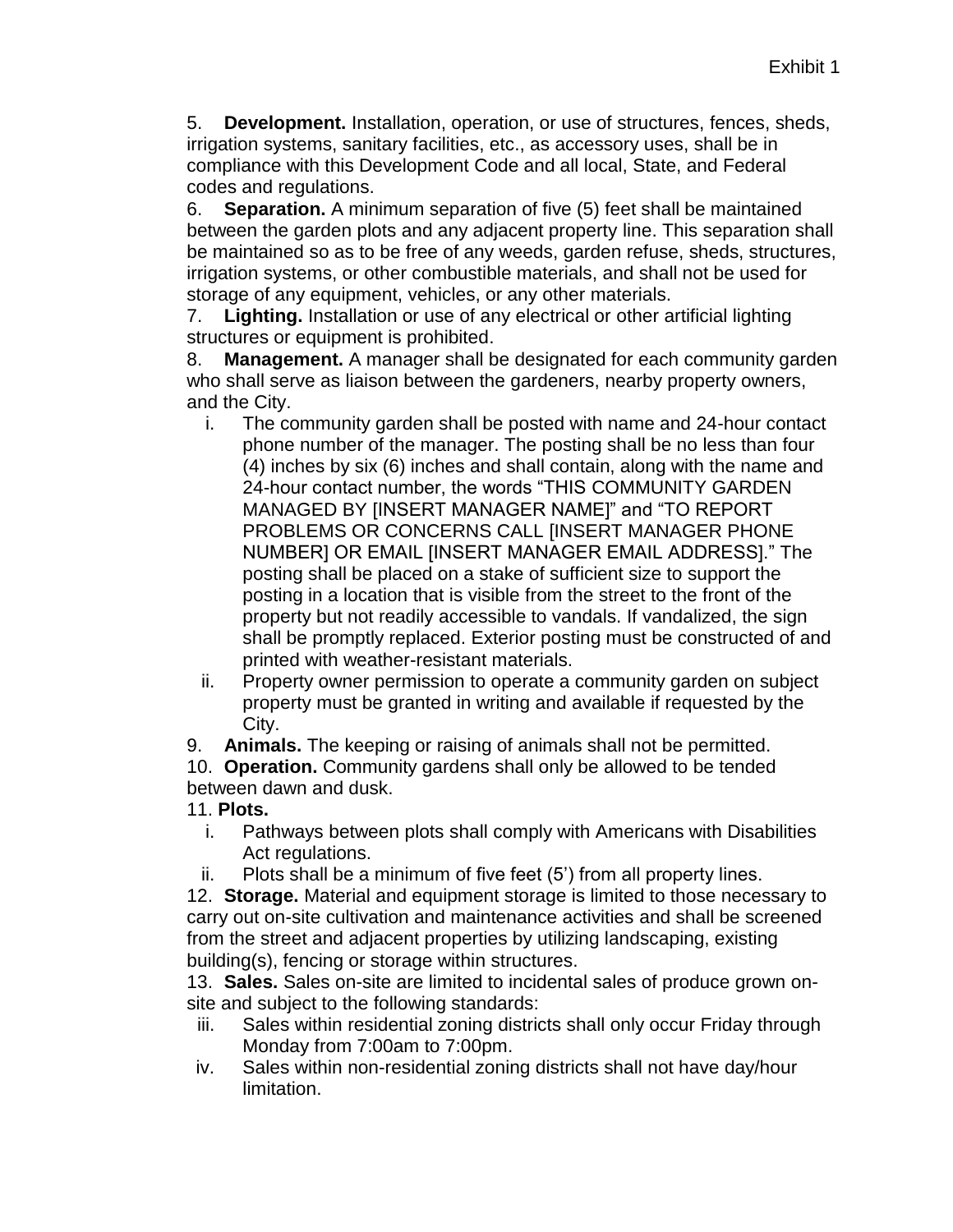5. **Development.** Installation, operation, or use of structures, fences, sheds, irrigation systems, sanitary facilities, etc., as accessory uses, shall be in compliance with this Development Code and all local, State, and Federal codes and regulations.

6. **Separation.** A minimum separation of five (5) feet shall be maintained between the garden plots and any adjacent property line. This separation shall be maintained so as to be free of any weeds, garden refuse, sheds, structures, irrigation systems, or other combustible materials, and shall not be used for storage of any equipment, vehicles, or any other materials.

7. **Lighting.** Installation or use of any electrical or other artificial lighting structures or equipment is prohibited.

8. **Management.** A manager shall be designated for each community garden who shall serve as liaison between the gardeners, nearby property owners, and the City.

- i. The community garden shall be posted with name and 24-hour contact phone number of the manager. The posting shall be no less than four (4) inches by six (6) inches and shall contain, along with the name and 24-hour contact number, the words "THIS COMMUNITY GARDEN MANAGED BY [INSERT MANAGER NAME]" and "TO REPORT PROBLEMS OR CONCERNS CALL [INSERT MANAGER PHONE NUMBER] OR EMAIL [INSERT MANAGER EMAIL ADDRESS]." The posting shall be placed on a stake of sufficient size to support the posting in a location that is visible from the street to the front of the property but not readily accessible to vandals. If vandalized, the sign shall be promptly replaced. Exterior posting must be constructed of and printed with weather-resistant materials.
- ii. Property owner permission to operate a community garden on subject property must be granted in writing and available if requested by the City.

9. **Animals.** The keeping or raising of animals shall not be permitted.

10. **Operation.** Community gardens shall only be allowed to be tended between dawn and dusk.

- 11. **Plots.**
	- i. Pathways between plots shall comply with Americans with Disabilities Act regulations.
	- ii. Plots shall be a minimum of five feet (5') from all property lines.

12. **Storage.** Material and equipment storage is limited to those necessary to carry out on-site cultivation and maintenance activities and shall be screened from the street and adjacent properties by utilizing landscaping, existing building(s), fencing or storage within structures.

13. **Sales.** Sales on-site are limited to incidental sales of produce grown onsite and subject to the following standards:

- iii. Sales within residential zoning districts shall only occur Friday through Monday from 7:00am to 7:00pm.
- iv. Sales within non-residential zoning districts shall not have day/hour limitation.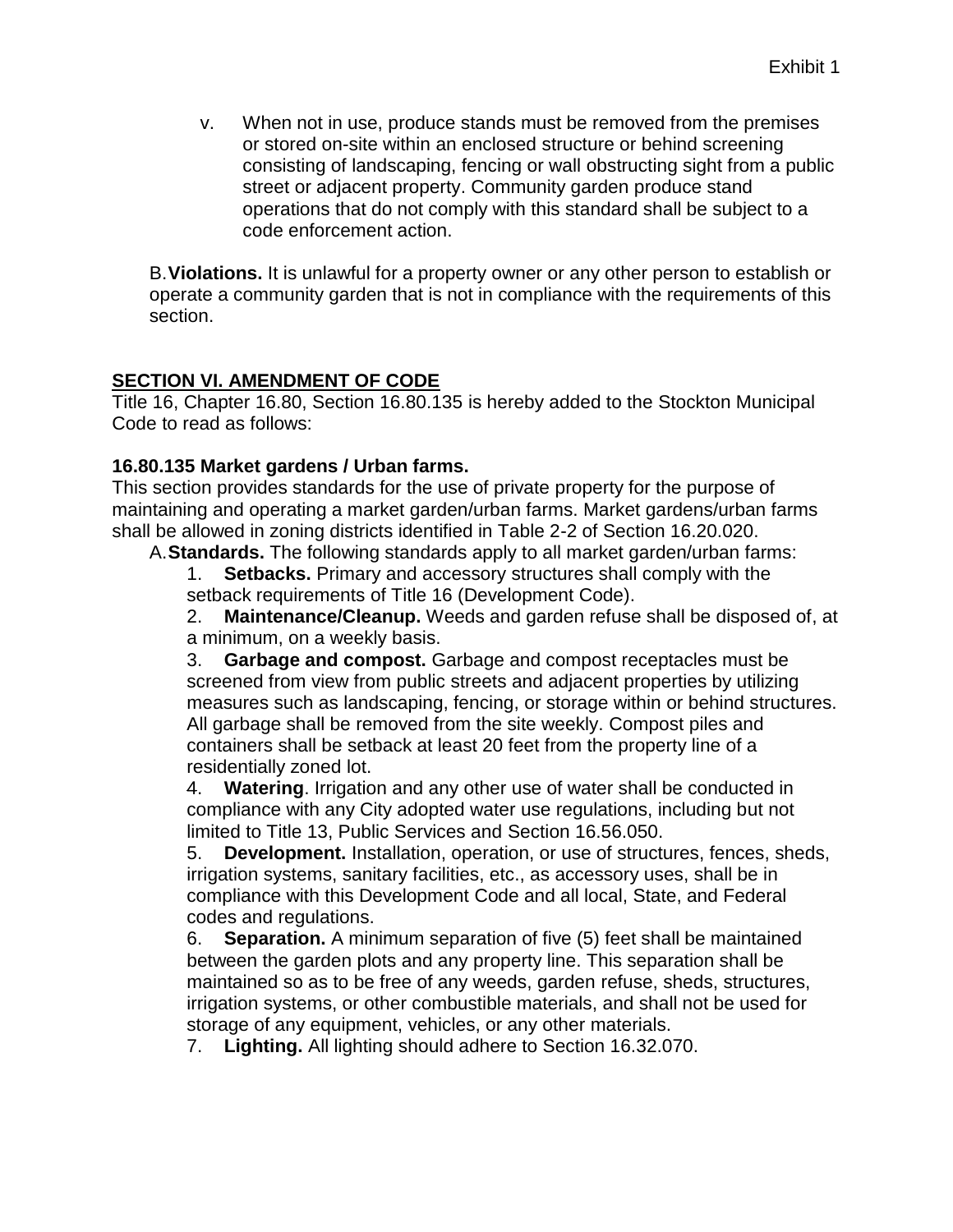v. When not in use, produce stands must be removed from the premises or stored on-site within an enclosed structure or behind screening consisting of landscaping, fencing or wall obstructing sight from a public street or adjacent property. Community garden produce stand operations that do not comply with this standard shall be subject to a code enforcement action.

B.**Violations.** It is unlawful for a property owner or any other person to establish or operate a community garden that is not in compliance with the requirements of this section.

#### **SECTION VI. AMENDMENT OF CODE**

Title 16, Chapter 16.80, Section 16.80.135 is hereby added to the Stockton Municipal Code to read as follows:

#### **16.80.135 Market gardens / Urban farms.**

This section provides standards for the use of private property for the purpose of maintaining and operating a market garden/urban farms. Market gardens/urban farms shall be allowed in zoning districts identified in Table 2-2 of Section 16.20.020.

A.**Standards.** The following standards apply to all market garden/urban farms:

1. **Setbacks.** Primary and accessory structures shall comply with the setback requirements of Title 16 (Development Code).

2. **Maintenance/Cleanup.** Weeds and garden refuse shall be disposed of, at a minimum, on a weekly basis.

3. **Garbage and compost.** Garbage and compost receptacles must be screened from view from public streets and adjacent properties by utilizing measures such as landscaping, fencing, or storage within or behind structures. All garbage shall be removed from the site weekly. Compost piles and containers shall be setback at least 20 feet from the property line of a residentially zoned lot.

4. **Watering**. Irrigation and any other use of water shall be conducted in compliance with any City adopted water use regulations, including but not limited to Title 13, Public Services and Section 16.56.050.

5. **Development.** Installation, operation, or use of structures, fences, sheds, irrigation systems, sanitary facilities, etc., as accessory uses, shall be in compliance with this Development Code and all local, State, and Federal codes and regulations.

6. **Separation.** A minimum separation of five (5) feet shall be maintained between the garden plots and any property line. This separation shall be maintained so as to be free of any weeds, garden refuse, sheds, structures, irrigation systems, or other combustible materials, and shall not be used for storage of any equipment, vehicles, or any other materials.

7. **Lighting.** All lighting should adhere to Section 16.32.070.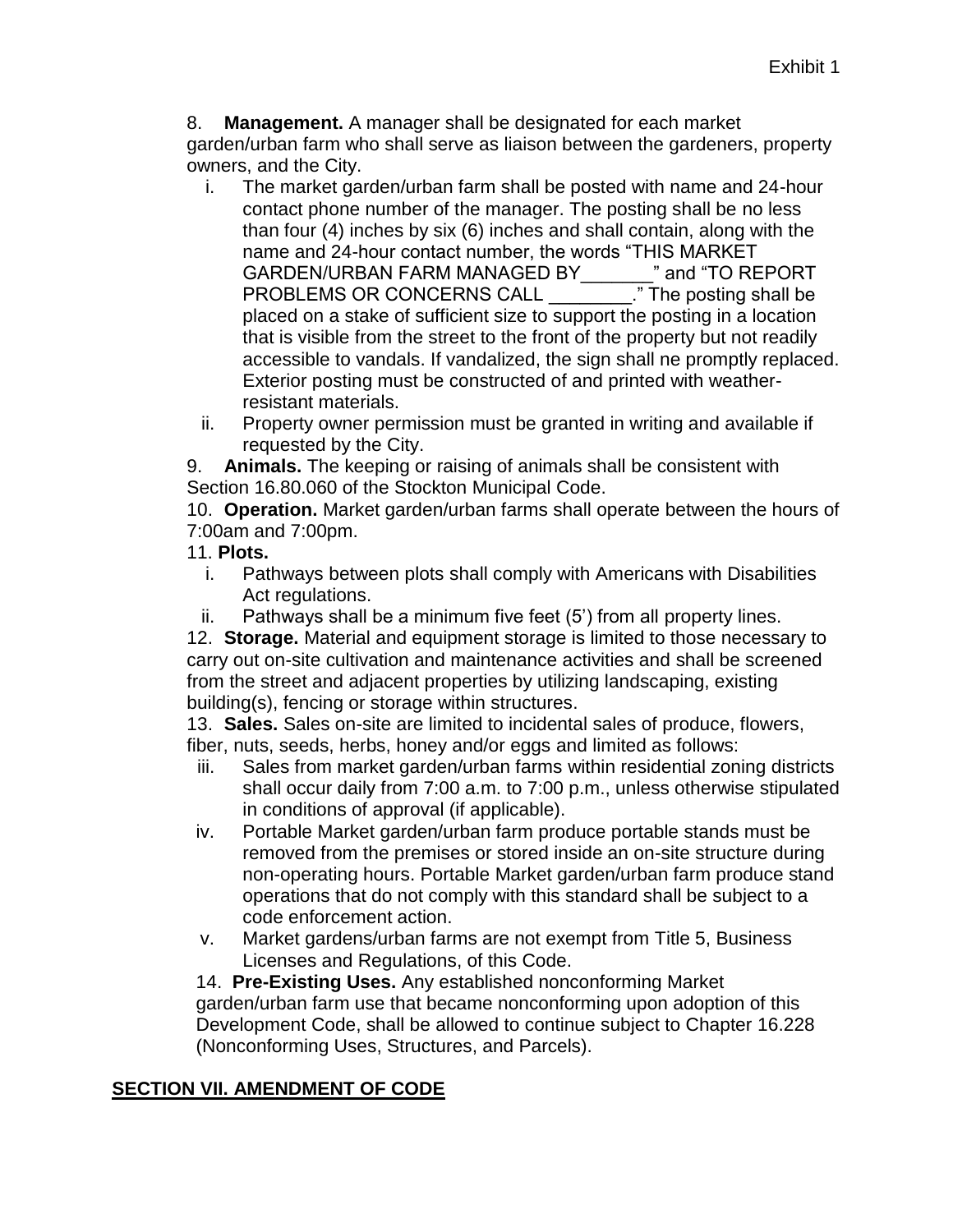8. **Management.** A manager shall be designated for each market

garden/urban farm who shall serve as liaison between the gardeners, property owners, and the City.

- i. The market garden/urban farm shall be posted with name and 24-hour contact phone number of the manager. The posting shall be no less than four (4) inches by six (6) inches and shall contain, along with the name and 24-hour contact number, the words "THIS MARKET GARDEN/URBAN FARM MANAGED BY\_\_\_\_\_\_\_" and "TO REPORT PROBLEMS OR CONCERNS CALL \_\_\_\_\_\_\_\_." The posting shall be placed on a stake of sufficient size to support the posting in a location that is visible from the street to the front of the property but not readily accessible to vandals. If vandalized, the sign shall ne promptly replaced. Exterior posting must be constructed of and printed with weatherresistant materials.
- ii. Property owner permission must be granted in writing and available if requested by the City.

9. **Animals.** The keeping or raising of animals shall be consistent with Section 16.80.060 of the Stockton Municipal Code.

10. **Operation.** Market garden/urban farms shall operate between the hours of 7:00am and 7:00pm.

- 11. **Plots.**
	- i. Pathways between plots shall comply with Americans with Disabilities Act regulations.
	- ii. Pathways shall be a minimum five feet (5') from all property lines.

12. **Storage.** Material and equipment storage is limited to those necessary to carry out on-site cultivation and maintenance activities and shall be screened from the street and adjacent properties by utilizing landscaping, existing building(s), fencing or storage within structures.

13. **Sales.** Sales on-site are limited to incidental sales of produce, flowers, fiber, nuts, seeds, herbs, honey and/or eggs and limited as follows:

- iii. Sales from market garden/urban farms within residential zoning districts shall occur daily from 7:00 a.m. to 7:00 p.m., unless otherwise stipulated in conditions of approval (if applicable).
- iv. Portable Market garden/urban farm produce portable stands must be removed from the premises or stored inside an on-site structure during non-operating hours. Portable Market garden/urban farm produce stand operations that do not comply with this standard shall be subject to a code enforcement action.
- v. Market gardens/urban farms are not exempt from Title 5, Business Licenses and Regulations, of this Code.

14. **Pre-Existing Uses.** Any established nonconforming Market garden/urban farm use that became nonconforming upon adoption of this Development Code, shall be allowed to continue subject to Chapter 16.228 (Nonconforming Uses, Structures, and Parcels).

# **SECTION VII. AMENDMENT OF CODE**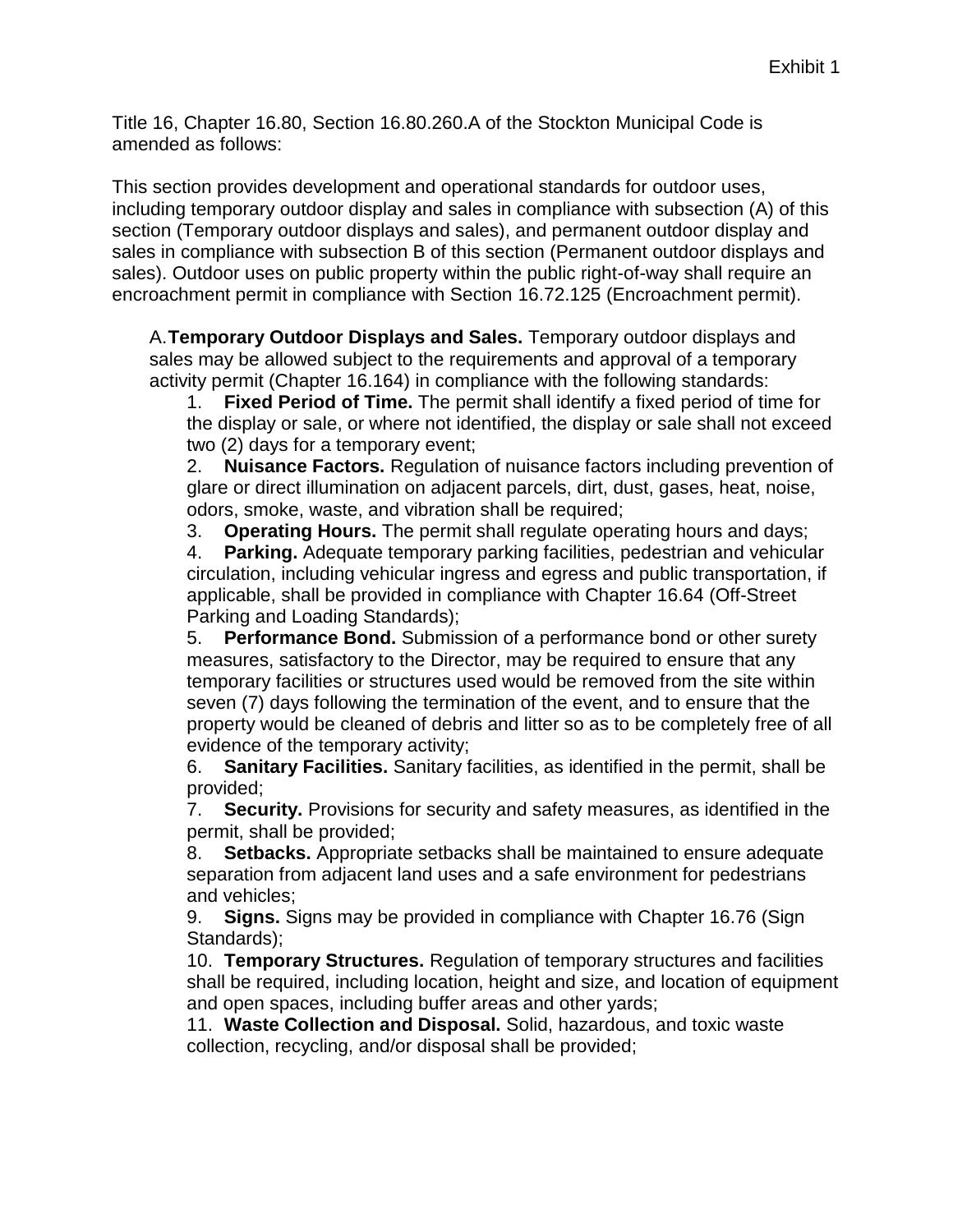Title 16, Chapter 16.80, Section 16.80.260.A of the Stockton Municipal Code is amended as follows:

This section provides development and operational standards for outdoor uses, including temporary outdoor display and sales in compliance with subsection (A) of this section (Temporary outdoor displays and sales), and permanent outdoor display and sales in compliance with subsection B of this section (Permanent outdoor displays and sales). Outdoor uses on public property within the public right-of-way shall require an encroachment permit in compliance with Section 16.72.125 (Encroachment permit).

A.**Temporary Outdoor Displays and Sales.** Temporary outdoor displays and sales may be allowed subject to the requirements and approval of a temporary activity permit (Chapter 16.164) in compliance with the following standards:

1. **Fixed Period of Time.** The permit shall identify a fixed period of time for the display or sale, or where not identified, the display or sale shall not exceed two (2) days for a temporary event;

2. **Nuisance Factors.** Regulation of nuisance factors including prevention of glare or direct illumination on adjacent parcels, dirt, dust, gases, heat, noise, odors, smoke, waste, and vibration shall be required;

3. **Operating Hours.** The permit shall regulate operating hours and days;

4. **Parking.** Adequate temporary parking facilities, pedestrian and vehicular circulation, including vehicular ingress and egress and public transportation, if applicable, shall be provided in compliance with Chapter 16.64 (Off-Street Parking and Loading Standards);

5. **Performance Bond.** Submission of a performance bond or other surety measures, satisfactory to the Director, may be required to ensure that any temporary facilities or structures used would be removed from the site within seven (7) days following the termination of the event, and to ensure that the property would be cleaned of debris and litter so as to be completely free of all evidence of the temporary activity;

6. **Sanitary Facilities.** Sanitary facilities, as identified in the permit, shall be provided;

7. **Security.** Provisions for security and safety measures, as identified in the permit, shall be provided;

8. **Setbacks.** Appropriate setbacks shall be maintained to ensure adequate separation from adjacent land uses and a safe environment for pedestrians and vehicles;

9. **Signs.** Signs may be provided in compliance with Chapter 16.76 (Sign Standards);

10. **Temporary Structures.** Regulation of temporary structures and facilities shall be required, including location, height and size, and location of equipment and open spaces, including buffer areas and other yards;

11. **Waste Collection and Disposal.** Solid, hazardous, and toxic waste collection, recycling, and/or disposal shall be provided;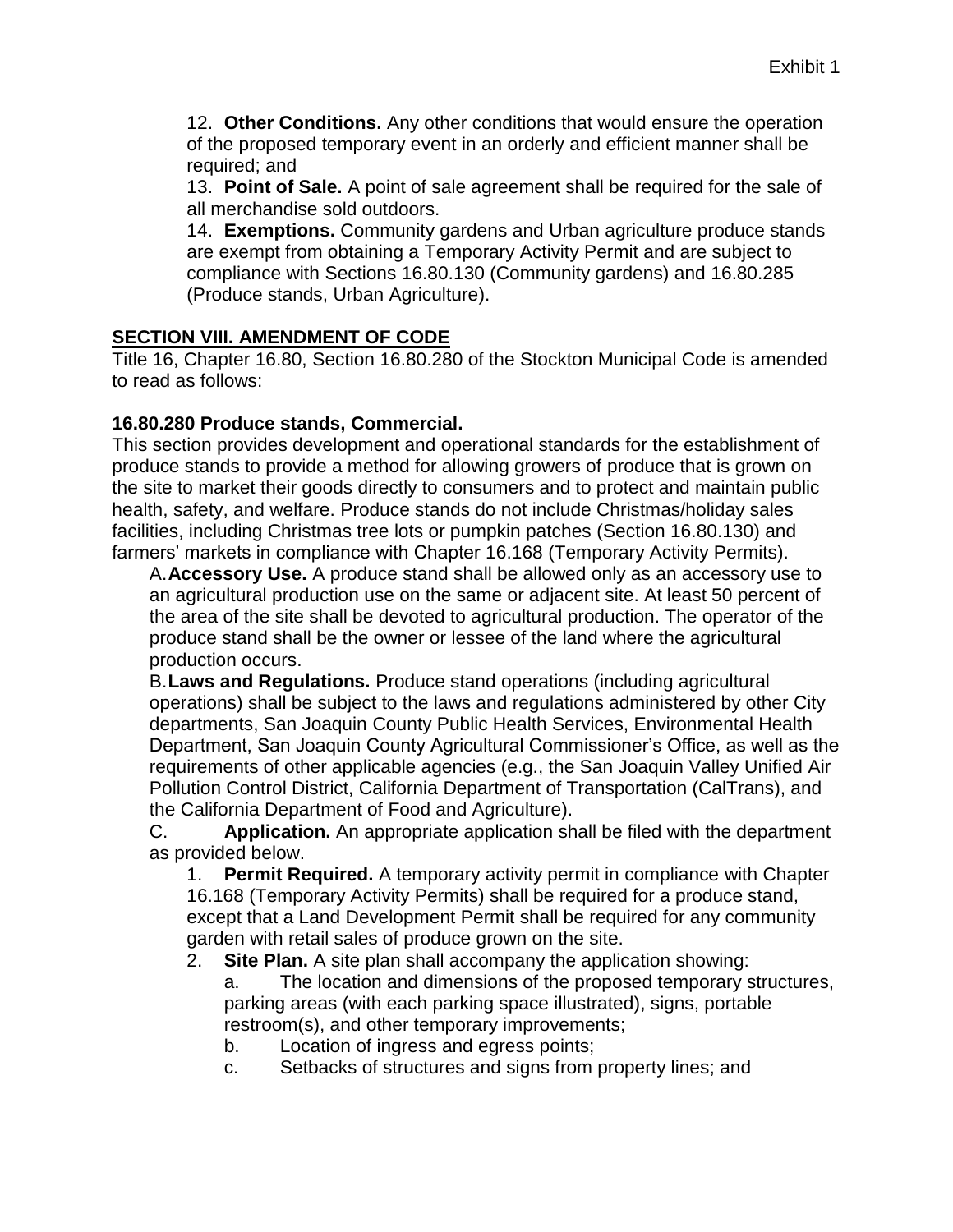12. **Other Conditions.** Any other conditions that would ensure the operation of the proposed temporary event in an orderly and efficient manner shall be required; and

13. **Point of Sale.** A point of sale agreement shall be required for the sale of all merchandise sold outdoors.

14. **Exemptions.** Community gardens and Urban agriculture produce stands are exempt from obtaining a Temporary Activity Permit and are subject to compliance with Sections 16.80.130 (Community gardens) and 16.80.285 (Produce stands, Urban Agriculture).

#### **SECTION VIII. AMENDMENT OF CODE**

Title 16, Chapter 16.80, Section 16.80.280 of the Stockton Municipal Code is amended to read as follows:

#### **16.80.280 Produce stands, Commercial.**

This section provides development and operational standards for the establishment of produce stands to provide a method for allowing growers of produce that is grown on the site to market their goods directly to consumers and to protect and maintain public health, safety, and welfare. Produce stands do not include Christmas/holiday sales facilities, including Christmas tree lots or pumpkin patches (Section 16.80.130) and farmers' markets in compliance with Chapter 16.168 (Temporary Activity Permits).

A.**Accessory Use.** A produce stand shall be allowed only as an accessory use to an agricultural production use on the same or adjacent site. At least 50 percent of the area of the site shall be devoted to agricultural production. The operator of the produce stand shall be the owner or lessee of the land where the agricultural production occurs.

B.**Laws and Regulations.** Produce stand operations (including agricultural operations) shall be subject to the laws and regulations administered by other City departments, San Joaquin County Public Health Services, Environmental Health Department, San Joaquin County Agricultural Commissioner's Office, as well as the requirements of other applicable agencies (e.g., the San Joaquin Valley Unified Air Pollution Control District, California Department of Transportation (CalTrans), and the California Department of Food and Agriculture).

C. **Application.** An appropriate application shall be filed with the department as provided below.

1. **Permit Required.** A temporary activity permit in compliance with Chapter

16.168 (Temporary Activity Permits) shall be required for a produce stand, except that a Land Development Permit shall be required for any community garden with retail sales of produce grown on the site.

2. **Site Plan.** A site plan shall accompany the application showing:

a. The location and dimensions of the proposed temporary structures, parking areas (with each parking space illustrated), signs, portable restroom(s), and other temporary improvements;

b. Location of ingress and egress points;

c. Setbacks of structures and signs from property lines; and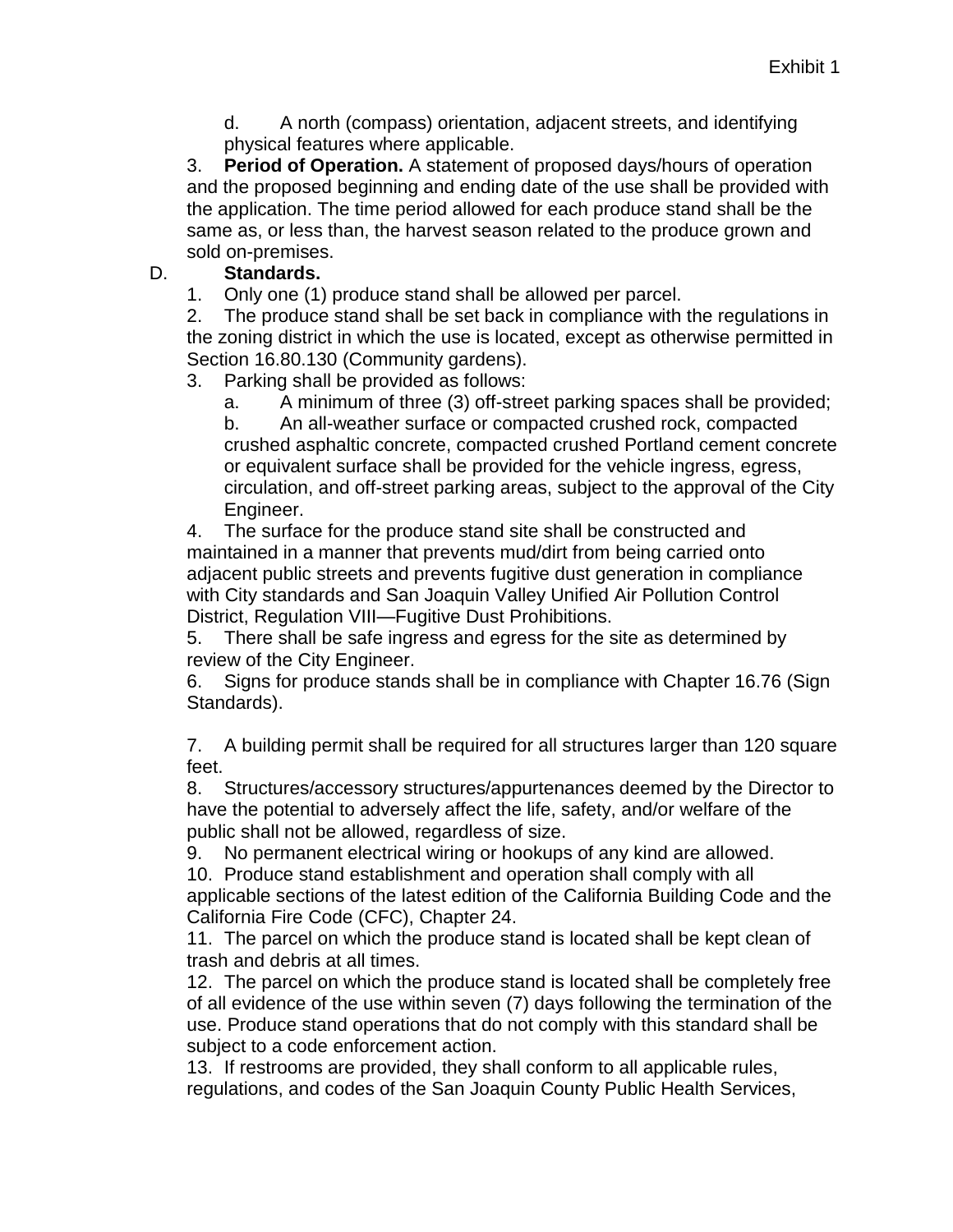d. A north (compass) orientation, adjacent streets, and identifying physical features where applicable.

3. **Period of Operation.** A statement of proposed days/hours of operation and the proposed beginning and ending date of the use shall be provided with the application. The time period allowed for each produce stand shall be the same as, or less than, the harvest season related to the produce grown and sold on-premises.

D. **Standards.**

1. Only one (1) produce stand shall be allowed per parcel.

2. The produce stand shall be set back in compliance with the regulations in the zoning district in which the use is located, except as otherwise permitted in Section 16.80.130 (Community gardens).

3. Parking shall be provided as follows:

a. A minimum of three (3) off-street parking spaces shall be provided;

b. An all-weather surface or compacted crushed rock, compacted crushed asphaltic concrete, compacted crushed Portland cement concrete or equivalent surface shall be provided for the vehicle ingress, egress, circulation, and off-street parking areas, subject to the approval of the City Engineer.

4. The surface for the produce stand site shall be constructed and maintained in a manner that prevents mud/dirt from being carried onto adjacent public streets and prevents fugitive dust generation in compliance with City standards and San Joaquin Valley Unified Air Pollution Control District, Regulation VIII—Fugitive Dust Prohibitions.

5. There shall be safe ingress and egress for the site as determined by review of the City Engineer.

6. Signs for produce stands shall be in compliance with Chapter 16.76 (Sign Standards).

7. A building permit shall be required for all structures larger than 120 square feet.

8. Structures/accessory structures/appurtenances deemed by the Director to have the potential to adversely affect the life, safety, and/or welfare of the public shall not be allowed, regardless of size.

9. No permanent electrical wiring or hookups of any kind are allowed.

10. Produce stand establishment and operation shall comply with all applicable sections of the latest edition of the California Building Code and the

California Fire Code (CFC), Chapter 24.

11. The parcel on which the produce stand is located shall be kept clean of trash and debris at all times.

12. The parcel on which the produce stand is located shall be completely free of all evidence of the use within seven (7) days following the termination of the use. Produce stand operations that do not comply with this standard shall be subject to a code enforcement action.

13. If restrooms are provided, they shall conform to all applicable rules, regulations, and codes of the San Joaquin County Public Health Services,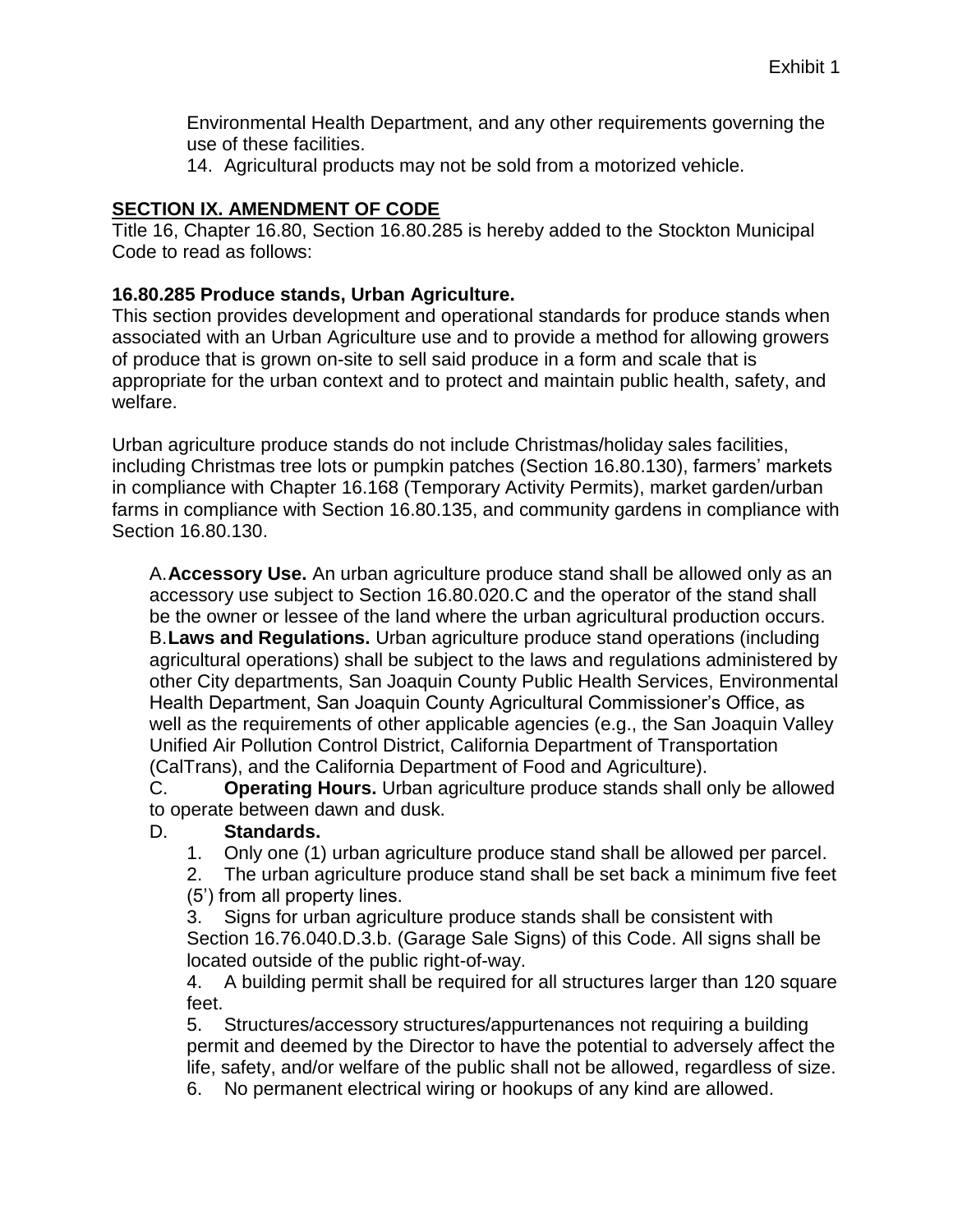Environmental Health Department, and any other requirements governing the use of these facilities.

14. Agricultural products may not be sold from a motorized vehicle.

### **SECTION IX. AMENDMENT OF CODE**

Title 16, Chapter 16.80, Section 16.80.285 is hereby added to the Stockton Municipal Code to read as follows:

### **16.80.285 Produce stands, Urban Agriculture.**

This section provides development and operational standards for produce stands when associated with an Urban Agriculture use and to provide a method for allowing growers of produce that is grown on-site to sell said produce in a form and scale that is appropriate for the urban context and to protect and maintain public health, safety, and welfare.

Urban agriculture produce stands do not include Christmas/holiday sales facilities, including Christmas tree lots or pumpkin patches (Section 16.80.130), farmers' markets in compliance with Chapter 16.168 (Temporary Activity Permits), market garden/urban farms in compliance with Section 16.80.135, and community gardens in compliance with Section 16.80.130.

A.**Accessory Use.** An urban agriculture produce stand shall be allowed only as an accessory use subject to Section 16.80.020.C and the operator of the stand shall be the owner or lessee of the land where the urban agricultural production occurs. B.**Laws and Regulations.** Urban agriculture produce stand operations (including agricultural operations) shall be subject to the laws and regulations administered by other City departments, San Joaquin County Public Health Services, Environmental Health Department, San Joaquin County Agricultural Commissioner's Office, as well as the requirements of other applicable agencies (e.g., the San Joaquin Valley Unified Air Pollution Control District, California Department of Transportation (CalTrans), and the California Department of Food and Agriculture).

C. **Operating Hours.** Urban agriculture produce stands shall only be allowed to operate between dawn and dusk.

#### D. **Standards.**

- 1. Only one (1) urban agriculture produce stand shall be allowed per parcel.
- 2. The urban agriculture produce stand shall be set back a minimum five feet (5') from all property lines.

3. Signs for urban agriculture produce stands shall be consistent with Section 16.76.040.D.3.b. (Garage Sale Signs) of this Code. All signs shall be located outside of the public right-of-way.

4. A building permit shall be required for all structures larger than 120 square feet.

5. Structures/accessory structures/appurtenances not requiring a building permit and deemed by the Director to have the potential to adversely affect the life, safety, and/or welfare of the public shall not be allowed, regardless of size.

6. No permanent electrical wiring or hookups of any kind are allowed.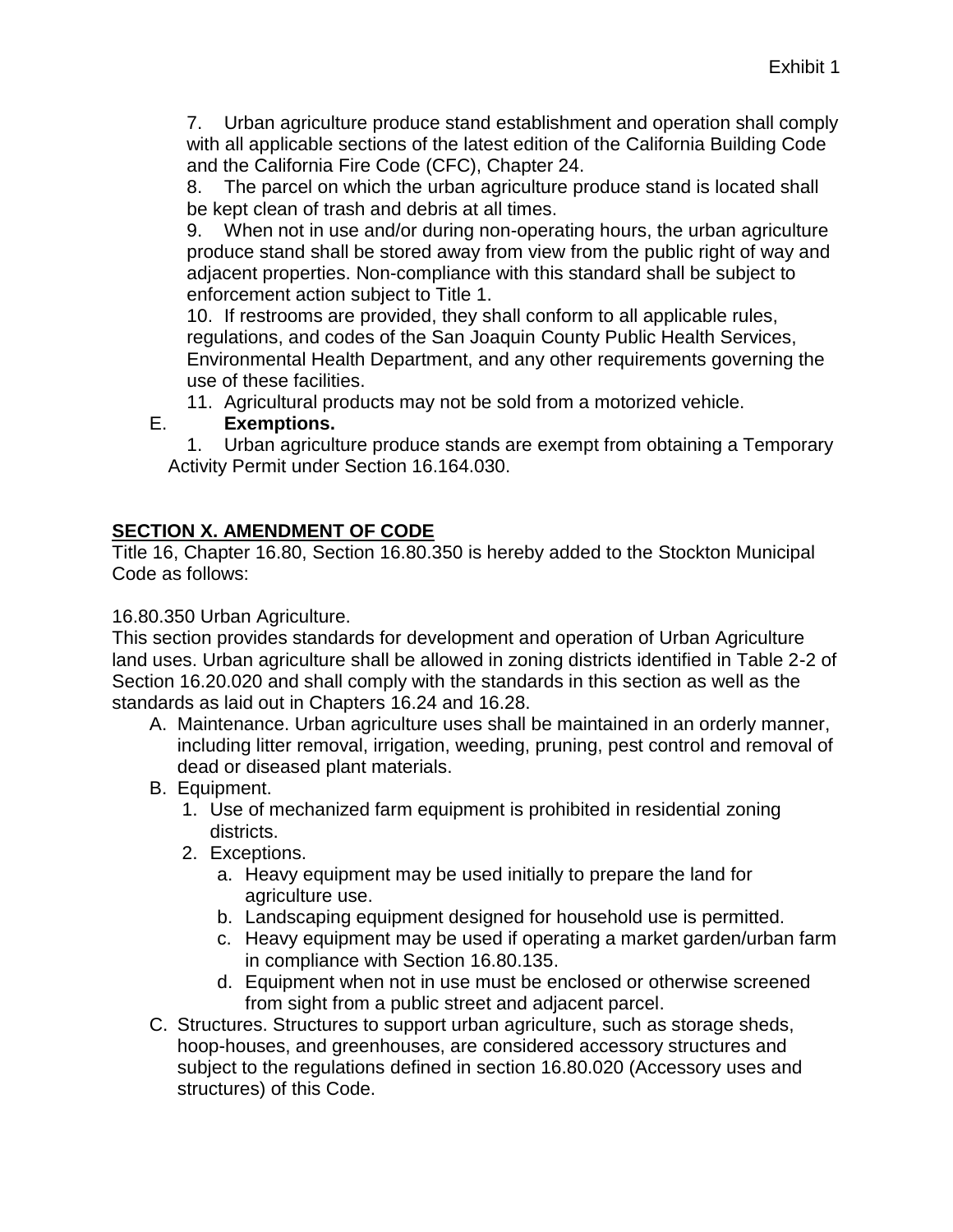7. Urban agriculture produce stand establishment and operation shall comply with all applicable sections of the latest edition of the California Building Code and the California Fire Code (CFC), Chapter 24.

8. The parcel on which the urban agriculture produce stand is located shall be kept clean of trash and debris at all times.

9. When not in use and/or during non-operating hours, the urban agriculture produce stand shall be stored away from view from the public right of way and adjacent properties. Non-compliance with this standard shall be subject to enforcement action subject to Title 1.

10. If restrooms are provided, they shall conform to all applicable rules, regulations, and codes of the San Joaquin County Public Health Services, Environmental Health Department, and any other requirements governing the use of these facilities.

11. Agricultural products may not be sold from a motorized vehicle.

#### E. **Exemptions.**

1. Urban agriculture produce stands are exempt from obtaining a Temporary Activity Permit under Section 16.164.030.

## **SECTION X. AMENDMENT OF CODE**

Title 16, Chapter 16.80, Section 16.80.350 is hereby added to the Stockton Municipal Code as follows:

16.80.350 Urban Agriculture.

This section provides standards for development and operation of Urban Agriculture land uses. Urban agriculture shall be allowed in zoning districts identified in Table 2-2 of Section 16.20.020 and shall comply with the standards in this section as well as the standards as laid out in Chapters 16.24 and 16.28.

- A. Maintenance. Urban agriculture uses shall be maintained in an orderly manner, including litter removal, irrigation, weeding, pruning, pest control and removal of dead or diseased plant materials.
- B. Equipment.
	- 1. Use of mechanized farm equipment is prohibited in residential zoning districts.
	- 2. Exceptions.
		- a. Heavy equipment may be used initially to prepare the land for agriculture use.
		- b. Landscaping equipment designed for household use is permitted.
		- c. Heavy equipment may be used if operating a market garden/urban farm in compliance with Section 16.80.135.
		- d. Equipment when not in use must be enclosed or otherwise screened from sight from a public street and adjacent parcel.
- C. Structures. Structures to support urban agriculture, such as storage sheds, hoop-houses, and greenhouses, are considered accessory structures and subject to the regulations defined in section 16.80.020 (Accessory uses and structures) of this Code.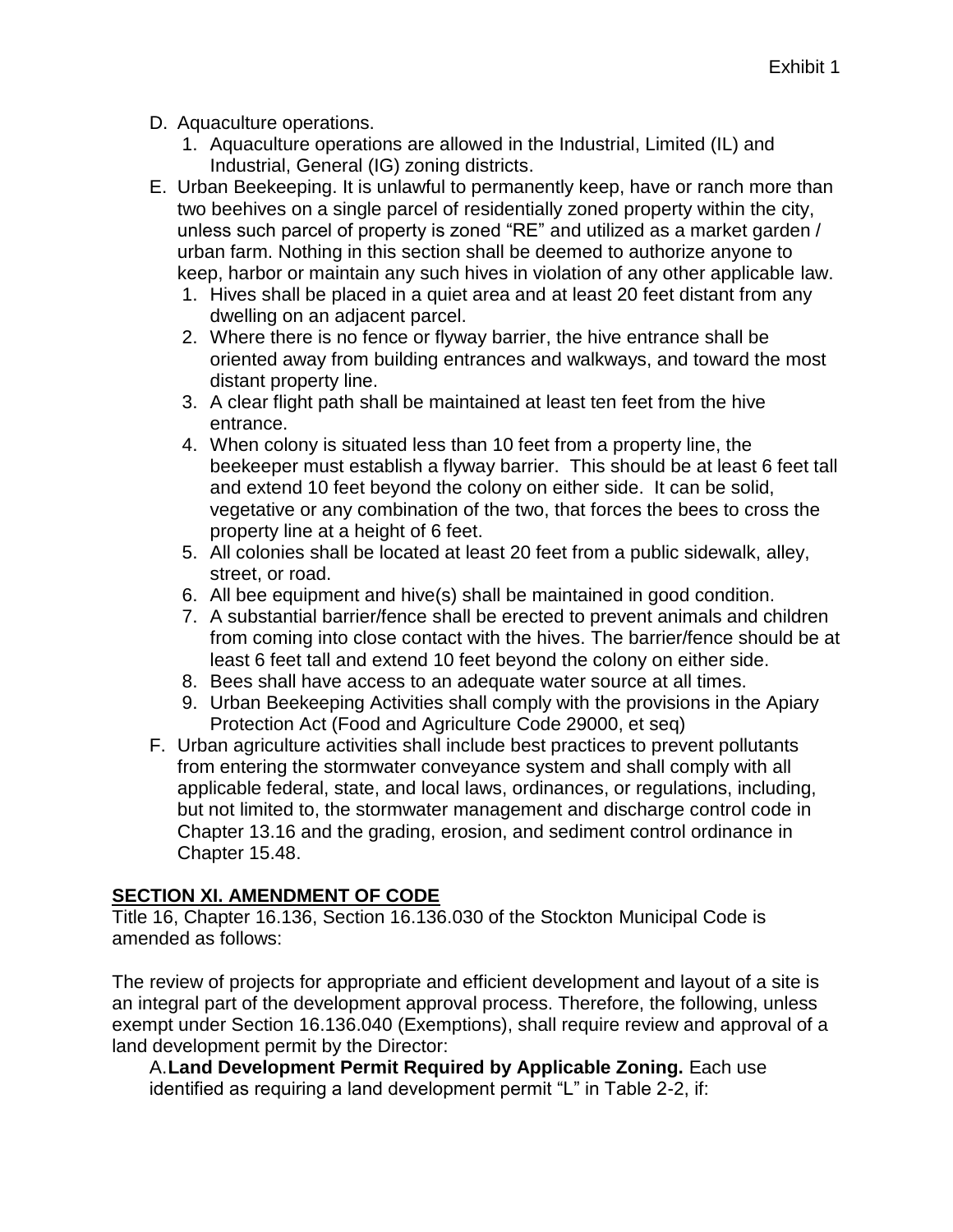- D. Aquaculture operations.
	- 1. Aquaculture operations are allowed in the Industrial, Limited (IL) and Industrial, General (IG) zoning districts.
- E. Urban Beekeeping. It is unlawful to permanently keep, have or ranch more than two beehives on a single parcel of residentially zoned property within the city, unless such parcel of property is zoned "RE" and utilized as a market garden / urban farm. Nothing in this section shall be deemed to authorize anyone to keep, harbor or maintain any such hives in violation of any other applicable law.
	- 1. Hives shall be placed in a quiet area and at least 20 feet distant from any dwelling on an adjacent parcel.
	- 2. Where there is no fence or flyway barrier, the hive entrance shall be oriented away from building entrances and walkways, and toward the most distant property line.
	- 3. A clear flight path shall be maintained at least ten feet from the hive entrance.
	- 4. When colony is situated less than 10 feet from a property line, the beekeeper must establish a flyway barrier. This should be at least 6 feet tall and extend 10 feet beyond the colony on either side. It can be solid, vegetative or any combination of the two, that forces the bees to cross the property line at a height of 6 feet.
	- 5. All colonies shall be located at least 20 feet from a public sidewalk, alley, street, or road.
	- 6. All bee equipment and hive(s) shall be maintained in good condition.
	- 7. A substantial barrier/fence shall be erected to prevent animals and children from coming into close contact with the hives. The barrier/fence should be at least 6 feet tall and extend 10 feet beyond the colony on either side.
	- 8. Bees shall have access to an adequate water source at all times.
	- 9. Urban Beekeeping Activities shall comply with the provisions in the Apiary Protection Act (Food and Agriculture Code 29000, et seq)
- F. Urban agriculture activities shall include best practices to prevent pollutants from entering the stormwater conveyance system and shall comply with all applicable federal, state, and local laws, ordinances, or regulations, including, but not limited to, the stormwater management and discharge control code in Chapter 13.16 and the grading, erosion, and sediment control ordinance in Chapter 15.48.

# **SECTION XI. AMENDMENT OF CODE**

Title 16, Chapter 16.136, Section 16.136.030 of the Stockton Municipal Code is amended as follows:

The review of projects for appropriate and efficient development and layout of a site is an integral part of the development approval process. Therefore, the following, unless exempt under Section 16.136.040 (Exemptions), shall require review and approval of a land development permit by the Director:

A.**Land Development Permit Required by Applicable Zoning.** Each use identified as requiring a land development permit "L" in Table 2-2, if: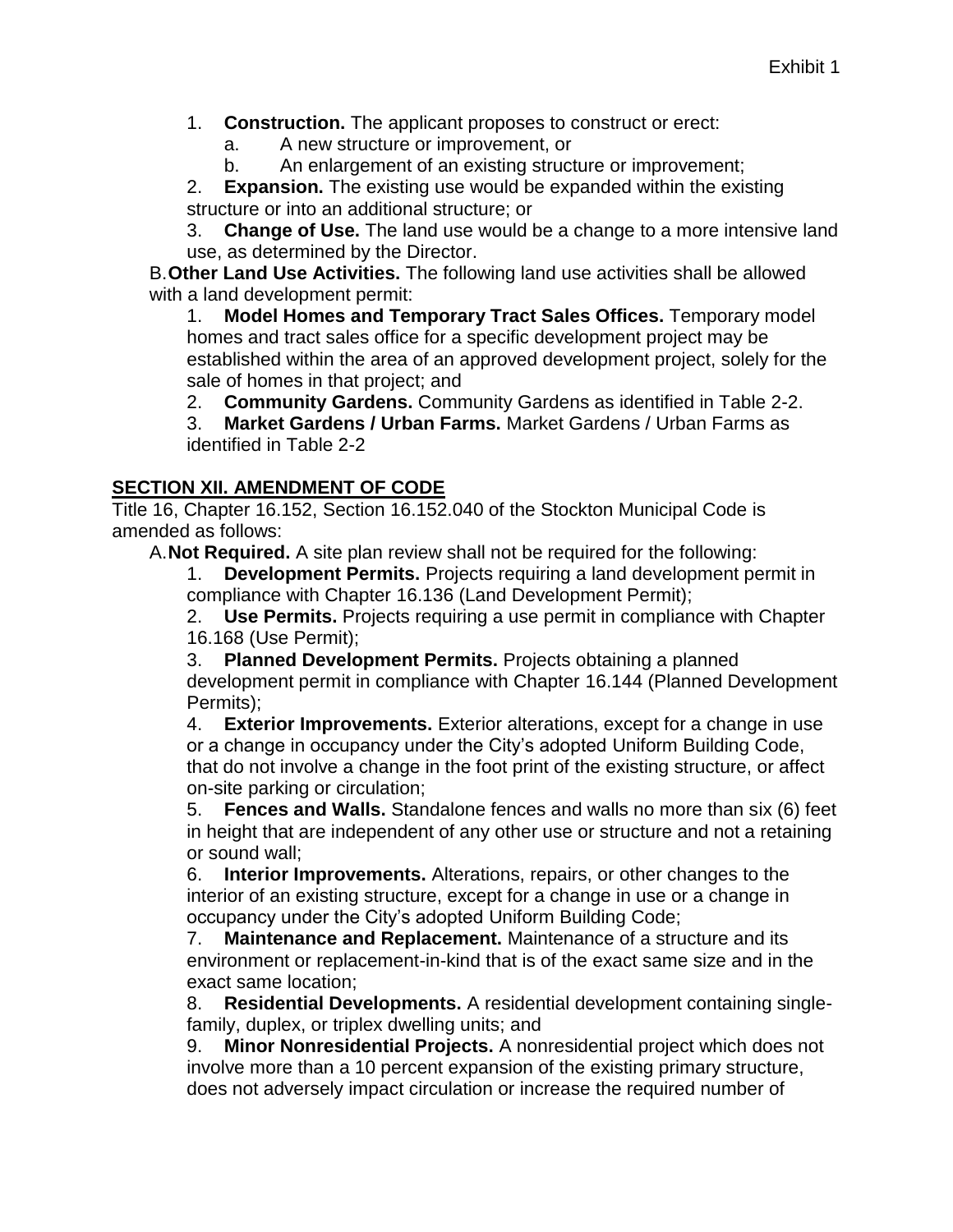1. **Construction.** The applicant proposes to construct or erect:

a. A new structure or improvement, or

b. An enlargement of an existing structure or improvement;

2. **Expansion.** The existing use would be expanded within the existing structure or into an additional structure; or

3. **Change of Use.** The land use would be a change to a more intensive land use, as determined by the Director.

B.**Other Land Use Activities.** The following land use activities shall be allowed with a land development permit:

1. **Model Homes and Temporary Tract Sales Offices.** Temporary model homes and tract sales office for a specific development project may be established within the area of an approved development project, solely for the sale of homes in that project; and

2. **Community Gardens.** Community Gardens as identified in Table 2-2.

3. **Market Gardens / Urban Farms.** Market Gardens / Urban Farms as identified in Table 2-2

#### **SECTION XII. AMENDMENT OF CODE**

Title 16, Chapter 16.152, Section 16.152.040 of the Stockton Municipal Code is amended as follows:

A.**Not Required.** A site plan review shall not be required for the following:

1. **Development Permits.** Projects requiring a land development permit in compliance with Chapter 16.136 (Land Development Permit);

2. **Use Permits.** Projects requiring a use permit in compliance with Chapter 16.168 (Use Permit);

3. **Planned Development Permits.** Projects obtaining a planned development permit in compliance with Chapter 16.144 (Planned Development Permits);

4. **Exterior Improvements.** Exterior alterations, except for a change in use or a change in occupancy under the City's adopted Uniform Building Code, that do not involve a change in the foot print of the existing structure, or affect on-site parking or circulation;

5. **Fences and Walls.** Standalone fences and walls no more than six (6) feet in height that are independent of any other use or structure and not a retaining or sound wall;

6. **Interior Improvements.** Alterations, repairs, or other changes to the interior of an existing structure, except for a change in use or a change in occupancy under the City's adopted Uniform Building Code;

7. **Maintenance and Replacement.** Maintenance of a structure and its environment or replacement-in-kind that is of the exact same size and in the exact same location;

8. **Residential Developments.** A residential development containing singlefamily, duplex, or triplex dwelling units; and

9. **Minor Nonresidential Projects.** A nonresidential project which does not involve more than a 10 percent expansion of the existing primary structure, does not adversely impact circulation or increase the required number of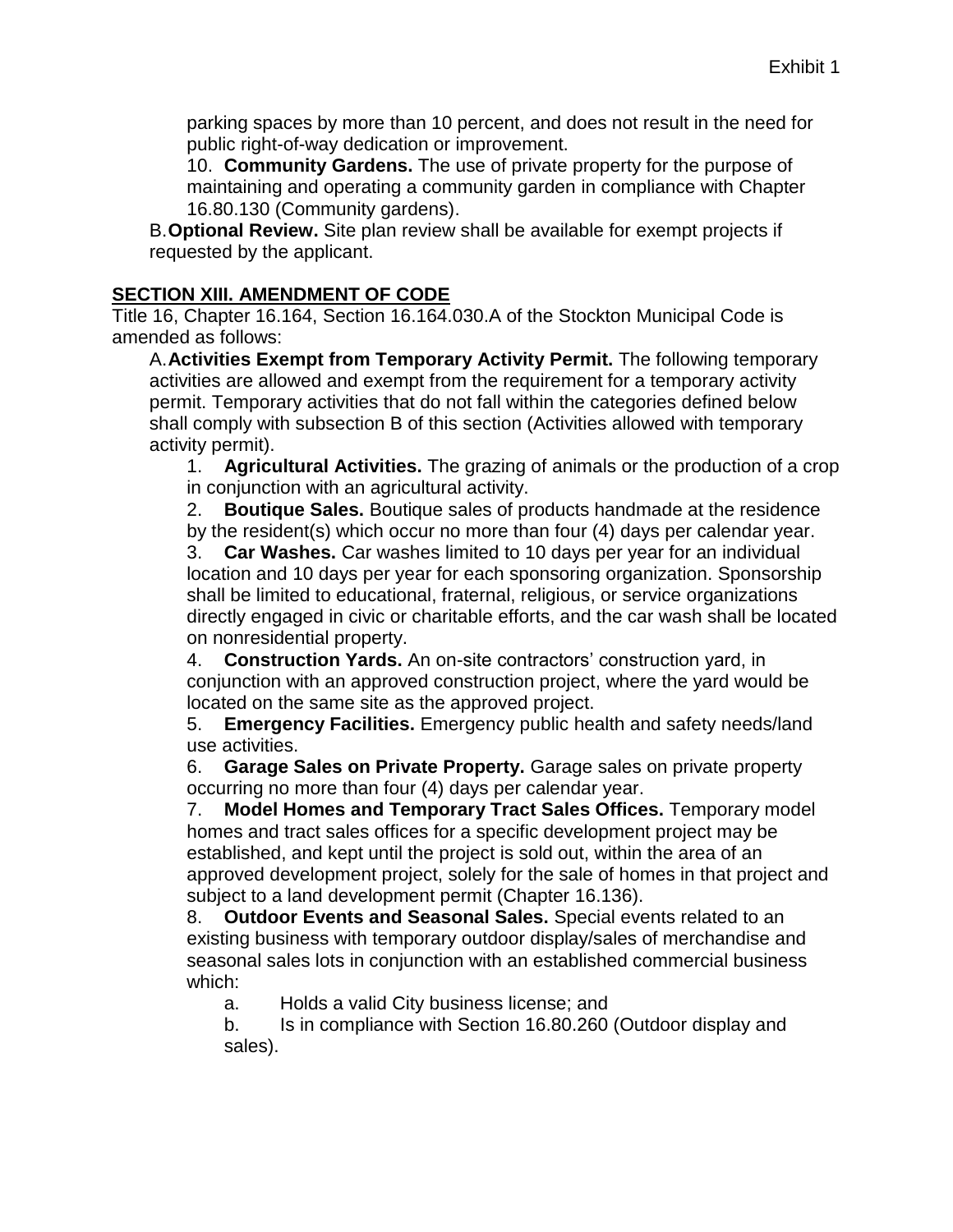parking spaces by more than 10 percent, and does not result in the need for public right-of-way dedication or improvement.

10. **Community Gardens.** The use of private property for the purpose of maintaining and operating a community garden in compliance with Chapter 16.80.130 (Community gardens).

B.**Optional Review.** Site plan review shall be available for exempt projects if requested by the applicant.

#### **SECTION XIII. AMENDMENT OF CODE**

Title 16, Chapter 16.164, Section 16.164.030.A of the Stockton Municipal Code is amended as follows:

A.**Activities Exempt from Temporary Activity Permit.** The following temporary activities are allowed and exempt from the requirement for a temporary activity permit. Temporary activities that do not fall within the categories defined below shall comply with subsection B of this section (Activities allowed with temporary activity permit).

1. **Agricultural Activities.** The grazing of animals or the production of a crop in conjunction with an agricultural activity.

2. **Boutique Sales.** Boutique sales of products handmade at the residence by the resident(s) which occur no more than four (4) days per calendar year.

3. **Car Washes.** Car washes limited to 10 days per year for an individual location and 10 days per year for each sponsoring organization. Sponsorship shall be limited to educational, fraternal, religious, or service organizations directly engaged in civic or charitable efforts, and the car wash shall be located on nonresidential property.

4. **Construction Yards.** An on-site contractors' construction yard, in conjunction with an approved construction project, where the yard would be located on the same site as the approved project.

5. **Emergency Facilities.** Emergency public health and safety needs/land use activities.

6. **Garage Sales on Private Property.** Garage sales on private property occurring no more than four (4) days per calendar year.

7. **Model Homes and Temporary Tract Sales Offices.** Temporary model homes and tract sales offices for a specific development project may be established, and kept until the project is sold out, within the area of an approved development project, solely for the sale of homes in that project and subject to a land development permit (Chapter 16.136).

8. **Outdoor Events and Seasonal Sales.** Special events related to an existing business with temporary outdoor display/sales of merchandise and seasonal sales lots in conjunction with an established commercial business which:

a. Holds a valid City business license; and

b. Is in compliance with Section 16.80.260 (Outdoor display and sales).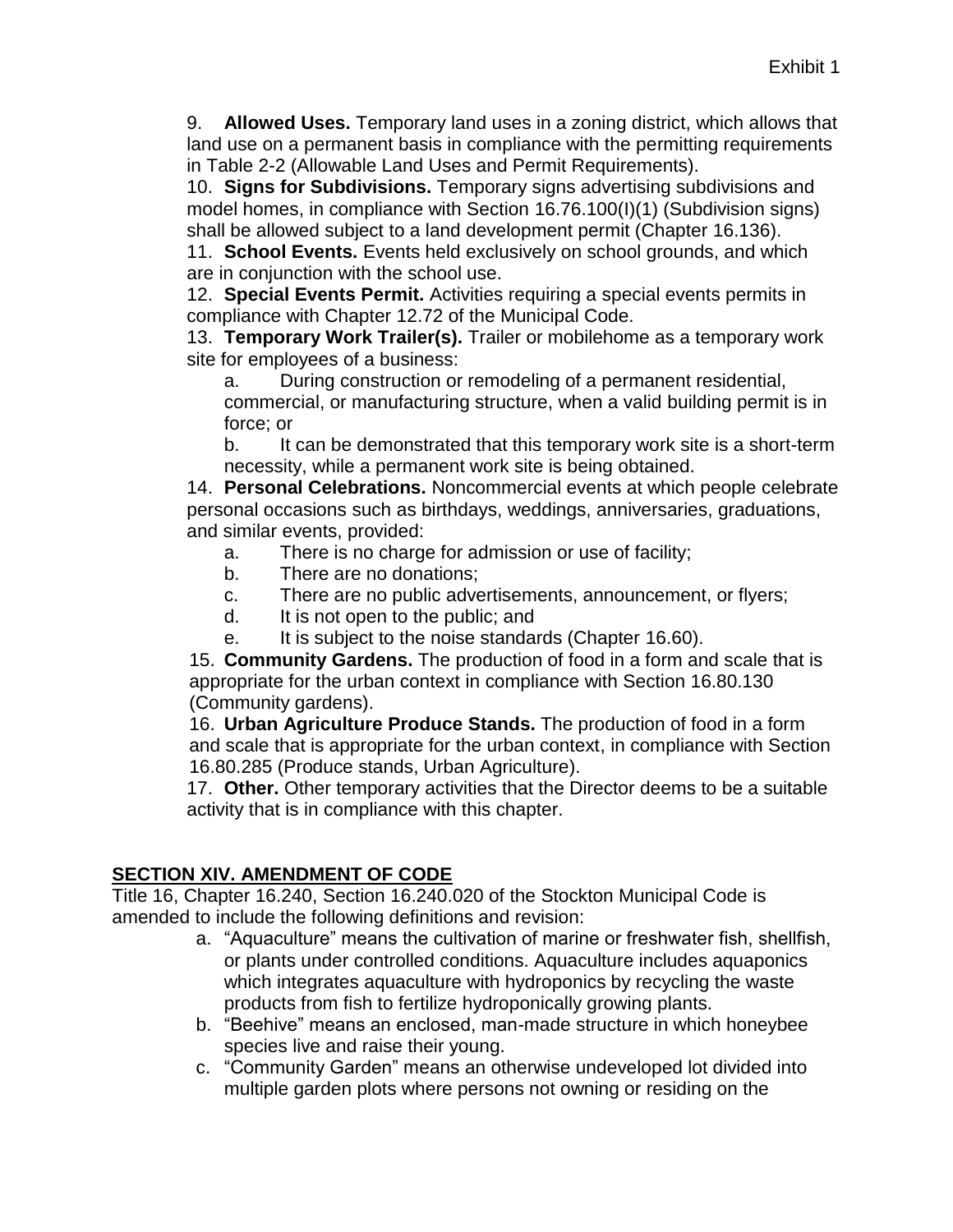9. **Allowed Uses.** Temporary land uses in a zoning district, which allows that land use on a permanent basis in compliance with the permitting requirements in Table 2-2 (Allowable Land Uses and Permit Requirements).

10. **Signs for Subdivisions.** Temporary signs advertising subdivisions and model homes, in compliance with Section 16.76.100(I)(1) (Subdivision signs) shall be allowed subject to a land development permit (Chapter 16.136).

11. **School Events.** Events held exclusively on school grounds, and which are in conjunction with the school use.

12. **Special Events Permit.** Activities requiring a special events permits in compliance with Chapter 12.72 of the Municipal Code.

13. **Temporary Work Trailer(s).** Trailer or mobilehome as a temporary work site for employees of a business:

a. During construction or remodeling of a permanent residential, commercial, or manufacturing structure, when a valid building permit is in force; or

b. It can be demonstrated that this temporary work site is a short-term necessity, while a permanent work site is being obtained.

14. **Personal Celebrations.** Noncommercial events at which people celebrate personal occasions such as birthdays, weddings, anniversaries, graduations, and similar events, provided:

- a. There is no charge for admission or use of facility;
- b. There are no donations;
- c. There are no public advertisements, announcement, or flyers;
- d. It is not open to the public; and
- e. It is subject to the noise standards (Chapter 16.60).

15. **Community Gardens.** The production of food in a form and scale that is appropriate for the urban context in compliance with Section 16.80.130 (Community gardens).

16. **Urban Agriculture Produce Stands.** The production of food in a form and scale that is appropriate for the urban context, in compliance with Section 16.80.285 (Produce stands, Urban Agriculture).

17. **Other.** Other temporary activities that the Director deems to be a suitable activity that is in compliance with this chapter.

# **SECTION XIV. AMENDMENT OF CODE**

Title 16, Chapter 16.240, Section 16.240.020 of the Stockton Municipal Code is amended to include the following definitions and revision:

- a. "Aquaculture" means the cultivation of marine or freshwater fish, shellfish, or plants under controlled conditions. Aquaculture includes aquaponics which integrates aquaculture with hydroponics by recycling the waste products from fish to fertilize hydroponically growing plants.
- b. "Beehive" means an enclosed, man-made structure in which honeybee species live and raise their young.
- c. "Community Garden" means an otherwise undeveloped lot divided into multiple garden plots where persons not owning or residing on the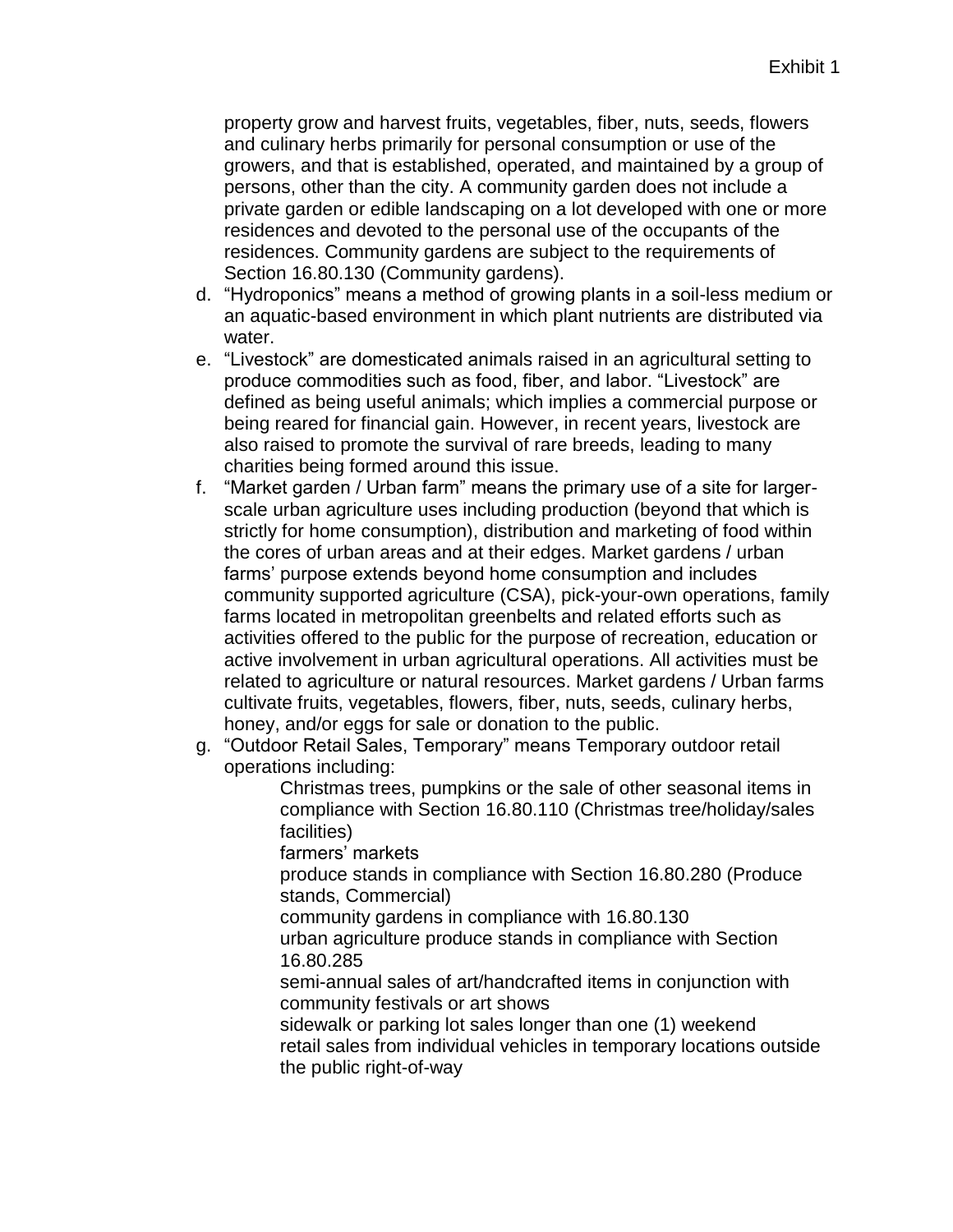property grow and harvest fruits, vegetables, fiber, nuts, seeds, flowers and culinary herbs primarily for personal consumption or use of the growers, and that is established, operated, and maintained by a group of persons, other than the city. A community garden does not include a private garden or edible landscaping on a lot developed with one or more residences and devoted to the personal use of the occupants of the residences. Community gardens are subject to the requirements of Section 16.80.130 (Community gardens).

- d. "Hydroponics" means a method of growing plants in a soil-less medium or an aquatic-based environment in which plant nutrients are distributed via water.
- e. "Livestock" are domesticated animals raised in an agricultural setting to produce commodities such as food, fiber, and labor. "Livestock" are defined as being useful animals; which implies a commercial purpose or being reared for financial gain. However, in recent years, livestock are also raised to promote the survival of rare breeds, leading to many charities being formed around this issue.
- f. "Market garden / Urban farm" means the primary use of a site for largerscale urban agriculture uses including production (beyond that which is strictly for home consumption), distribution and marketing of food within the cores of urban areas and at their edges. Market gardens / urban farms' purpose extends beyond home consumption and includes community supported agriculture (CSA), pick-your-own operations, family farms located in metropolitan greenbelts and related efforts such as activities offered to the public for the purpose of recreation, education or active involvement in urban agricultural operations. All activities must be related to agriculture or natural resources. Market gardens / Urban farms cultivate fruits, vegetables, flowers, fiber, nuts, seeds, culinary herbs, honey, and/or eggs for sale or donation to the public.
- g. "Outdoor Retail Sales, Temporary" means Temporary outdoor retail operations including:

Christmas trees, pumpkins or the sale of other seasonal items in compliance with Section 16.80.110 (Christmas tree/holiday/sales facilities)

farmers' markets

produce stands in compliance with Section 16.80.280 (Produce stands, Commercial)

community gardens in compliance with 16.80.130

urban agriculture produce stands in compliance with Section 16.80.285

semi-annual sales of art/handcrafted items in conjunction with community festivals or art shows

sidewalk or parking lot sales longer than one (1) weekend retail sales from individual vehicles in temporary locations outside the public right-of-way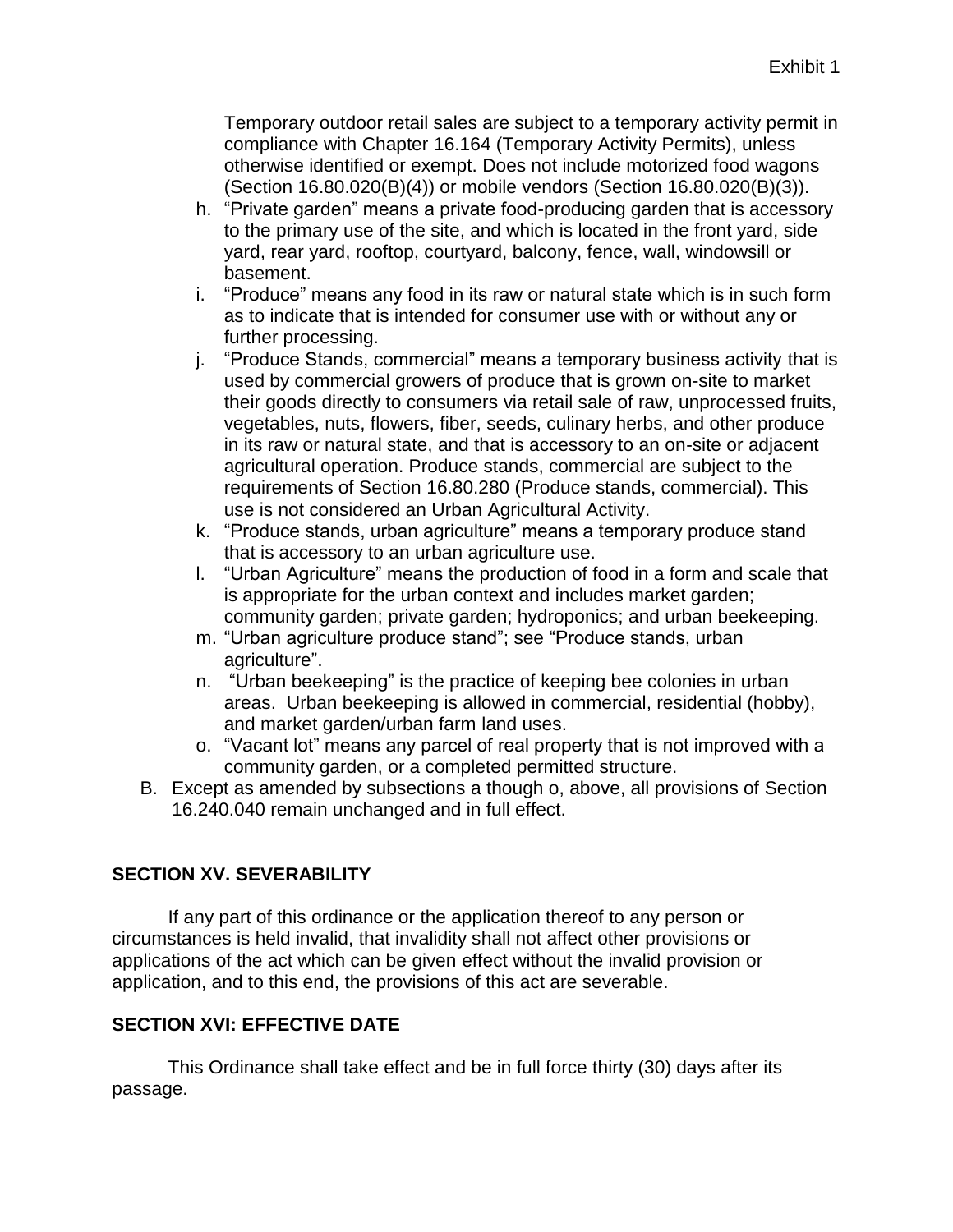Temporary outdoor retail sales are subject to a temporary activity permit in compliance with Chapter 16.164 (Temporary Activity Permits), unless otherwise identified or exempt. Does not include motorized food wagons (Section 16.80.020(B)(4)) or mobile vendors (Section 16.80.020(B)(3)).

- h. "Private garden" means a private food-producing garden that is accessory to the primary use of the site, and which is located in the front yard, side yard, rear yard, rooftop, courtyard, balcony, fence, wall, windowsill or basement.
- i. "Produce" means any food in its raw or natural state which is in such form as to indicate that is intended for consumer use with or without any or further processing.
- j. "Produce Stands, commercial" means a temporary business activity that is used by commercial growers of produce that is grown on-site to market their goods directly to consumers via retail sale of raw, unprocessed fruits, vegetables, nuts, flowers, fiber, seeds, culinary herbs, and other produce in its raw or natural state, and that is accessory to an on-site or adjacent agricultural operation. Produce stands, commercial are subject to the requirements of Section 16.80.280 (Produce stands, commercial). This use is not considered an Urban Agricultural Activity.
- k. "Produce stands, urban agriculture" means a temporary produce stand that is accessory to an urban agriculture use.
- l. "Urban Agriculture" means the production of food in a form and scale that is appropriate for the urban context and includes market garden; community garden; private garden; hydroponics; and urban beekeeping.
- m. "Urban agriculture produce stand"; see "Produce stands, urban agriculture".
- n. "Urban beekeeping" is the practice of keeping bee colonies in urban areas. Urban beekeeping is allowed in commercial, residential (hobby), and market garden/urban farm land uses.
- o. "Vacant lot" means any parcel of real property that is not improved with a community garden, or a completed permitted structure.
- B. Except as amended by subsections a though o, above, all provisions of Section 16.240.040 remain unchanged and in full effect.

# **SECTION XV. SEVERABILITY**

If any part of this ordinance or the application thereof to any person or circumstances is held invalid, that invalidity shall not affect other provisions or applications of the act which can be given effect without the invalid provision or application, and to this end, the provisions of this act are severable.

# **SECTION XVI: EFFECTIVE DATE**

This Ordinance shall take effect and be in full force thirty (30) days after its passage.